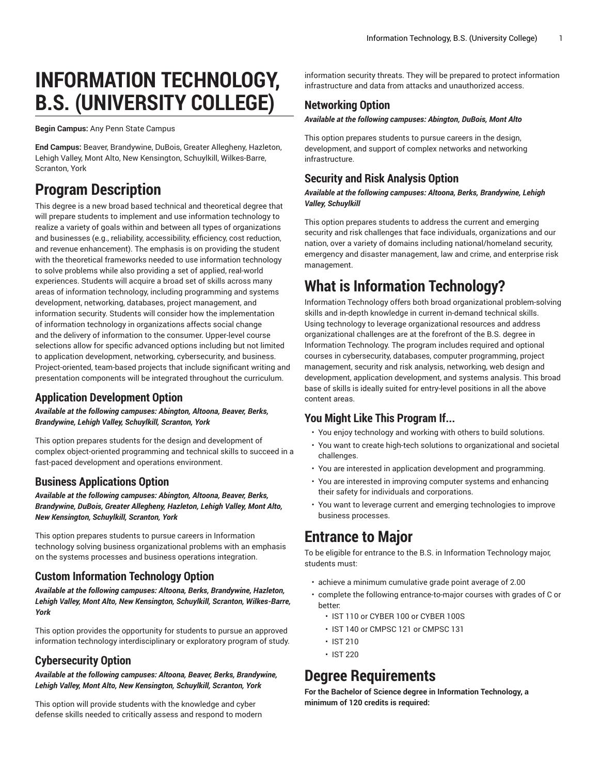# **INFORMATION TECHNOLOGY, B.S. (UNIVERSITY COLLEGE)**

**Begin Campus:** Any Penn State Campus

**End Campus:** Beaver, Brandywine, DuBois, Greater Allegheny, Hazleton, Lehigh Valley, Mont Alto, New Kensington, Schuylkill, Wilkes-Barre, Scranton, York

# **Program Description**

This degree is a new broad based technical and theoretical degree that will prepare students to implement and use information technology to realize a variety of goals within and between all types of organizations and businesses (e.g., reliability, accessibility, efficiency, cost reduction, and revenue enhancement). The emphasis is on providing the student with the theoretical frameworks needed to use information technology to solve problems while also providing a set of applied, real-world experiences. Students will acquire a broad set of skills across many areas of information technology, including programming and systems development, networking, databases, project management, and information security. Students will consider how the implementation of information technology in organizations affects social change and the delivery of information to the consumer. Upper-level course selections allow for specific advanced options including but not limited to application development, networking, cybersecurity, and business. Project-oriented, team-based projects that include significant writing and presentation components will be integrated throughout the curriculum.

# **Application Development Option**

*Available at the following campuses: Abington, Altoona, Beaver, Berks, Brandywine, Lehigh Valley, Schuylkill, Scranton, York*

This option prepares students for the design and development of complex object-oriented programming and technical skills to succeed in a fast-paced development and operations environment.

# **Business Applications Option**

*Available at the following campuses: Abington, Altoona, Beaver, Berks, Brandywine, DuBois, Greater Allegheny, Hazleton, Lehigh Valley, Mont Alto, New Kensington, Schuylkill, Scranton, York*

This option prepares students to pursue careers in Information technology solving business organizational problems with an emphasis on the systems processes and business operations integration.

# **Custom Information Technology Option**

*Available at the following campuses: Altoona, Berks, Brandywine, Hazleton, Lehigh Valley, Mont Alto, New Kensington, Schuylkill, Scranton, Wilkes-Barre, York*

This option provides the opportunity for students to pursue an approved information technology interdisciplinary or exploratory program of study.

# **Cybersecurity Option**

*Available at the following campuses: Altoona, Beaver, Berks, Brandywine, Lehigh Valley, Mont Alto, New Kensington, Schuylkill, Scranton, York*

This option will provide students with the knowledge and cyber defense skills needed to critically assess and respond to modern

information security threats. They will be prepared to protect information infrastructure and data from attacks and unauthorized access.

# **Networking Option**

### *Available at the following campuses: Abington, DuBois, Mont Alto*

This option prepares students to pursue careers in the design, development, and support of complex networks and networking infrastructure.

# **Security and Risk Analysis Option**

### *Available at the following campuses: Altoona, Berks, Brandywine, Lehigh Valley, Schuylkill*

This option prepares students to address the current and emerging security and risk challenges that face individuals, organizations and our nation, over a variety of domains including national/homeland security, emergency and disaster management, law and crime, and enterprise risk management.

# **What is Information Technology?**

Information Technology offers both broad organizational problem-solving skills and in-depth knowledge in current in-demand technical skills. Using technology to leverage organizational resources and address organizational challenges are at the forefront of the B.S. degree in Information Technology. The program includes required and optional courses in cybersecurity, databases, computer programming, project management, security and risk analysis, networking, web design and development, application development, and systems analysis. This broad base of skills is ideally suited for entry-level positions in all the above content areas.

# **You Might Like This Program If...**

- You enjoy technology and working with others to build solutions.
- You want to create high-tech solutions to organizational and societal challenges.
- You are interested in application development and programming.
- You are interested in improving computer systems and enhancing their safety for individuals and corporations.
- You want to leverage current and emerging technologies to improve business processes.

# **Entrance to Major**

To be eligible for entrance to the B.S. in Information Technology major, students must:

- achieve a minimum cumulative grade point average of 2.00
- complete the following entrance-to-major courses with grades of C or better:
	- IST 110 or CYBER 100 or CYBER 100S
	- IST 140 or CMPSC 121 or CMPSC 131
	- IST 210
	- IST 220

# **Degree Requirements**

**For the Bachelor of Science degree in Information Technology, a minimum of 120 credits is required:**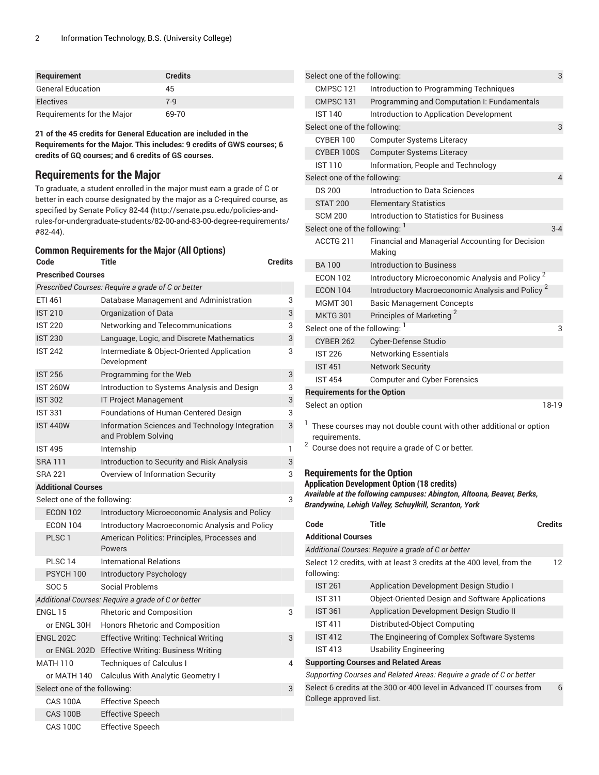| <b>Requirement</b>         | <b>Credits</b> |
|----------------------------|----------------|
| <b>General Education</b>   | 45             |
| <b>Electives</b>           | $7 - 9$        |
| Requirements for the Major | 69-70          |

**21 of the 45 credits for General Education are included in the Requirements for the Major. This includes: 9 credits of GWS courses; 6 credits of GQ courses; and 6 credits of GS courses.**

# **Requirements for the Major**

To graduate, a student enrolled in the major must earn a grade of C or better in each course designated by the major as a C-required course, as specified by [Senate](http://senate.psu.edu/policies-and-rules-for-undergraduate-students/82-00-and-83-00-degree-requirements/#82-44) Policy 82-44 ([http://senate.psu.edu/policies-and](http://senate.psu.edu/policies-and-rules-for-undergraduate-students/82-00-and-83-00-degree-requirements/#82-44)[rules-for-undergraduate-students/82-00-and-83-00-degree-requirements/](http://senate.psu.edu/policies-and-rules-for-undergraduate-students/82-00-and-83-00-degree-requirements/#82-44) [#82-44](http://senate.psu.edu/policies-and-rules-for-undergraduate-students/82-00-and-83-00-degree-requirements/#82-44)).

### **Common Requirements for the Major (All Options)**

| Code                         | Title                                                                  | Credits |
|------------------------------|------------------------------------------------------------------------|---------|
| <b>Prescribed Courses</b>    |                                                                        |         |
|                              | Prescribed Courses: Require a grade of C or better                     |         |
| ETI 461                      | Database Management and Administration                                 | 3       |
| <b>IST 210</b>               | Organization of Data                                                   | 3       |
| <b>IST 220</b>               | Networking and Telecommunications                                      | 3       |
| <b>IST 230</b>               | Language, Logic, and Discrete Mathematics                              | 3       |
| <b>IST 242</b>               | Intermediate & Object-Oriented Application<br>Development              | 3       |
| <b>IST 256</b>               | Programming for the Web                                                | 3       |
| <b>IST 260W</b>              | Introduction to Systems Analysis and Design                            | 3       |
| <b>IST 302</b>               | <b>IT Project Management</b>                                           | 3       |
| <b>IST 331</b>               | Foundations of Human-Centered Design                                   | 3       |
| <b>IST 440W</b>              | Information Sciences and Technology Integration<br>and Problem Solving | 3       |
| <b>IST 495</b>               | Internship                                                             | 1       |
| <b>SRA111</b>                | Introduction to Security and Risk Analysis                             | 3       |
| <b>SRA 221</b>               | Overview of Information Security                                       | 3       |
| <b>Additional Courses</b>    |                                                                        |         |
| Select one of the following: |                                                                        | 3       |
| <b>ECON 102</b>              | Introductory Microeconomic Analysis and Policy                         |         |
| <b>ECON 104</b>              | Introductory Macroeconomic Analysis and Policy                         |         |
| PLSC <sub>1</sub>            | American Politics: Principles, Processes and<br>Powers                 |         |
| PLSC <sub>14</sub>           | <b>International Relations</b>                                         |         |
| PSYCH 100                    | Introductory Psychology                                                |         |
| <b>SOC 5</b>                 | Social Problems                                                        |         |
|                              | Additional Courses: Require a grade of C or better                     |         |
| ENGL 15                      | <b>Rhetoric and Composition</b>                                        | 3       |
| or ENGL 30H                  | Honors Rhetoric and Composition                                        |         |
| <b>ENGL 202C</b>             | <b>Effective Writing: Technical Writing</b>                            | 3       |
|                              | or ENGL 202D Effective Writing: Business Writing                       |         |
| <b>MATH 110</b>              | <b>Techniques of Calculus I</b>                                        | 4       |
| or MATH 140                  | <b>Calculus With Analytic Geometry I</b>                               |         |
| Select one of the following: |                                                                        | 3       |
| <b>CAS 100A</b>              | <b>Effective Speech</b>                                                |         |
| <b>CAS 100B</b>              | <b>Effective Speech</b>                                                |         |
| <b>CAS 100C</b>              | <b>Effective Speech</b>                                                |         |

| Select one of the following: |                                    |                                                                    | 3              |
|------------------------------|------------------------------------|--------------------------------------------------------------------|----------------|
|                              | CMPSC 121                          | Introduction to Programming Techniques                             |                |
|                              | CMPSC 131                          | Programming and Computation I: Fundamentals                        |                |
|                              | <b>IST 140</b>                     | Introduction to Application Development                            |                |
|                              | Select one of the following:       |                                                                    | 3              |
|                              | CYBER 100                          | <b>Computer Systems Literacy</b>                                   |                |
|                              | CYBER 100S                         | <b>Computer Systems Literacy</b>                                   |                |
|                              | <b>IST 110</b>                     | Information, People and Technology                                 |                |
|                              | Select one of the following:       |                                                                    | $\overline{4}$ |
|                              | <b>DS 200</b>                      | Introduction to Data Sciences                                      |                |
|                              | <b>STAT 200</b>                    | <b>Elementary Statistics</b>                                       |                |
|                              | <b>SCM 200</b>                     | Introduction to Statistics for Business                            |                |
|                              | Select one of the following: 1     |                                                                    | $3 - 4$        |
|                              | ACCTG 211                          | Financial and Managerial Accounting for Decision<br>Making         |                |
|                              | <b>BA100</b>                       | <b>Introduction to Business</b>                                    |                |
|                              | <b>ECON 102</b>                    | Introductory Microeconomic Analysis and Policy <sup>2</sup>        |                |
|                              | <b>ECON 104</b>                    | Introductory Macroeconomic Analysis and Policy <sup>2</sup>        |                |
|                              | <b>MGMT 301</b>                    | <b>Basic Management Concepts</b>                                   |                |
|                              | <b>MKTG 301</b>                    | Principles of Marketing <sup>2</sup>                               |                |
|                              | Select one of the following: 1     |                                                                    | 3              |
|                              | CYBER 262                          | Cyber-Defense Studio                                               |                |
|                              | <b>IST 226</b>                     | <b>Networking Essentials</b>                                       |                |
|                              | <b>IST 451</b>                     | <b>Network Security</b>                                            |                |
|                              | <b>IST 454</b>                     | <b>Computer and Cyber Forensics</b>                                |                |
|                              | <b>Requirements for the Option</b> |                                                                    |                |
|                              | Select an option                   |                                                                    | 18-19          |
|                              |                                    |                                                                    |                |
|                              |                                    | These courses may not double count with other additional or option |                |

These courses may not double count with other additional or option requirements.

 $2$  Course does not require a grade of C or better.

# **Requirements for the Option**

College approved list.

**Application Development Option (18 credits)** *Available at the following campuses: Abington, Altoona, Beaver, Berks, Brandywine, Lehigh Valley, Schuylkill, Scranton, York*

| Code                      | Title                                                                 | <b>Credits</b> |
|---------------------------|-----------------------------------------------------------------------|----------------|
| <b>Additional Courses</b> |                                                                       |                |
|                           | Additional Courses: Require a grade of C or better                    |                |
| following:                | Select 12 credits, with at least 3 credits at the 400 level, from the | 12             |
| <b>IST 261</b>            | Application Development Design Studio I                               |                |
| <b>IST 311</b>            | Object-Oriented Design and Software Applications                      |                |
| <b>IST 361</b>            | Application Development Design Studio II                              |                |
| <b>IST 411</b>            | Distributed-Object Computing                                          |                |
| <b>IST 412</b>            | The Engineering of Complex Software Systems                           |                |
| <b>IST 413</b>            | <b>Usability Engineering</b>                                          |                |
|                           | <b>Supporting Courses and Related Areas</b>                           |                |
|                           | Supporting Courses and Related Areas: Require a grade of C or better  |                |
|                           | Select 6 credits at the 300 or 400 level in Advanced IT courses from  | 6              |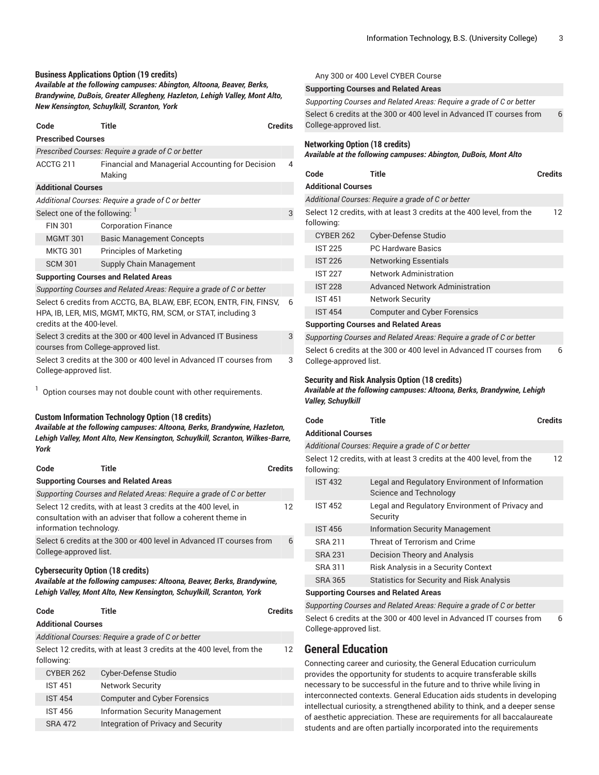#### **Business Applications Option (19 credits)**

*Available at the following campuses: Abington, Altoona, Beaver, Berks, Brandywine, DuBois, Greater Allegheny, Hazleton, Lehigh Valley, Mont Alto, New Kensington, Schuylkill, Scranton, York*

| Code                                                                                                                                                                  | <b>Title</b>                                                 | <b>Credits</b> |
|-----------------------------------------------------------------------------------------------------------------------------------------------------------------------|--------------------------------------------------------------|----------------|
| <b>Prescribed Courses</b>                                                                                                                                             |                                                              |                |
|                                                                                                                                                                       | Prescribed Courses: Require a grade of C or better           |                |
| ACCTG 211                                                                                                                                                             | Financial and Managerial Accounting for Decision<br>Making   | 4              |
| <b>Additional Courses</b>                                                                                                                                             |                                                              |                |
|                                                                                                                                                                       | Additional Courses: Require a grade of C or better           |                |
| Select one of the following: 1                                                                                                                                        |                                                              | 3              |
| <b>FIN 301</b>                                                                                                                                                        | <b>Corporation Finance</b>                                   |                |
| <b>MGMT 301</b>                                                                                                                                                       | <b>Basic Management Concepts</b>                             |                |
| <b>MKTG 301</b>                                                                                                                                                       | <b>Principles of Marketing</b>                               |                |
| <b>SCM 301</b>                                                                                                                                                        | Supply Chain Management                                      |                |
|                                                                                                                                                                       | <b>Supporting Courses and Related Areas</b>                  |                |
| Supporting Courses and Related Areas: Require a grade of C or better                                                                                                  |                                                              |                |
| Select 6 credits from ACCTG, BA, BLAW, EBF, ECON, ENTR, FIN, FINSV,<br>6<br>HPA, IB, LER, MIS, MGMT, MKTG, RM, SCM, or STAT, including 3<br>credits at the 400-level. |                                                              |                |
| Select 3 credits at the 300 or 400 level in Advanced IT Business<br>3<br>courses from College-approved list.                                                          |                                                              |                |
| Select 3 credits at the 300 or 400 level in Advanced IT courses from<br>3<br>College-approved list.                                                                   |                                                              |                |
|                                                                                                                                                                       | Option courses may not double count with other requirements. |                |
|                                                                                                                                                                       | <b>Custom Information Technology Option (18 credits)</b>     |                |

*Available at the following campuses: Altoona, Berks, Brandywine, Hazleton, Lehigh Valley, Mont Alto, New Kensington, Schuylkill, Scranton, Wilkes-Barre, York*

| Code | Title                                                                                                                                                      | Credits |
|------|------------------------------------------------------------------------------------------------------------------------------------------------------------|---------|
|      | <b>Supporting Courses and Related Areas</b>                                                                                                                |         |
|      | Supporting Courses and Related Areas: Require a grade of C or better                                                                                       |         |
|      | Select 12 credits, with at least 3 credits at the 400 level, in<br>consultation with an adviser that follow a coherent theme in<br>information technology. | 12      |
|      | Select 6 credits at the 300 or 400 level in Advanced IT courses from<br>College-approved list.                                                             | 6       |

#### **Cybersecurity Option (18 credits)**

*Available at the following campuses: Altoona, Beaver, Berks, Brandywine, Lehigh Valley, Mont Alto, New Kensington, Schuylkill, Scranton, York*

| Code                      | Title                                                                 | <b>Credits</b> |
|---------------------------|-----------------------------------------------------------------------|----------------|
| <b>Additional Courses</b> |                                                                       |                |
|                           | Additional Courses: Require a grade of C or better                    |                |
| following:                | Select 12 credits, with at least 3 credits at the 400 level, from the | 12             |
| <b>CYBER 262</b>          | Cyber-Defense Studio                                                  |                |
| <b>IST 451</b>            | <b>Network Security</b>                                               |                |
| <b>IST 454</b>            | <b>Computer and Cyber Forensics</b>                                   |                |
| <b>IST 456</b>            | <b>Information Security Management</b>                                |                |
| <b>SRA 472</b>            | Integration of Privacy and Security                                   |                |

|                                       | <b>Supporting Courses and Related Areas</b>                           |                |
|---------------------------------------|-----------------------------------------------------------------------|----------------|
|                                       | Supporting Courses and Related Areas: Require a grade of C or better  |                |
| College-approved list.                | Select 6 credits at the 300 or 400 level in Advanced IT courses from  | 6              |
| <b>Networking Option (18 credits)</b> | Available at the following campuses: Abington, DuBois, Mont Alto      |                |
| Code                                  | <b>Title</b>                                                          | <b>Credits</b> |
| <b>Additional Courses</b>             |                                                                       |                |
|                                       | Additional Courses: Require a grade of C or better                    |                |
|                                       | Select 12 credits, with at least 3 credits at the 400 level, from the | 12             |
| following:                            |                                                                       |                |
| <b>CYBER 262</b>                      | Cyber-Defense Studio                                                  |                |
| <b>IST 225</b>                        | <b>PC Hardware Basics</b>                                             |                |
| <b>IST 226</b>                        | <b>Networking Essentials</b>                                          |                |
| <b>IST 227</b>                        | Network Administration                                                |                |
| <b>IST 228</b>                        | <b>Advanced Network Administration</b>                                |                |
| <b>IST 451</b>                        | <b>Network Security</b>                                               |                |
| <b>IST 454</b>                        | <b>Computer and Cyber Forensics</b>                                   |                |
|                                       | <b>Supporting Courses and Related Areas</b>                           |                |
|                                       | Supporting Courses and Related Areas: Require a grade of C or better  |                |
|                                       | Select 6 credits at the 300 or 400 level in Advanced IT courses from  | 6              |

College-approved list.

#### **Security and Risk Analysis Option (18 credits)**

Any 300 or 400 Level CYBER Course

*Available at the following campuses: Altoona, Berks, Brandywine, Lehigh Valley, Schuylkill*

| Code                      | <b>Title</b>                                                              | <b>Credits</b> |
|---------------------------|---------------------------------------------------------------------------|----------------|
| <b>Additional Courses</b> |                                                                           |                |
|                           | Additional Courses: Require a grade of C or better                        |                |
| following:                | Select 12 credits, with at least 3 credits at the 400 level, from the     | 12             |
| <b>IST 432</b>            | Legal and Regulatory Environment of Information<br>Science and Technology |                |
| <b>IST 452</b>            | Legal and Regulatory Environment of Privacy and<br>Security               |                |
| <b>IST 456</b>            | <b>Information Security Management</b>                                    |                |
| SRA 211                   | Threat of Terrorism and Crime                                             |                |
| <b>SRA 231</b>            | Decision Theory and Analysis                                              |                |
| <b>SRA 311</b>            | Risk Analysis in a Security Context                                       |                |
| <b>SRA 365</b>            | <b>Statistics for Security and Risk Analysis</b>                          |                |
|                           | Sunnorting Courses and Related Areas                                      |                |

#### **Supporting Courses and Related Areas**

*Supporting Courses and Related Areas: Require a grade of C or better* Select 6 credits at the 300 or 400 level in Advanced IT courses from College-approved list. 6

# **General Education**

Connecting career and curiosity, the General Education curriculum provides the opportunity for students to acquire transferable skills necessary to be successful in the future and to thrive while living in interconnected contexts. General Education aids students in developing intellectual curiosity, a strengthened ability to think, and a deeper sense of aesthetic appreciation. These are requirements for all baccalaureate students and are often partially incorporated into the requirements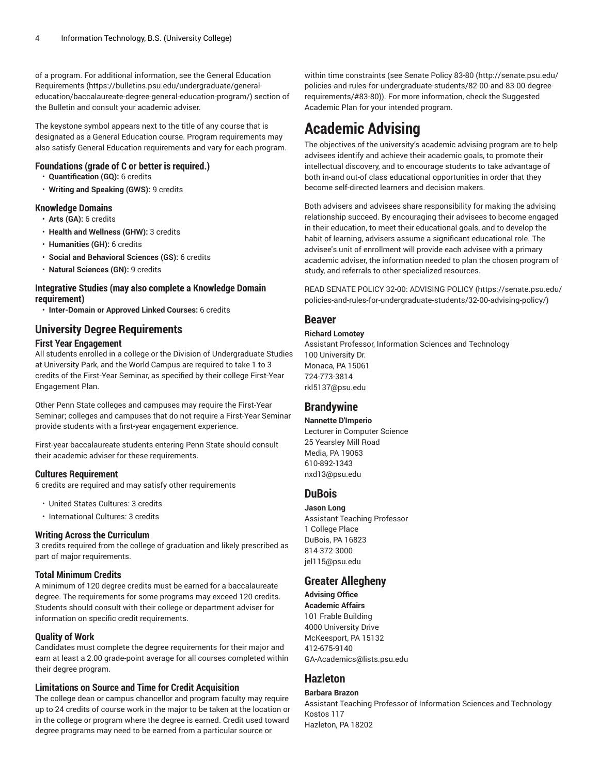of a program. For additional information, see the General [Education](https://bulletins.psu.edu/undergraduate/general-education/baccalaureate-degree-general-education-program/) [Requirements](https://bulletins.psu.edu/undergraduate/general-education/baccalaureate-degree-general-education-program/) ([https://bulletins.psu.edu/undergraduate/general](https://bulletins.psu.edu/undergraduate/general-education/baccalaureate-degree-general-education-program/)[education/baccalaureate-degree-general-education-program/\)](https://bulletins.psu.edu/undergraduate/general-education/baccalaureate-degree-general-education-program/) section of the Bulletin and consult your academic adviser.

The keystone symbol appears next to the title of any course that is designated as a General Education course. Program requirements may also satisfy General Education requirements and vary for each program.

### **Foundations (grade of C or better is required.)**

- **Quantification (GQ):** 6 credits
- **Writing and Speaking (GWS):** 9 credits

### **Knowledge Domains**

- **Arts (GA):** 6 credits
- **Health and Wellness (GHW):** 3 credits
- **Humanities (GH):** 6 credits
- **Social and Behavioral Sciences (GS):** 6 credits
- **Natural Sciences (GN):** 9 credits

### **Integrative Studies (may also complete a Knowledge Domain requirement)**

• **Inter-Domain or Approved Linked Courses:** 6 credits

# **University Degree Requirements**

### **First Year Engagement**

All students enrolled in a college or the Division of Undergraduate Studies at University Park, and the World Campus are required to take 1 to 3 credits of the First-Year Seminar, as specified by their college First-Year Engagement Plan.

Other Penn State colleges and campuses may require the First-Year Seminar; colleges and campuses that do not require a First-Year Seminar provide students with a first-year engagement experience.

First-year baccalaureate students entering Penn State should consult their academic adviser for these requirements.

# **Cultures Requirement**

6 credits are required and may satisfy other requirements

- United States Cultures: 3 credits
- International Cultures: 3 credits

### **Writing Across the Curriculum**

3 credits required from the college of graduation and likely prescribed as part of major requirements.

# **Total Minimum Credits**

A minimum of 120 degree credits must be earned for a baccalaureate degree. The requirements for some programs may exceed 120 credits. Students should consult with their college or department adviser for information on specific credit requirements.

# **Quality of Work**

Candidates must complete the degree requirements for their major and earn at least a 2.00 grade-point average for all courses completed within their degree program.

# **Limitations on Source and Time for Credit Acquisition**

The college dean or campus chancellor and program faculty may require up to 24 credits of course work in the major to be taken at the location or in the college or program where the degree is earned. Credit used toward degree programs may need to be earned from a particular source or

within time constraints (see [Senate](http://senate.psu.edu/policies-and-rules-for-undergraduate-students/82-00-and-83-00-degree-requirements/#83-80) Policy 83-80 [\(http://senate.psu.edu/](http://senate.psu.edu/policies-and-rules-for-undergraduate-students/82-00-and-83-00-degree-requirements/#83-80) [policies-and-rules-for-undergraduate-students/82-00-and-83-00-degree](http://senate.psu.edu/policies-and-rules-for-undergraduate-students/82-00-and-83-00-degree-requirements/#83-80)[requirements/#83-80](http://senate.psu.edu/policies-and-rules-for-undergraduate-students/82-00-and-83-00-degree-requirements/#83-80))). For more information, check the Suggested Academic Plan for your intended program.

# **Academic Advising**

The objectives of the university's academic advising program are to help advisees identify and achieve their academic goals, to promote their intellectual discovery, and to encourage students to take advantage of both in-and out-of class educational opportunities in order that they become self-directed learners and decision makers.

Both advisers and advisees share responsibility for making the advising relationship succeed. By encouraging their advisees to become engaged in their education, to meet their educational goals, and to develop the habit of learning, advisers assume a significant educational role. The advisee's unit of enrollment will provide each advisee with a primary academic adviser, the information needed to plan the chosen program of study, and referrals to other specialized resources.

READ SENATE POLICY 32-00: [ADVISING](https://senate.psu.edu/policies-and-rules-for-undergraduate-students/32-00-advising-policy/) POLICY ([https://senate.psu.edu/](https://senate.psu.edu/policies-and-rules-for-undergraduate-students/32-00-advising-policy/) [policies-and-rules-for-undergraduate-students/32-00-advising-policy/](https://senate.psu.edu/policies-and-rules-for-undergraduate-students/32-00-advising-policy/))

# **Beaver**

### **Richard Lomotey**

Assistant Professor, Information Sciences and Technology 100 University Dr. Monaca, PA 15061 724-773-3814 [rkl5137@psu.edu](mailto:rkl5137@psu.edu)

# **Brandywine**

### **Nannette D'Imperio**

Lecturer in Computer Science 25 Yearsley Mill Road Media, PA 19063 610-892-1343 [nxd13@psu.edu](mailto:nxd13@psu.edu)

# **DuBois**

**Jason Long** Assistant Teaching Professor 1 College Place DuBois, PA 16823 814-372-3000 [jel115@psu.edu](mailto:jel115@psu.edu)

# **Greater Allegheny**

**Advising Office Academic Affairs** 101 Frable Building 4000 University Drive McKeesport, PA 15132 412-675-9140 [GA-Academics@lists.psu.edu](mailto:GA-Academics@lists.psu.edu)

# **Hazleton**

**Barbara Brazon** Assistant Teaching Professor of Information Sciences and Technology Kostos 117 Hazleton, PA 18202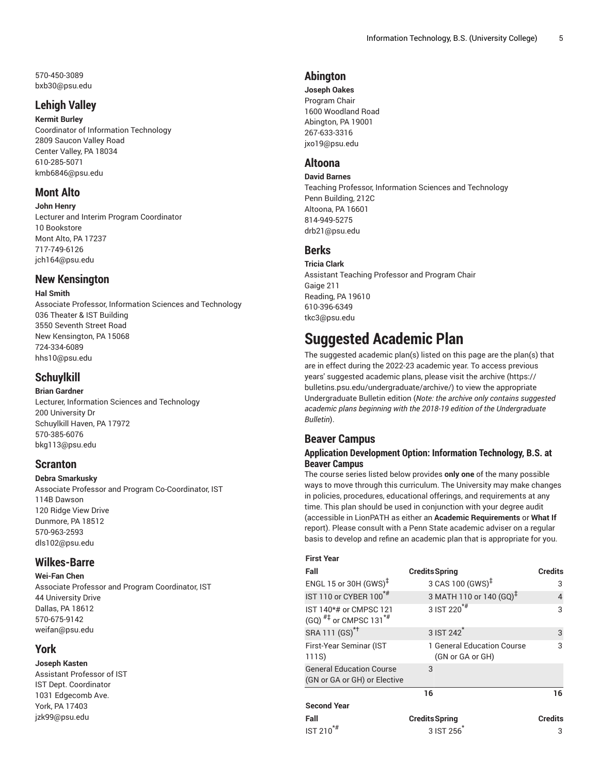570-450-3089 [bxb30@psu.edu](mailto:bxb30@psu.edu)

# **Lehigh Valley**

**Kermit Burley** Coordinator of Information Technology 2809 Saucon Valley Road Center Valley, PA 18034 610-285-5071 [kmb6846@psu.edu](mailto:kmb6846@psu.edu)

# **Mont Alto**

**John Henry** Lecturer and Interim Program Coordinator 10 Bookstore Mont Alto, PA 17237 717-749-6126 [jch164@psu.edu](mailto:jch164@psu.edu)

# **New Kensington**

### **Hal Smith**

Associate Professor, Information Sciences and Technology 036 Theater & IST Building 3550 Seventh Street Road New Kensington, PA 15068 724-334-6089 [hhs10@psu.edu](mailto:hhs10@psu.edu)

# **Schuylkill**

# **Brian Gardner**

Lecturer, Information Sciences and Technology 200 University Dr Schuylkill Haven, PA 17972 570-385-6076 [bkg113@psu.edu](mailto:bkg113@psu.edu)

# **Scranton**

# **Debra Smarkusky**

Associate Professor and Program Co-Coordinator, IST 114B Dawson 120 Ridge View Drive Dunmore, PA 18512 570-963-2593 [dls102@psu.edu](mailto:dls102@psu.edu)

# **Wilkes-Barre**

**Wei-Fan Chen** Associate Professor and Program Coordinator, IST 44 University Drive Dallas, PA 18612 570-675-9142 [weifan@psu.edu](mailto:weifan@psu.edu)

# **York**

**Joseph Kasten** Assistant Professor of IST IST Dept. Coordinator 1031 Edgecomb Ave. York, PA 17403

[jzk99@psu.edu](mailto:jzk99@psu.edu)

**Abington**

**Joseph Oakes** Program Chair 1600 Woodland Road Abington, PA 19001 267-633-3316 [jxo19@psu.edu](mailto:jxo19@psu.edu)

# **Altoona**

**David Barnes** Teaching Professor, Information Sciences and Technology Penn Building, 212C Altoona, PA 16601 814-949-5275 [drb21@psu.edu](mailto:drb21@psu.edu)

# **Berks**

**Tricia Clark** Assistant Teaching Professor and Program Chair Gaige 211 Reading, PA 19610 610-396-6349 [tkc3@psu.edu](mailto:tkc3@psu.edu)

# **Suggested Academic Plan**

The suggested academic plan(s) listed on this page are the plan(s) that are in effect during the 2022-23 academic year. To access previous years' suggested academic plans, please visit the [archive](https://bulletins.psu.edu/undergraduate/archive/) ([https://](https://bulletins.psu.edu/undergraduate/archive/) [bulletins.psu.edu/undergraduate/archive/\)](https://bulletins.psu.edu/undergraduate/archive/) to view the appropriate Undergraduate Bulletin edition (*Note: the archive only contains suggested academic plans beginning with the 2018-19 edition of the Undergraduate Bulletin*).

# **Beaver Campus**

# **Application Development Option: Information Technology, B.S. at Beaver Campus**

The course series listed below provides **only one** of the many possible ways to move through this curriculum. The University may make changes in policies, procedures, educational offerings, and requirements at any time. This plan should be used in conjunction with your degree audit (accessible in LionPATH as either an **Academic Requirements** or **What If** report). Please consult with a Penn State academic adviser on a regular basis to develop and refine an academic plan that is appropriate for you.

| <b>First Year</b>                                                         |                                                |                |
|---------------------------------------------------------------------------|------------------------------------------------|----------------|
| Fall                                                                      | <b>Credits Spring</b>                          | <b>Credits</b> |
| ENGL 15 or 30H $(GWS)^{\ddagger}$                                         | 3 CAS 100 (GWS) <sup>‡</sup>                   | 3              |
| IST 110 or CYBER 100 <sup>*#</sup>                                        | 3 MATH 110 or 140 (GQ) <sup>+</sup>            | 4              |
| IST 140*# or CMPSC 121<br>(GQ) $^{# \ddagger}$ or CMPSC 131 <sup>*#</sup> | $3$ IST 220 <sup><math>*</math>#</sup>         | 3              |
| SRA 111 (GS) <sup>*†</sup>                                                | 3 IST 242 <sup>1</sup>                         | 3              |
| First-Year Seminar (IST<br>111S)                                          | 1 General Education Course<br>(GN or GA or GH) | 3              |
| <b>General Education Course</b><br>(GN or GA or GH) or Elective           | 3                                              |                |
|                                                                           | 16                                             | 16             |
| <b>Second Year</b>                                                        |                                                |                |
| Fall                                                                      | <b>Credits Spring</b>                          | <b>Credits</b> |
| <b>IST 210</b>                                                            | 3 IST 256                                      | 3              |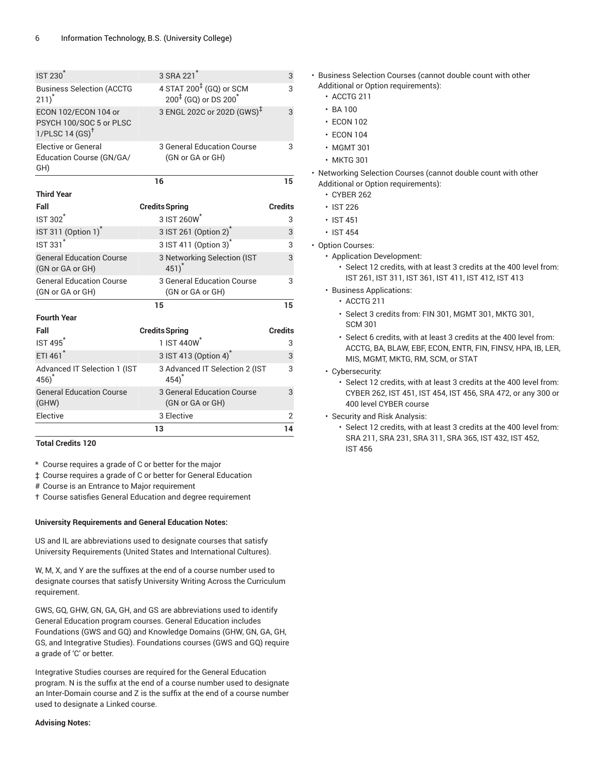| <b>IST 230<sup>*</sup></b>                                                    | 3 SRA 221 <sup>*</sup>                                                  | 3              |
|-------------------------------------------------------------------------------|-------------------------------------------------------------------------|----------------|
| <b>Business Selection (ACCTG</b><br>$211)^*$                                  | $4$ STAT 200 <sup>‡</sup> (GQ) or SCM<br>$200^{1}$ (GQ) or DS $200^{*}$ | 3              |
| ECON 102/ECON 104 or<br>PSYCH 100/SOC 5 or PLSC<br>1/PLSC 14 $(SS)^{\dagger}$ | 3 ENGL 202C or 202D (GWS) <sup>‡</sup>                                  | 3              |
| <b>Elective or General</b><br>Education Course (GN/GA/<br>GH)                 | 3 General Education Course<br>(GN or GA or GH)                          | 3              |
|                                                                               | 16                                                                      | 15             |
| <b>Third Year</b>                                                             |                                                                         |                |
| Fall                                                                          | <b>Credits Spring</b>                                                   | <b>Credits</b> |
| IST 302 <sup>*</sup>                                                          | 3 IST 260W                                                              | 3              |
| IST 311 (Option 1) <sup>*</sup>                                               | 3 IST 261 (Option 2)                                                    | 3              |
| <b>IST 331<sup>*</sup></b>                                                    | 3 IST 411 (Option 3) <sup>*</sup>                                       | 3              |
| <b>General Education Course</b><br>(GN or GA or GH)                           | 3 Networking Selection (IST<br>$451)^*$                                 | 3              |
| <b>General Education Course</b><br>(GN or GA or GH)                           | 3 General Education Course<br>(GN or GA or GH)                          | 3              |
|                                                                               | 15                                                                      | 15             |
| <b>Fourth Year</b>                                                            |                                                                         |                |
| Fall                                                                          | <b>Credits Spring</b>                                                   | <b>Credits</b> |
| <b>IST 495<sup>*</sup></b>                                                    | 1 IST 440W                                                              | 3              |
| ETI 461 <sup>*</sup>                                                          | 3 IST 413 (Option 4)                                                    | 3              |
| Advanced IT Selection 1 (IST<br>$456)^*$                                      | 3 Advanced IT Selection 2 (IST<br>$454)^*$                              | 3              |
| <b>General Education Course</b><br>(GHW)                                      | 3 General Education Course<br>(GN or GA or GH)                          | 3              |
| Elective                                                                      | 3 Elective                                                              | $\overline{2}$ |
|                                                                               | 13                                                                      | 14             |

**Total Credits 120**

\* Course requires a grade of C or better for the major

‡ Course requires a grade of C or better for General Education

# Course is an Entrance to Major requirement

† Course satisfies General Education and degree requirement

#### **University Requirements and General Education Notes:**

US and IL are abbreviations used to designate courses that satisfy University Requirements (United States and International Cultures).

W, M, X, and Y are the suffixes at the end of a course number used to designate courses that satisfy University Writing Across the Curriculum requirement.

GWS, GQ, GHW, GN, GA, GH, and GS are abbreviations used to identify General Education program courses. General Education includes Foundations (GWS and GQ) and Knowledge Domains (GHW, GN, GA, GH, GS, and Integrative Studies). Foundations courses (GWS and GQ) require a grade of 'C' or better.

Integrative Studies courses are required for the General Education program. N is the suffix at the end of a course number used to designate an Inter-Domain course and Z is the suffix at the end of a course number used to designate a Linked course.

#### **Advising Notes:**

• Business Selection Courses (cannot double count with other Additional or Option requirements):

- ACCTG 211
- BA 100
- ECON 102
- ECON 104
- MGMT 301
- MKTG 301

• Networking Selection Courses (cannot double count with other Additional or Option requirements):

- CYBER 262
- IST 226
- IST 451
- IST 454
- Option Courses:
	- Application Development:
		- Select 12 credits, with at least 3 credits at the 400 level from: IST 261, IST 311, IST 361, IST 411, IST 412, IST 413
	- Business Applications:
	- ACCTG 211
		- Select 3 credits from: FIN 301, MGMT 301, MKTG 301, SCM 301
		- Select 6 credits, with at least 3 credits at the 400 level from: ACCTG, BA, BLAW, EBF, ECON, ENTR, FIN, FINSV, HPA, IB, LER, MIS, MGMT, MKTG, RM, SCM, or STAT
	- Cybersecurity:
		- Select 12 credits, with at least 3 credits at the 400 level from: CYBER 262, IST 451, IST 454, IST 456, SRA 472, or any 300 or 400 level CYBER course
	- Security and Risk Analysis:
		- Select 12 credits, with at least 3 credits at the 400 level from: SRA 211, SRA 231, SRA 311, SRA 365, IST 432, IST 452, IST 456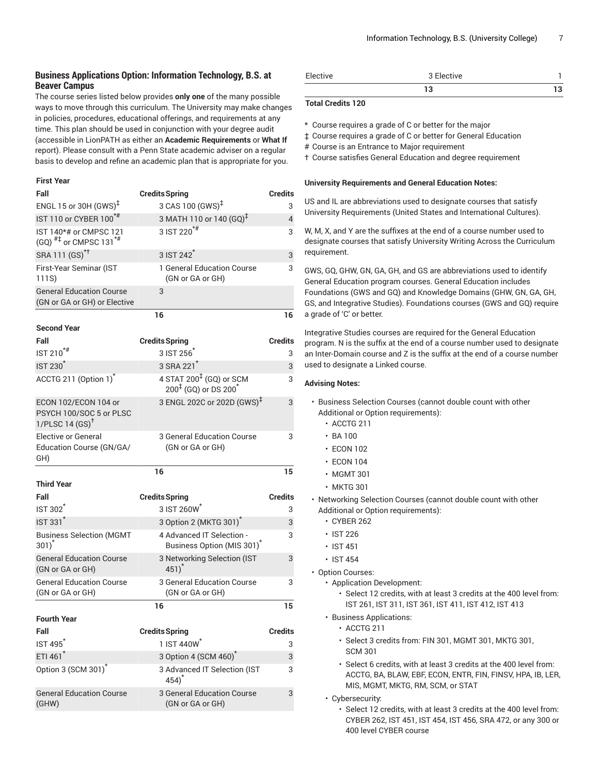## **Business Applications Option: Information Technology, B.S. at Beaver Campus**

The course series listed below provides **only one** of the many possible ways to move through this curriculum. The University may make changes in policies, procedures, educational offerings, and requirements at any time. This plan should be used in conjunction with your degree audit (accessible in LionPATH as either an **Academic Requirements** or **What If** report). Please consult with a Penn State academic adviser on a regular basis to develop and refine an academic plan that is appropriate for you.

#### **First Year**

| Fall                                                                          | <b>Credits Spring</b>                                                                  | <b>Credits</b> |
|-------------------------------------------------------------------------------|----------------------------------------------------------------------------------------|----------------|
| ENGL 15 or 30H (GWS) <sup>‡</sup>                                             | 3 CAS 100 (GWS) <sup>‡</sup>                                                           | 3              |
| IST 110 or CYBER 100 <sup>*#</sup>                                            | 3 MATH 110 or 140 (GQ) <sup>‡</sup>                                                    | $\overline{4}$ |
| IST 140*# or CMPSC 121<br>(GQ) $^{#1}$ or CMPSC 131 <sup>*#</sup>             | 3 IST 220 <sup>*#</sup>                                                                | 3              |
| SRA 111 (GS) <sup>*†</sup>                                                    | 3 IST 242 <sup>*</sup>                                                                 | 3              |
| First-Year Seminar (IST<br>111S)                                              | 1 General Education Course<br>(GN or GA or GH)                                         | 3              |
| <b>General Education Course</b><br>(GN or GA or GH) or Elective               | 3                                                                                      |                |
|                                                                               | 16                                                                                     | 16             |
| <b>Second Year</b>                                                            |                                                                                        |                |
| Fall                                                                          | <b>Credits Spring</b>                                                                  | <b>Credits</b> |
| IST 210 <sup>*#</sup>                                                         | 3 IST 256                                                                              | 3              |
| <b>IST 230<sup>*</sup></b>                                                    | 3 SRA 221 <sup>*</sup>                                                                 | 3              |
| ACCTG 211 (Option 1) <sup>*</sup>                                             | 4 STAT 200 <sup>‡</sup> (GQ) or SCM<br>$200^{\frac{1}{5}}$ (GQ) or DS 200 <sup>*</sup> | 3              |
| ECON 102/ECON 104 or<br>PSYCH 100/SOC 5 or PLSC<br>1/PLSC 14 $(SS)^{\dagger}$ | 3 ENGL 202C or 202D (GWS) <sup>‡</sup>                                                 | 3              |
| Elective or General<br>Education Course (GN/GA/<br>GH)                        | 3 General Education Course<br>(GN or GA or GH)                                         | 3              |
|                                                                               | 16                                                                                     | 15             |
| <b>Third Year</b>                                                             |                                                                                        |                |
| Fall                                                                          | <b>Credits Spring</b>                                                                  | <b>Credits</b> |
| <b>IST 302</b>                                                                | 3 IST 260W                                                                             | 3              |
| <b>IST 331<sup>*</sup></b>                                                    | 3 Option 2 (MKTG 301) <sup>*</sup>                                                     | 3              |
| <b>Business Selection (MGMT</b><br>$301)^*$                                   | 4 Advanced IT Selection -<br>Business Option (MIS 301) <sup>*</sup>                    | 3              |
| <b>General Education Course</b><br>(GN or GA or GH)                           | 3 Networking Selection (IST<br>$451)^*$                                                | 3              |
| <b>General Education Course</b><br>(GN or GA or GH)                           | 3 General Education Course<br>(GN or GA or GH)                                         | 3              |
|                                                                               | 16                                                                                     | 15             |
| Fourth Year                                                                   |                                                                                        |                |
| Fall                                                                          | <b>Credits Spring</b>                                                                  | <b>Credits</b> |
| <b>IST 495</b>                                                                | 1 IST 440W <sup>*</sup>                                                                | 3              |
| ETI 461 <sup>*</sup>                                                          | 3 Option 4 (SCM 460) <sup>*</sup>                                                      | 3              |
| Option 3 (SCM 301) <sup>*</sup>                                               | 3 Advanced IT Selection (IST<br>$454)^*$                                               | 3              |
| <b>General Education Course</b>                                               | 3 General Education Course                                                             | 3              |

| Elective | 3 Elective |  |
|----------|------------|--|
|          |            |  |

### **Total Credits 120**

\* Course requires a grade of C or better for the major

‡ Course requires a grade of C or better for General Education

# Course is an Entrance to Major requirement

† Course satisfies General Education and degree requirement

#### **University Requirements and General Education Notes:**

US and IL are abbreviations used to designate courses that satisfy University Requirements (United States and International Cultures).

W, M, X, and Y are the suffixes at the end of a course number used to designate courses that satisfy University Writing Across the Curriculum requirement.

GWS, GQ, GHW, GN, GA, GH, and GS are abbreviations used to identify General Education program courses. General Education includes Foundations (GWS and GQ) and Knowledge Domains (GHW, GN, GA, GH, GS, and Integrative Studies). Foundations courses (GWS and GQ) require a grade of 'C' or better.

Integrative Studies courses are required for the General Education program. N is the suffix at the end of a course number used to designate an Inter-Domain course and Z is the suffix at the end of a course number used to designate a Linked course.

- Business Selection Courses (cannot double count with other Additional or Option requirements):
	- ACCTG 211
	- $\cdot$  BA 100
	- ECON 102
	- ECON 104
	- MGMT 301
	- MKTG 301
- Networking Selection Courses (cannot double count with other Additional or Option requirements):
	- CYBER 262
	- IST 226
	- IST 451
	- IST 454
- Option Courses:
	- Application Development:
		- Select 12 credits, with at least 3 credits at the 400 level from: IST 261, IST 311, IST 361, IST 411, IST 412, IST 413
	- Business Applications:
		- ACCTG 211
		- Select 3 credits from: FIN 301, MGMT 301, MKTG 301, SCM 301
		- Select 6 credits, with at least 3 credits at the 400 level from: ACCTG, BA, BLAW, EBF, ECON, ENTR, FIN, FINSV, HPA, IB, LER, MIS, MGMT, MKTG, RM, SCM, or STAT
	- Cybersecurity:
		- Select 12 credits, with at least 3 credits at the 400 level from: CYBER 262, IST 451, IST 454, IST 456, SRA 472, or any 300 or 400 level CYBER course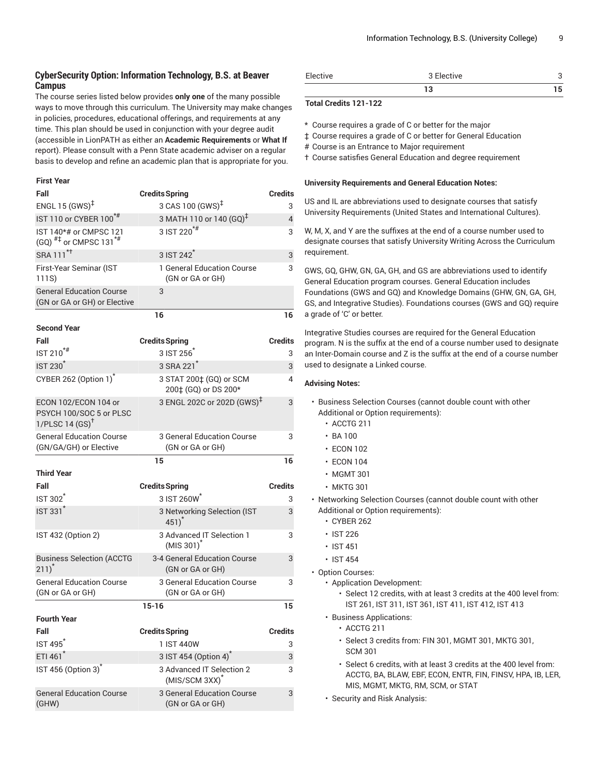# **CyberSecurity Option: Information Technology, B.S. at Beaver Campus**

The course series listed below provides **only one** of the many possible ways to move through this curriculum. The University may make changes in policies, procedures, educational offerings, and requirements at any time. This plan should be used in conjunction with your degree audit (accessible in LionPATH as either an **Academic Requirements** or **What If** report). Please consult with a Penn State academic adviser on a regular basis to develop and refine an academic plan that is appropriate for you.

#### **First Year**

| Fall                                                                          | <b>Credits Spring</b>                                   | <b>Credits</b> |
|-------------------------------------------------------------------------------|---------------------------------------------------------|----------------|
| ENGL 15 $(GWS)^{\ddagger}$                                                    | 3 CAS 100 (GWS) <sup>‡</sup>                            | 3              |
| IST 110 or CYBER 100 <sup>*#</sup>                                            | 3 MATH 110 or 140 $(GQ)^{\ddagger}$                     | 4              |
| IST 140*# or CMPSC 121<br>$(GQ)$ <sup>#‡</sup> or CMPSC 131 <sup>*#</sup>     | 3 IST 220 <sup>*#</sup>                                 | 3              |
| SRA 111 <sup>*+</sup>                                                         | 3 IST 242 <sup>*</sup>                                  | 3              |
| First-Year Seminar (IST<br>111S)                                              | 1 General Education Course<br>(GN or GA or GH)          | 3              |
| <b>General Education Course</b><br>(GN or GA or GH) or Elective               | 3                                                       |                |
|                                                                               | 16                                                      | 16             |
| <b>Second Year</b>                                                            |                                                         |                |
| Fall                                                                          | <b>Credits Spring</b>                                   | Credits        |
| IST 210 <sup>*#</sup>                                                         | 3 IST 256                                               | 3              |
| <b>IST 230<sup>*</sup></b>                                                    | 3 SRA 221 <sup>*</sup>                                  | 3              |
| CYBER 262 (Option 1) <sup>*</sup>                                             | 3 STAT 200‡ (GQ) or SCM<br>200‡ (GQ) or DS 200*         | 4              |
| ECON 102/ECON 104 or<br>PSYCH 100/SOC 5 or PLSC<br>1/PLSC 14 $(SS)^{\dagger}$ | 3 ENGL 202C or 202D (GWS) <sup>‡</sup>                  | 3              |
| <b>General Education Course</b><br>(GN/GA/GH) or Elective                     | 3 General Education Course<br>(GN or GA or GH)          | 3              |
|                                                                               | 15                                                      | 16             |
| <b>Third Year</b>                                                             |                                                         |                |
| Fall                                                                          | <b>Credits Spring</b>                                   | Credits        |
| IST 302 <sup>*</sup>                                                          | 3 IST 260W                                              | 3              |
| <b>IST 331<sup>*</sup></b>                                                    | 3 Networking Selection (IST<br>$451)^*$                 | 3              |
| IST 432 (Option 2)                                                            | 3 Advanced IT Selection 1<br>$(MIS 301)^*$              | 3              |
| <b>Business Selection (ACCTG</b><br>$211)^*$                                  | 3-4 General Education Course<br>(GN or GA or GH)        | 3              |
| <b>General Education Course</b><br>(GN or GA or GH)                           | 3 General Education Course<br>(GN or GA or GH)          | 3              |
|                                                                               | $15-16$                                                 | 15             |
| <b>Fourth Year</b>                                                            |                                                         |                |
| Fall                                                                          | <b>Credits Spring</b>                                   | <b>Credits</b> |
| <b>IST 495<sup>*</sup></b>                                                    | 1 IST 440W                                              | 3              |
| ETI 461*                                                                      | 3 IST 454 (Option 4) <sup>*</sup>                       | 3              |
| IST 456 (Option 3)                                                            | 3 Advanced IT Selection 2<br>(MIS/SCM 3XX) <sup>*</sup> | 3              |
| <b>General Education Course</b><br>(GHW)                                      | 3 General Education Course<br>(GN or GA or GH)          | 3              |

| Elective | 3 Elective |  |
|----------|------------|--|
|          |            |  |

### **Total Credits 121-122**

\* Course requires a grade of C or better for the major

‡ Course requires a grade of C or better for General Education

# Course is an Entrance to Major requirement

† Course satisfies General Education and degree requirement

#### **University Requirements and General Education Notes:**

US and IL are abbreviations used to designate courses that satisfy University Requirements (United States and International Cultures).

W, M, X, and Y are the suffixes at the end of a course number used to designate courses that satisfy University Writing Across the Curriculum requirement.

GWS, GQ, GHW, GN, GA, GH, and GS are abbreviations used to identify General Education program courses. General Education includes Foundations (GWS and GQ) and Knowledge Domains (GHW, GN, GA, GH, GS, and Integrative Studies). Foundations courses (GWS and GQ) require a grade of 'C' or better.

Integrative Studies courses are required for the General Education program. N is the suffix at the end of a course number used to designate an Inter-Domain course and Z is the suffix at the end of a course number used to designate a Linked course.

- Business Selection Courses (cannot double count with other Additional or Option requirements):
	- ACCTG 211
	- BA 100
	- ECON 102
	- ECON 104
	- MGMT 301
	- MKTG 301
- Networking Selection Courses (cannot double count with other Additional or Option requirements):
	- CYBER 262
	- IST 226
	- IST 451
	- IST 454
- Option Courses:
	- Application Development:
		- Select 12 credits, with at least 3 credits at the 400 level from: IST 261, IST 311, IST 361, IST 411, IST 412, IST 413
	- Business Applications:
		- ACCTG 211
		- Select 3 credits from: FIN 301, MGMT 301, MKTG 301, SCM 301
		- Select 6 credits, with at least 3 credits at the 400 level from: ACCTG, BA, BLAW, EBF, ECON, ENTR, FIN, FINSV, HPA, IB, LER, MIS, MGMT, MKTG, RM, SCM, or STAT
	- Security and Risk Analysis: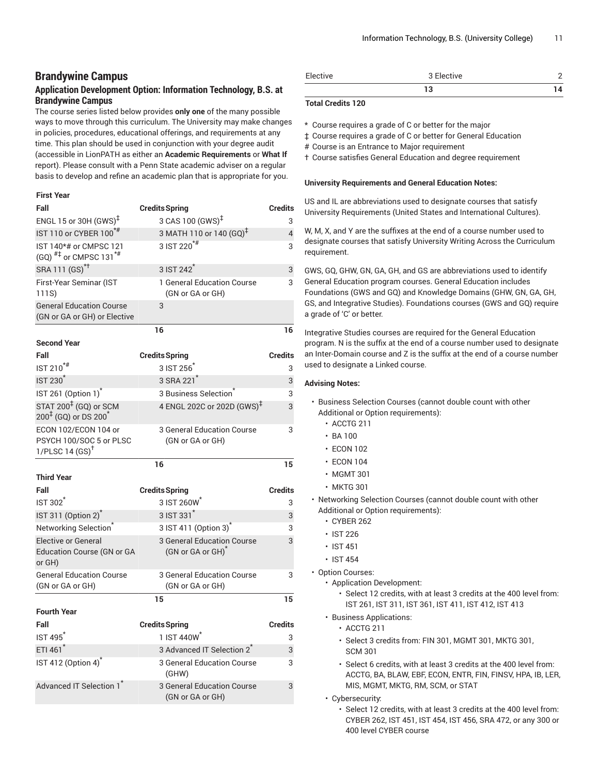# **Brandywine Campus**

# **Application Development Option: Information Technology, B.S. at Brandywine Campus**

The course series listed below provides **only one** of the many possible ways to move through this curriculum. The University may make changes in policies, procedures, educational offerings, and requirements at any time. This plan should be used in conjunction with your degree audit (accessible in LionPATH as either an **Academic Requirements** or **What If** report). Please consult with a Penn State academic adviser on a regular basis to develop and refine an academic plan that is appropriate for you.

#### **First Year**

| Fall                                                                          | <b>Credits Spring</b>                                       | <b>Credits</b> |
|-------------------------------------------------------------------------------|-------------------------------------------------------------|----------------|
| ENGL 15 or 30H $(GWS)^{\ddagger}$                                             | 3 CAS 100 (GWS) <sup>‡</sup>                                | 3              |
| IST 110 or CYBER 100 <sup>*#</sup>                                            | 3 MATH 110 or 140 (GQ) <sup>‡</sup>                         | 4              |
| IST 140*# or CMPSC 121<br>(GQ) $^{#}$ or CMPSC 131 <sup>*#</sup>              | 3 IST 220 <sup>*#</sup>                                     | 3              |
| SRA 111 (GS) <sup>*†</sup>                                                    | 3 IST 242 <sup>*</sup>                                      | 3              |
| First-Year Seminar (IST<br>111S)                                              | 1 General Education Course<br>(GN or GA or GH)              | 3              |
| <b>General Education Course</b><br>(GN or GA or GH) or Elective               | 3                                                           |                |
|                                                                               | 16                                                          | 16             |
| <b>Second Year</b>                                                            |                                                             |                |
| Fall                                                                          | <b>Credits Spring</b>                                       | <b>Credits</b> |
| IST $210^{**}$                                                                | 3 IST 256                                                   | 3              |
| <b>IST 230<sup>*</sup></b>                                                    | 3 SRA 221 <sup>*</sup>                                      | 3              |
| IST 261 (Option 1) <sup>*</sup>                                               | 3 Business Selection                                        | 3              |
| STAT 200 <sup>‡</sup> (GQ) or SCM<br>$200^{1}$ (GQ) or DS 200 <sup>*</sup>    | 4 ENGL 202C or 202D (GWS) <sup>‡</sup>                      | 3              |
| ECON 102/ECON 104 or<br>PSYCH 100/SOC 5 or PLSC<br>1/PLSC 14 $(SS)^{\dagger}$ | 3 General Education Course<br>(GN or GA or GH)              | 3              |
|                                                                               |                                                             |                |
|                                                                               | 16                                                          | 15             |
| <b>Third Year</b>                                                             |                                                             |                |
| Fall                                                                          | <b>Credits Spring</b>                                       | <b>Credits</b> |
| $IST 302^*$                                                                   | 3 IST 260W                                                  | 3              |
| IST 311 (Option 2) <sup>*</sup>                                               | 3 IST 331 <sup>*</sup>                                      | 3              |
| Networking Selection <sup>*</sup>                                             | 3 IST 411 (Option 3) <sup>*</sup>                           | 3              |
| <b>Elective or General</b><br><b>Education Course (GN or GA</b><br>or GH)     | 3 General Education Course<br>(GN or GA or GH) <sup>*</sup> | 3              |
| <b>General Education Course</b><br>(GN or GA or GH)                           | 3 General Education Course<br>(GN or GA or GH)              | 3              |
|                                                                               | 15                                                          | 15             |
| <b>Fourth Year</b>                                                            |                                                             |                |
| Fall                                                                          | <b>Credits Spring</b>                                       | <b>Credits</b> |
| IST495                                                                        | 1 IST 440W                                                  | 3              |
| ETI 461*                                                                      | 3 Advanced IT Selection 2 <sup>*</sup>                      | 3              |
| IST 412 (Option 4) <sup>*</sup>                                               | <b>3 General Education Course</b><br>(GHW)                  | 3              |

| Elective | 3 Elective |  |
|----------|------------|--|
|          | . .        |  |

### **Total Credits 120**

\* Course requires a grade of C or better for the major

‡ Course requires a grade of C or better for General Education

- # Course is an Entrance to Major requirement
- † Course satisfies General Education and degree requirement

#### **University Requirements and General Education Notes:**

US and IL are abbreviations used to designate courses that satisfy University Requirements (United States and International Cultures).

W, M, X, and Y are the suffixes at the end of a course number used to designate courses that satisfy University Writing Across the Curriculum requirement.

GWS, GQ, GHW, GN, GA, GH, and GS are abbreviations used to identify General Education program courses. General Education includes Foundations (GWS and GQ) and Knowledge Domains (GHW, GN, GA, GH, GS, and Integrative Studies). Foundations courses (GWS and GQ) require a grade of 'C' or better.

Integrative Studies courses are required for the General Education program. N is the suffix at the end of a course number used to designate an Inter-Domain course and Z is the suffix at the end of a course number used to designate a Linked course.

- Business Selection Courses (cannot double count with other Additional or Option requirements):
	- ACCTG 211
	- $\cdot$  BA 100
	- ECON 102
	- ECON 104
	- MGMT 301
	- MKTG 301
- Networking Selection Courses (cannot double count with other Additional or Option requirements):
	- CYBER 262
	- IST 226
	- IST 451
	- IST 454
- Option Courses:
	- Application Development:
		- Select 12 credits, with at least 3 credits at the 400 level from: IST 261, IST 311, IST 361, IST 411, IST 412, IST 413
	- Business Applications:
		- ACCTG 211
		- Select 3 credits from: FIN 301, MGMT 301, MKTG 301, SCM 301
		- Select 6 credits, with at least 3 credits at the 400 level from: ACCTG, BA, BLAW, EBF, ECON, ENTR, FIN, FINSV, HPA, IB, LER, MIS, MGMT, MKTG, RM, SCM, or STAT
	- Cybersecurity:
		- Select 12 credits, with at least 3 credits at the 400 level from: CYBER 262, IST 451, IST 454, IST 456, SRA 472, or any 300 or 400 level CYBER course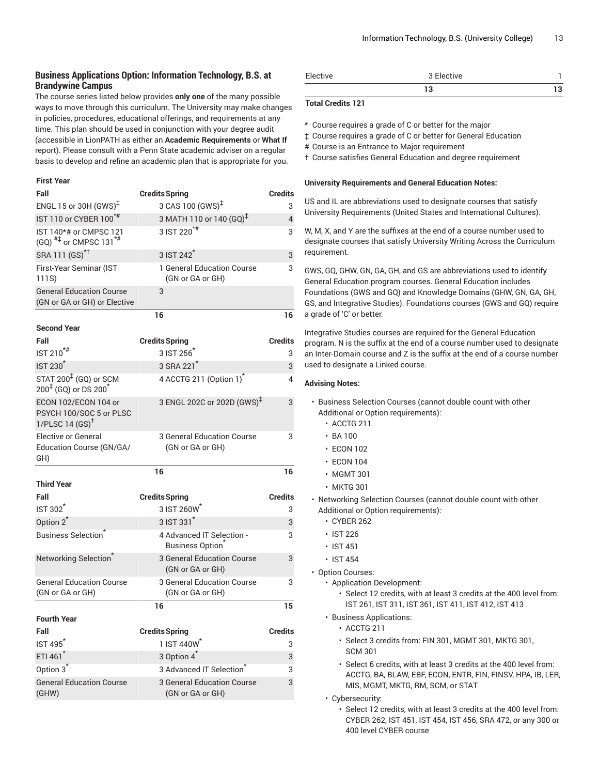# **Business Applications Option: Information Technology, B.S. at Brandywine Campus**

The course series listed below provides **only one** of the many possible ways to move through this curriculum. The University may make changes in policies, procedures, educational offerings, and requirements at any time. This plan should be used in conjunction with your degree audit (accessible in LionPATH as either an **Academic Requirements** or **What If** report). Please consult with a Penn State academic adviser on a regular basis to develop and refine an academic plan that is appropriate for you.

#### **First Year**

| Fall                                                                              | <b>Credits Spring</b>                                 | <b>Credits</b>      |
|-----------------------------------------------------------------------------------|-------------------------------------------------------|---------------------|
| ENGL 15 or 30H $(GWS)^{\ddagger}$                                                 | 3 CAS 100 (GWS) <sup>‡</sup>                          | 3                   |
| IST 110 or CYBER 100 <sup>*#</sup>                                                | 3 MATH 110 or 140 (GQ) <sup>‡</sup>                   | $\overline{4}$      |
| IST 140*# or CMPSC 121<br>$(GQ)$ <sup>#‡</sup> or CMPSC 131 <sup>*#</sup>         | 3 IST 220 <sup>*#</sup>                               | 3                   |
| SRA 111 (GS) <sup>*†</sup>                                                        | 3 IST 242 <sup>*</sup>                                | 3                   |
| First-Year Seminar (IST<br>111S)                                                  | 1 General Education Course<br>(GN or GA or GH)        | 3                   |
| <b>General Education Course</b><br>(GN or GA or GH) or Elective                   | 3                                                     |                     |
|                                                                                   | 16                                                    | 16                  |
| <b>Second Year</b>                                                                |                                                       |                     |
| Fall<br>IST 210 <sup>*#</sup>                                                     | <b>Credits Spring</b><br>3 IST 256                    | <b>Credits</b><br>3 |
| <b>IST 230<sup>*</sup></b>                                                        | 3 SRA 221 <sup>*</sup>                                | 3                   |
| STAT 200 <sup>‡</sup> (GQ) or SCM<br>200 <sup>‡</sup> (GQ) or DS 200 <sup>*</sup> | 4 ACCTG 211 (Option 1)                                | 4                   |
| ECON 102/ECON 104 or<br>PSYCH 100/SOC 5 or PLSC<br>1/PLSC 14 $(SS)^{\dagger}$     | 3 ENGL 202C or 202D (GWS) <sup>‡</sup>                | 3                   |
| <b>Elective or General</b><br>Education Course (GN/GA/<br>GH)                     | 3 General Education Course<br>(GN or GA or GH)        | 3                   |
|                                                                                   | 16                                                    | 16                  |
| <b>Third Year</b>                                                                 |                                                       |                     |
| Fall                                                                              | <b>Credits Spring</b>                                 | <b>Credits</b>      |
| <b>IST 302</b>                                                                    | 3 IST 260W                                            | 3                   |
| Option 2 <sup>*</sup>                                                             | 3 IST 331 <sup>*</sup>                                | 3                   |
| <b>Business Selection</b> <sup>®</sup>                                            | 4 Advanced IT Selection -<br><b>Business Option</b>   | 3                   |
| Networking Selection <sup>®</sup>                                                 | 3 General Education Course<br>(GN or GA or GH)        | 3                   |
| <b>General Education Course</b><br>(GN or GA or GH)                               | 3 General Education Course<br>(GN or GA or GH)        | 3                   |
|                                                                                   | 16                                                    | 15                  |
| <b>Fourth Year</b>                                                                |                                                       |                     |
| Fall                                                                              | <b>Credits Spring</b>                                 | <b>Credits</b>      |
| <b>IST 495<sup>*</sup></b>                                                        | 1 IST 440W <sup>*</sup>                               | 3                   |
| ETI 461*                                                                          | 3 Option 4 <sup>*</sup>                               | 3                   |
| Option 3                                                                          | 3 Advanced IT Selection                               | 3                   |
| <b>General Education Course</b><br>(GHW)                                          | <b>3 General Education Course</b><br>(GN or GA or GH) | 3                   |

| Elective | $\sim$ $-1$<br>' Elective |  |
|----------|---------------------------|--|
|          |                           |  |

### **Total Credits 121**

\* Course requires a grade of C or better for the major

‡ Course requires a grade of C or better for General Education

# Course is an Entrance to Major requirement

† Course satisfies General Education and degree requirement

#### **University Requirements and General Education Notes:**

US and IL are abbreviations used to designate courses that satisfy University Requirements (United States and International Cultures).

W, M, X, and Y are the suffixes at the end of a course number used to designate courses that satisfy University Writing Across the Curriculum requirement.

GWS, GQ, GHW, GN, GA, GH, and GS are abbreviations used to identify General Education program courses. General Education includes Foundations (GWS and GQ) and Knowledge Domains (GHW, GN, GA, GH, GS, and Integrative Studies). Foundations courses (GWS and GQ) require a grade of 'C' or better.

Integrative Studies courses are required for the General Education program. N is the suffix at the end of a course number used to designate an Inter-Domain course and Z is the suffix at the end of a course number used to designate a Linked course.

- Business Selection Courses (cannot double count with other Additional or Option requirements):
	- ACCTG 211
	- $\cdot$  BA 100
	- ECON 102
	- ECON 104
	- MGMT 301
	- MKTG 301
- Networking Selection Courses (cannot double count with other Additional or Option requirements):
	- CYBER 262
	- IST 226
	- IST 451
	- IST 454
- Option Courses:
	- Application Development:
		- Select 12 credits, with at least 3 credits at the 400 level from: IST 261, IST 311, IST 361, IST 411, IST 412, IST 413
	- Business Applications:
		- ACCTG 211
		- Select 3 credits from: FIN 301, MGMT 301, MKTG 301, SCM 301
		- Select 6 credits, with at least 3 credits at the 400 level from: ACCTG, BA, BLAW, EBF, ECON, ENTR, FIN, FINSV, HPA, IB, LER, MIS, MGMT, MKTG, RM, SCM, or STAT
	- Cybersecurity:
		- Select 12 credits, with at least 3 credits at the 400 level from: CYBER 262, IST 451, IST 454, IST 456, SRA 472, or any 300 or 400 level CYBER course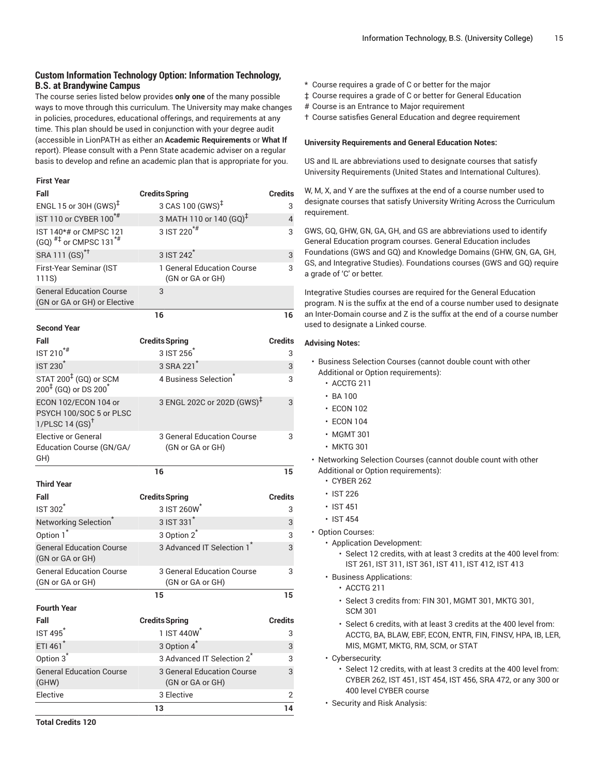# **Custom Information Technology Option: Information Technology, B.S. at Brandywine Campus**

The course series listed below provides **only one** of the many possible ways to move through this curriculum. The University may make changes in policies, procedures, educational offerings, and requirements at any time. This plan should be used in conjunction with your degree audit (accessible in LionPATH as either an **Academic Requirements** or **What If** report). Please consult with a Penn State academic adviser on a regular basis to develop and refine an academic plan that is appropriate for you.

#### **First Year**

| Fall                                                                              | <b>Credits Spring</b>                                 | <b>Credits</b> |
|-----------------------------------------------------------------------------------|-------------------------------------------------------|----------------|
| ENGL 15 or 30H (GWS) <sup>‡</sup>                                                 | 3 CAS 100 (GWS) <sup>‡</sup>                          | 3              |
| IST 110 or CYBER 100 <sup>*#</sup>                                                | 3 MATH 110 or 140 (GQ) <sup>‡</sup>                   | $\overline{4}$ |
| IST 140*# or CMPSC 121<br>$(GQ)$ <sup>#‡</sup> or CMPSC 131 <sup>*#</sup>         | 3 IST 220 <sup>*#</sup>                               | 3              |
| SRA 111 (GS) <sup>*†</sup>                                                        | 3 IST 242 <sup>*</sup>                                | 3              |
| First-Year Seminar (IST<br>111S)                                                  | 1 General Education Course<br>(GN or GA or GH)        | 3              |
| <b>General Education Course</b><br>(GN or GA or GH) or Elective                   | 3                                                     |                |
|                                                                                   | 16                                                    | 16             |
| <b>Second Year</b>                                                                |                                                       |                |
| Fall                                                                              | <b>Credits Spring</b>                                 | <b>Credits</b> |
| $IST 210$ <sup>*#</sup>                                                           | 3 IST 256                                             | 3              |
| <b>IST 230<sup>*</sup></b>                                                        | 3 SRA 221 <sup>*</sup>                                | 3              |
| STAT 200 <sup>‡</sup> (GQ) or SCM<br>200 <sup>‡</sup> (GQ) or DS 200 <sup>*</sup> | 4 Business Selection                                  | 3              |
| ECON 102/ECON 104 or<br>PSYCH 100/SOC 5 or PLSC<br>1/PLSC 14 $(SS)^{\dagger}$     | 3 ENGL 202C or 202D (GWS) <sup>‡</sup>                | 3              |
| <b>Elective or General</b><br>Education Course (GN/GA/<br>GH)                     | 3 General Education Course<br>(GN or GA or GH)        | 3              |
|                                                                                   | 16                                                    | 15             |
| <b>Third Year</b>                                                                 |                                                       |                |
| Fall                                                                              | <b>Credits Spring</b>                                 | <b>Credits</b> |
| <b>IST 302<sup>*</sup></b>                                                        | 3 IST 260W                                            | 3              |
| Networking Selection <sup>®</sup>                                                 | 3 IST 331 <sup>*</sup>                                | 3              |
| Option 1*                                                                         | 3 Option 2 <sup>*</sup>                               | 3              |
| <b>General Education Course</b><br>(GN or GA or GH)                               | 3 Advanced IT Selection 1                             | 3              |
| <b>General Education Course</b><br>(GN or GA or GH)                               | 3 General Education Course<br>(GN or GA or GH)        | 3              |
|                                                                                   | 15                                                    | 15             |
| <b>Fourth Year</b>                                                                |                                                       |                |
| Fall                                                                              | <b>Credits Spring</b>                                 | <b>Credits</b> |
| <b>IST 495</b>                                                                    | 1 IST 440W <sup>*</sup>                               | 3              |
| ETI 461*                                                                          | 3 Option 4 <sup>*</sup>                               | 3              |
| Option 3 <sup>*</sup>                                                             | 3 Advanced IT Selection 2 <sup>*</sup>                | 3              |
| <b>General Education Course</b><br>(GHW)                                          | <b>3 General Education Course</b><br>(GN or GA or GH) | 3              |
| Elective                                                                          | 3 Elective                                            | 2              |
|                                                                                   | 13                                                    | 14             |

- \* Course requires a grade of C or better for the major
- ‡ Course requires a grade of C or better for General Education
- # Course is an Entrance to Major requirement
- † Course satisfies General Education and degree requirement

#### **University Requirements and General Education Notes:**

US and IL are abbreviations used to designate courses that satisfy University Requirements (United States and International Cultures).

W, M, X, and Y are the suffixes at the end of a course number used to designate courses that satisfy University Writing Across the Curriculum requirement.

GWS, GQ, GHW, GN, GA, GH, and GS are abbreviations used to identify General Education program courses. General Education includes Foundations (GWS and GQ) and Knowledge Domains (GHW, GN, GA, GH, GS, and Integrative Studies). Foundations courses (GWS and GQ) require a grade of 'C' or better.

Integrative Studies courses are required for the General Education program. N is the suffix at the end of a course number used to designate an Inter-Domain course and Z is the suffix at the end of a course number used to designate a Linked course.

- Business Selection Courses (cannot double count with other Additional or Option requirements):
	- ACCTG 211
	- BA 100
	- ECON 102
	- ECON 104
	- MGMT 301
	- MKTG 301
- Networking Selection Courses (cannot double count with other Additional or Option requirements):
	- CYBER 262
	- IST 226
	- IST 451
	- IST 454
- Option Courses:
	- Application Development:
		- Select 12 credits, with at least 3 credits at the 400 level from: IST 261, IST 311, IST 361, IST 411, IST 412, IST 413
	- Business Applications:
		- ACCTG 211
		- Select 3 credits from: FIN 301, MGMT 301, MKTG 301, SCM 301
		- Select 6 credits, with at least 3 credits at the 400 level from: ACCTG, BA, BLAW, EBF, ECON, ENTR, FIN, FINSV, HPA, IB, LER, MIS, MGMT, MKTG, RM, SCM, or STAT
	- Cybersecurity:
		- Select 12 credits, with at least 3 credits at the 400 level from: CYBER 262, IST 451, IST 454, IST 456, SRA 472, or any 300 or 400 level CYBER course
	- Security and Risk Analysis: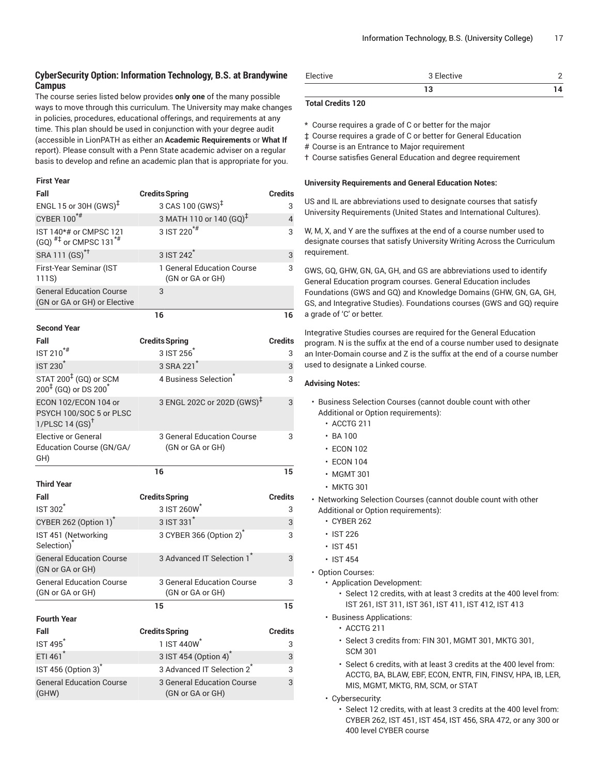# **CyberSecurity Option: Information Technology, B.S. at Brandywine Campus**

The course series listed below provides **only one** of the many possible ways to move through this curriculum. The University may make changes in policies, procedures, educational offerings, and requirements at any time. This plan should be used in conjunction with your degree audit (accessible in LionPATH as either an **Academic Requirements** or **What If** report). Please consult with a Penn State academic adviser on a regular basis to develop and refine an academic plan that is appropriate for you.

#### **First Year**

| Fall                                                                          | <b>Credits Spring</b>                          | <b>Credits</b> |
|-------------------------------------------------------------------------------|------------------------------------------------|----------------|
| ENGL 15 or 30H (GWS) <sup>‡</sup>                                             | 3 CAS 100 (GWS) <sup>‡</sup>                   | 3              |
| CYBER 100 <sup>*#</sup>                                                       | 3 MATH 110 or 140 $(GQ)^{\ddagger}$            | $\overline{4}$ |
| IST 140*# or CMPSC 121<br>$(GQ)$ <sup>#‡</sup> or CMPSC 131 <sup>*#</sup>     | $3$ IST 220 <sup>*#</sup>                      | 3              |
| SRA 111 (GS) <sup>*†</sup>                                                    | 3 IST 242 <sup>*</sup>                         | 3              |
| First-Year Seminar (IST<br>111S)                                              | 1 General Education Course<br>(GN or GA or GH) | 3              |
| <b>General Education Course</b><br>(GN or GA or GH) or Elective               | 3                                              |                |
|                                                                               | 16                                             | 16             |
| <b>Second Year</b>                                                            |                                                |                |
| Fall                                                                          | <b>Credits Spring</b>                          | <b>Credits</b> |
| IST 210 <sup>*#</sup>                                                         | 3 IST 256                                      | 3              |
| <b>IST 230<sup>*</sup></b>                                                    | 3 SRA 221 <sup>*</sup>                         | 3              |
| STAT 200 <sup>‡</sup> (GQ) or SCM<br>$200^{4}$ (GQ) or DS $200^{4}$           | 4 Business Selection                           | 3              |
| ECON 102/ECON 104 or<br>PSYCH 100/SOC 5 or PLSC<br>1/PLSC 14 $(SS)^{\dagger}$ | 3 ENGL 202C or 202D (GWS) <sup>‡</sup>         | 3              |
| <b>Elective or General</b><br>Education Course (GN/GA/<br>GH)                 | 3 General Education Course<br>(GN or GA or GH) | 3              |
|                                                                               | 16                                             | 15             |
| <b>Third Year</b>                                                             |                                                |                |
| Fall                                                                          | <b>Credits Spring</b>                          | <b>Credits</b> |
| <b>IST 302<sup>*</sup></b>                                                    | 3 IST 260W                                     | 3              |
| CYBER 262 (Option 1) <sup>*</sup>                                             | 3 IST 331 <sup>*</sup>                         | 3              |
| IST 451 (Networking<br>Selection) <sup>*</sup>                                | 3 CYBER 366 (Option 2)                         | 3              |
| <b>General Education Course</b><br>(GN or GA or GH)                           | 3 Advanced IT Selection 1 <sup>*</sup>         | 3              |
| <b>General Education Course</b><br>(GN or GA or GH)                           | 3 General Education Course<br>(GN or GA or GH) | 3              |
|                                                                               | 15                                             | 15             |
| <b>Fourth Year</b>                                                            |                                                |                |
| Fall                                                                          | <b>Credits Spring</b>                          | <b>Credits</b> |
| <b>IST 495<sup>*</sup></b>                                                    | 1 IST 440W                                     | 3              |
| ETI 461*                                                                      | 3 IST 454 (Option 4) <sup>*</sup>              | 3              |
| IST 456 (Option 3) <sup>*</sup>                                               | 3 Advanced IT Selection 2 <sup>*</sup>         | 3              |
| <b>General Education Course</b><br>(GHW)                                      | 3 General Education Course<br>(GN or GA or GH) | 3              |

| Elective | $\sim$ $-1$<br>` Elective |  |
|----------|---------------------------|--|
|          |                           |  |

### **Total Credits 120**

\* Course requires a grade of C or better for the major

‡ Course requires a grade of C or better for General Education

# Course is an Entrance to Major requirement

† Course satisfies General Education and degree requirement

#### **University Requirements and General Education Notes:**

US and IL are abbreviations used to designate courses that satisfy University Requirements (United States and International Cultures).

W, M, X, and Y are the suffixes at the end of a course number used to designate courses that satisfy University Writing Across the Curriculum requirement.

GWS, GQ, GHW, GN, GA, GH, and GS are abbreviations used to identify General Education program courses. General Education includes Foundations (GWS and GQ) and Knowledge Domains (GHW, GN, GA, GH, GS, and Integrative Studies). Foundations courses (GWS and GQ) require a grade of 'C' or better.

Integrative Studies courses are required for the General Education program. N is the suffix at the end of a course number used to designate an Inter-Domain course and Z is the suffix at the end of a course number used to designate a Linked course.

- Business Selection Courses (cannot double count with other Additional or Option requirements):
	- ACCTG 211
	- $\cdot$  BA 100
	- ECON 102
	- ECON 104
	- MGMT 301
	- MKTG 301
- Networking Selection Courses (cannot double count with other Additional or Option requirements):
	- CYBER 262
	- IST 226
	- IST 451
	- IST 454
- Option Courses:
	- Application Development:
		- Select 12 credits, with at least 3 credits at the 400 level from: IST 261, IST 311, IST 361, IST 411, IST 412, IST 413
	- Business Applications:
		- ACCTG 211
		- Select 3 credits from: FIN 301, MGMT 301, MKTG 301, SCM 301
		- Select 6 credits, with at least 3 credits at the 400 level from: ACCTG, BA, BLAW, EBF, ECON, ENTR, FIN, FINSV, HPA, IB, LER, MIS, MGMT, MKTG, RM, SCM, or STAT
	- Cybersecurity:
		- Select 12 credits, with at least 3 credits at the 400 level from: CYBER 262, IST 451, IST 454, IST 456, SRA 472, or any 300 or 400 level CYBER course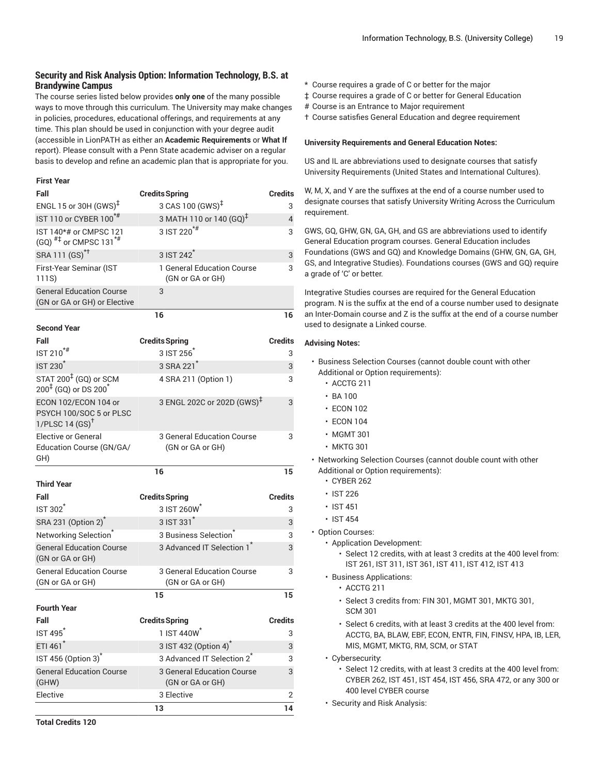## **Security and Risk Analysis Option: Information Technology, B.S. at Brandywine Campus**

The course series listed below provides **only one** of the many possible ways to move through this curriculum. The University may make changes in policies, procedures, educational offerings, and requirements at any time. This plan should be used in conjunction with your degree audit (accessible in LionPATH as either an **Academic Requirements** or **What If** report). Please consult with a Penn State academic adviser on a regular basis to develop and refine an academic plan that is appropriate for you.

#### **First Year**

| Fall                                                                              | <b>Credits Spring</b>                          | <b>Credits</b> |
|-----------------------------------------------------------------------------------|------------------------------------------------|----------------|
| ENGL 15 or 30H (GWS) <sup>‡</sup>                                                 | 3 CAS 100 (GWS) <sup>‡</sup>                   | 3              |
| IST 110 or CYBER 100 <sup>*#</sup>                                                | 3 MATH 110 or 140 (GQ) <sup>‡</sup>            | $\overline{4}$ |
| IST 140*# or CMPSC 121<br>$(GQ)$ <sup>#‡</sup> or CMPSC 131 <sup>*#</sup>         | 3 IST 220 <sup>*#</sup>                        | 3              |
| SRA 111 (GS) <sup>*†</sup>                                                        | 3 IST 242 <sup>*</sup>                         | 3              |
| First-Year Seminar (IST<br>111S)                                                  | 1 General Education Course<br>(GN or GA or GH) | 3              |
| <b>General Education Course</b><br>(GN or GA or GH) or Elective                   | 3                                              |                |
|                                                                                   | 16                                             | 16             |
| <b>Second Year</b>                                                                |                                                |                |
| Fall                                                                              | <b>Credits Spring</b>                          | <b>Credits</b> |
| $IST 210$ <sup>*#</sup>                                                           | 3 IST 256                                      | 3              |
| <b>IST 230<sup>*</sup></b>                                                        | 3 SRA 221 <sup>*</sup>                         | 3              |
| STAT 200 <sup>‡</sup> (GQ) or SCM<br>200 <sup>‡</sup> (GQ) or DS 200 <sup>*</sup> | 4 SRA 211 (Option 1)                           | 3              |
| ECON 102/ECON 104 or<br>PSYCH 100/SOC 5 or PLSC<br>1/PLSC 14 $(SS)^{\dagger}$     | 3 ENGL 202C or 202D (GWS) <sup>‡</sup>         | 3              |
| <b>Elective or General</b><br>Education Course (GN/GA/<br>GH)                     | 3 General Education Course<br>(GN or GA or GH) | 3              |
|                                                                                   | 16                                             | 15             |
| <b>Third Year</b>                                                                 |                                                |                |
| Fall                                                                              | <b>Credits Spring</b>                          | <b>Credits</b> |
| <b>IST 302<sup>1</sup></b>                                                        | 3 IST 260W                                     | 3              |
| SRA 231 (Option 2) <sup>*</sup>                                                   | 3 IST 331 <sup>*</sup>                         | 3              |
| Networking Selection <sup>®</sup>                                                 | 3 Business Selection <sup>®</sup>              | 3              |
| <b>General Education Course</b><br>(GN or GA or GH)                               | 3 Advanced IT Selection 1                      | 3              |
| <b>General Education Course</b><br>(GN or GA or GH)                               | 3 General Education Course<br>(GN or GA or GH) | 3              |
|                                                                                   | 15                                             | 15             |
| <b>Fourth Year</b>                                                                |                                                |                |
| Fall                                                                              | <b>Credits Spring</b>                          | <b>Credits</b> |
| <b>IST 495</b>                                                                    | 1 IST 440W                                     | 3              |
| ETI 461 <sup>*</sup>                                                              | 3 IST 432 (Option 4)                           | 3              |
| IST 456 (Option 3) <sup>*</sup>                                                   | 3 Advanced IT Selection 2 <sup>7</sup>         | 3              |
| <b>General Education Course</b><br>(GHW)                                          | 3 General Education Course<br>(GN or GA or GH) | 3              |
| Elective                                                                          | 3 Elective                                     | 2              |
|                                                                                   | 13                                             | 14             |

- \* Course requires a grade of C or better for the major
- ‡ Course requires a grade of C or better for General Education
- # Course is an Entrance to Major requirement
- † Course satisfies General Education and degree requirement

#### **University Requirements and General Education Notes:**

US and IL are abbreviations used to designate courses that satisfy University Requirements (United States and International Cultures).

W, M, X, and Y are the suffixes at the end of a course number used to designate courses that satisfy University Writing Across the Curriculum requirement.

GWS, GQ, GHW, GN, GA, GH, and GS are abbreviations used to identify General Education program courses. General Education includes Foundations (GWS and GQ) and Knowledge Domains (GHW, GN, GA, GH, GS, and Integrative Studies). Foundations courses (GWS and GQ) require a grade of 'C' or better.

Integrative Studies courses are required for the General Education program. N is the suffix at the end of a course number used to designate an Inter-Domain course and Z is the suffix at the end of a course number used to designate a Linked course.

- Business Selection Courses (cannot double count with other Additional or Option requirements):
	- ACCTG 211
	- BA 100
	- ECON 102
	- ECON 104
	- MGMT 301
	- MKTG 301
- Networking Selection Courses (cannot double count with other Additional or Option requirements):
	- CYBER 262
	- IST 226
	- IST 451
	- IST 454
- Option Courses:
	- Application Development:
		- Select 12 credits, with at least 3 credits at the 400 level from: IST 261, IST 311, IST 361, IST 411, IST 412, IST 413
	- Business Applications:
		- ACCTG 211
		- Select 3 credits from: FIN 301, MGMT 301, MKTG 301, SCM 301
		- Select 6 credits, with at least 3 credits at the 400 level from: ACCTG, BA, BLAW, EBF, ECON, ENTR, FIN, FINSV, HPA, IB, LER, MIS, MGMT, MKTG, RM, SCM, or STAT
	- Cybersecurity:
		- Select 12 credits, with at least 3 credits at the 400 level from: CYBER 262, IST 451, IST 454, IST 456, SRA 472, or any 300 or 400 level CYBER course
	- Security and Risk Analysis: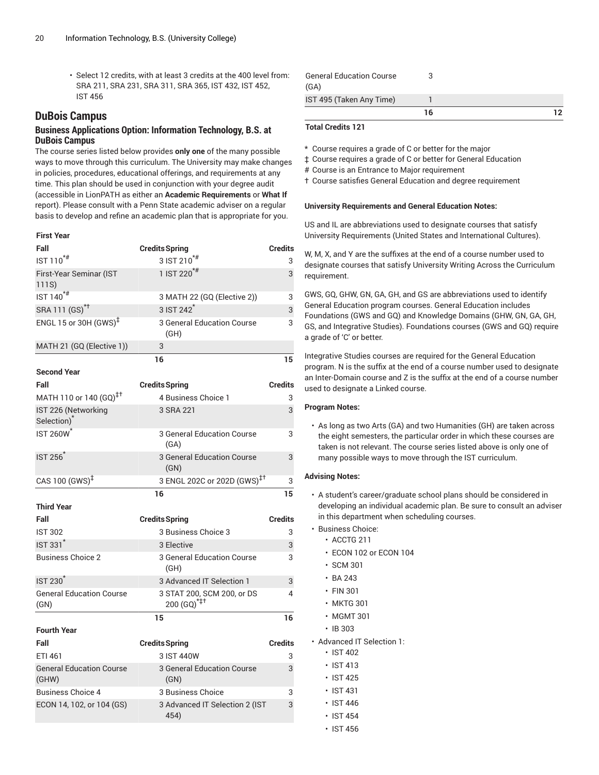• Select 12 credits, with at least 3 credits at the 400 level from: SRA 211, SRA 231, SRA 311, SRA 365, IST 432, IST 452, IST 456

# **DuBois Campus**

### **Business Applications Option: Information Technology, B.S. at DuBois Campus**

The course series listed below provides **only one** of the many possible ways to move through this curriculum. The University may make changes in policies, procedures, educational offerings, and requirements at any time. This plan should be used in conjunction with your degree audit (accessible in LionPATH as either an **Academic Requirements** or **What If** report). Please consult with a Penn State academic adviser on a regular basis to develop and refine an academic plan that is appropriate for you.

### **First Year**

| Fall                                                  | <b>Credits Spring</b>                                 | <b>Credits</b> |
|-------------------------------------------------------|-------------------------------------------------------|----------------|
| IST 110 <sup>*#</sup>                                 | 3 IST 210 <sup>*#</sup>                               | 3              |
| First-Year Seminar (IST<br>111S)                      | 1 IST 220 <sup>*#</sup>                               | 3              |
| IST 140 <sup>*#</sup>                                 | 3 MATH 22 (GQ (Elective 2))                           | 3              |
| SRA 111 (GS) <sup>*†</sup>                            | $3$ IST $242^{\degree}$                               | 3              |
| ENGL 15 or 30H (GWS) <sup><math>\ddagger</math></sup> | 3 General Education Course<br>(GH)                    | 3              |
| MATH 21 (GQ (Elective 1))                             | 3                                                     |                |
|                                                       | 16                                                    | 15             |
| <b>Second Year</b>                                    |                                                       |                |
| Fall                                                  | <b>Credits Spring</b>                                 | <b>Credits</b> |
| MATH 110 or 140 (GQ) <sup>‡†</sup>                    | 4 Business Choice 1                                   | 3              |
| IST 226 (Networking<br>Selection) <sup>*</sup>        | 3 SRA 221                                             | 3              |
| <b>IST 260W<sup>*</sup></b>                           | 3 General Education Course<br>(GA)                    | 3              |
| <b>IST 256</b>                                        | <b>3 General Education Course</b><br>(GN)             | 3              |
| CAS 100 $(GWS)^{\ddagger}$                            | 3 ENGL 202C or 202D (GWS) <sup>‡+</sup>               | 3              |
|                                                       | 16                                                    | 15             |
| <b>Third Year</b>                                     |                                                       |                |
| Fall                                                  | <b>Credits Spring</b>                                 | <b>Credits</b> |
| <b>IST 302</b>                                        | 3 Business Choice 3                                   | 3              |
| <b>IST 331<sup>*</sup></b>                            | 3 Elective                                            | 3              |
| <b>Business Choice 2</b>                              | 3 General Education Course<br>(GH)                    | 3              |
| <b>IST 230<sup>*</sup></b>                            | 3 Advanced IT Selection 1                             | 3              |
| <b>General Education Course</b><br>(GN)               | 3 STAT 200, SCM 200, or DS<br>200 (GQ) <sup>*‡†</sup> | 4              |
|                                                       | 15                                                    | 16             |
| <b>Fourth Year</b>                                    |                                                       |                |
| Fall                                                  | <b>Credits Spring</b>                                 | <b>Credits</b> |
| ETI 461                                               | 3 IST 440W                                            | 3              |
| <b>General Education Course</b><br>(GHW)              | <b>3 General Education Course</b><br>(GN)             | 3              |
| <b>Business Choice 4</b>                              | 3 Business Choice                                     | 3              |
| ECON 14, 102, or 104 (GS)                             | 3 Advanced IT Selection 2 (IST<br>454)                | 3              |
|                                                       |                                                       |                |

|                                         | 16 | 12 |
|-----------------------------------------|----|----|
| IST 495 (Taken Any Time)                |    |    |
| <b>General Education Course</b><br>(GA) |    |    |

#### **Total Credits 121**

\* Course requires a grade of C or better for the major

‡ Course requires a grade of C or better for General Education

# Course is an Entrance to Major requirement

† Course satisfies General Education and degree requirement

#### **University Requirements and General Education Notes:**

US and IL are abbreviations used to designate courses that satisfy University Requirements (United States and International Cultures).

W, M, X, and Y are the suffixes at the end of a course number used to designate courses that satisfy University Writing Across the Curriculum requirement.

GWS, GQ, GHW, GN, GA, GH, and GS are abbreviations used to identify General Education program courses. General Education includes Foundations (GWS and GQ) and Knowledge Domains (GHW, GN, GA, GH, GS, and Integrative Studies). Foundations courses (GWS and GQ) require a grade of 'C' or better.

Integrative Studies courses are required for the General Education program. N is the suffix at the end of a course number used to designate an Inter-Domain course and Z is the suffix at the end of a course number used to designate a Linked course.

#### **Program Notes:**

• As long as two Arts (GA) and two Humanities (GH) are taken across the eight semesters, the particular order in which these courses are taken is not relevant. The course series listed above is only one of many possible ways to move through the IST curriculum.

- A student's career/graduate school plans should be considered in developing an individual academic plan. Be sure to consult an adviser in this department when scheduling courses.
- Business Choice:
	- ACCTG 211
	- ECON 102 or ECON 104
	- SCM 301
	- BA 243
	- FIN 301
	- MKTG 301
	- MGMT 301
	- IB 303
- Advanced IT Selection 1:
	- IST 402
	- IST 413
	- IST 425
	- IST 431
	- IST 446
	- IST 454
	- IST 456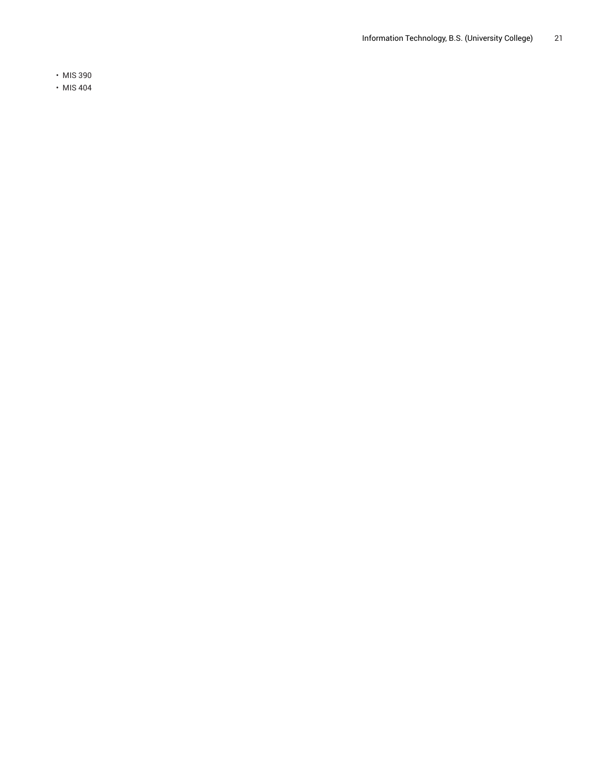• MIS 390

• MIS 404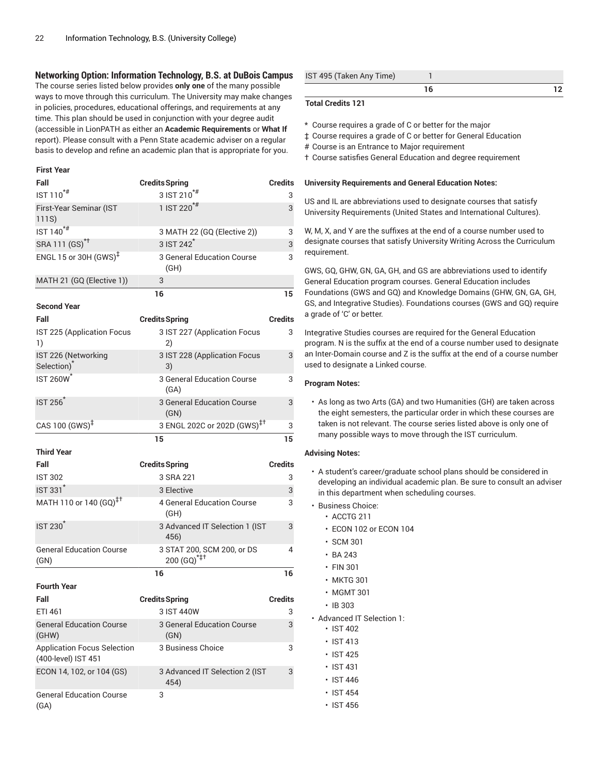### **Networking Option: Information Technology, B.S. at DuBois Campus**

The course series listed below provides **only one** of the many possible ways to move through this curriculum. The University may make changes in policies, procedures, educational offerings, and requirements at any time. This plan should be used in conjunction with your degree audit (accessible in LionPATH as either an **Academic Requirements** or **What If** report). Please consult with a Penn State academic adviser on a regular basis to develop and refine an academic plan that is appropriate for you.

#### **First Year**

| Fall                                                      | <b>Credits Spring</b>                                 | <b>Credits</b> |
|-----------------------------------------------------------|-------------------------------------------------------|----------------|
| IST 110 <sup>*#</sup>                                     | $3$ IST 210 <sup>*#</sup>                             | 3              |
| First-Year Seminar (IST<br>111S)                          | 1 IST 220 <sup>*#</sup>                               | 3              |
| IST 140 <sup>*#</sup>                                     | 3 MATH 22 (GQ (Elective 2))                           | 3              |
| SRA 111 (GS) <sup>*†</sup>                                | 3 IST 242 <sup>*</sup>                                | 3              |
| ENGL 15 or 30H $(GWS)^{\ddagger}$                         | 3 General Education Course<br>(GH)                    | 3              |
| MATH 21 (GQ (Elective 1))                                 | 3                                                     |                |
|                                                           | 16                                                    | 15             |
| <b>Second Year</b>                                        |                                                       |                |
| Fall                                                      | <b>Credits Spring</b>                                 | <b>Credits</b> |
| IST 225 (Application Focus<br>1)                          | 3 IST 227 (Application Focus<br>2)                    | 3              |
| IST 226 (Networking<br>Selection) <sup>*</sup>            | 3 IST 228 (Application Focus<br>3)                    | 3              |
| <b>IST 260W</b>                                           | 3 General Education Course<br>(GA)                    | 3              |
| <b>IST 256</b>                                            | <b>3 General Education Course</b><br>(GN)             | 3              |
| CAS 100 $(GWS)^{\ddagger}$                                | 3 ENGL 202C or 202D (GWS) <sup>‡†</sup>               | 3              |
|                                                           | 15                                                    | 15             |
|                                                           |                                                       |                |
| <b>Third Year</b>                                         |                                                       |                |
| Fall                                                      | <b>Credits Spring</b>                                 | <b>Credits</b> |
| <b>IST 302</b>                                            | 3 SRA 221                                             | 3              |
| IST 331*                                                  | 3 Elective                                            | 3              |
| MATH 110 or 140 (GQ) <sup>‡†</sup>                        | <b>4 General Education Course</b><br>(GH)             | 3              |
| <b>IST 230</b>                                            | 3 Advanced IT Selection 1 (IST<br>456)                | 3              |
| <b>General Education Course</b><br>(GN)                   | 3 STAT 200, SCM 200, or DS<br>200 (GQ) <sup>*‡†</sup> | 4              |
|                                                           | 16                                                    | 16             |
| <b>Fourth Year</b>                                        |                                                       |                |
| Fall                                                      | <b>Credits Spring</b>                                 | <b>Credits</b> |
| ETI 461                                                   | 3 IST 440W                                            | 3              |
| <b>General Education Course</b><br>(GHW)                  | 3 General Education Course<br>(GN)                    | 3              |
| <b>Application Focus Selection</b><br>(400-level) IST 451 | 3 Business Choice                                     | 3              |
| ECON 14, 102, or 104 (GS)                                 | 3 Advanced IT Selection 2 (IST<br>454)                | 3              |

| IST 495 (Taken Any Time) |  |
|--------------------------|--|
|                          |  |

### **Total Credits 121**

- \* Course requires a grade of C or better for the major
- ‡ Course requires a grade of C or better for General Education
- # Course is an Entrance to Major requirement
- † Course satisfies General Education and degree requirement

#### **University Requirements and General Education Notes:**

US and IL are abbreviations used to designate courses that satisfy University Requirements (United States and International Cultures).

W, M, X, and Y are the suffixes at the end of a course number used to designate courses that satisfy University Writing Across the Curriculum requirement.

GWS, GQ, GHW, GN, GA, GH, and GS are abbreviations used to identify General Education program courses. General Education includes Foundations (GWS and GQ) and Knowledge Domains (GHW, GN, GA, GH, GS, and Integrative Studies). Foundations courses (GWS and GQ) require a grade of 'C' or better.

Integrative Studies courses are required for the General Education program. N is the suffix at the end of a course number used to designate an Inter-Domain course and Z is the suffix at the end of a course number used to designate a Linked course.

#### **Program Notes:**

• As long as two Arts (GA) and two Humanities (GH) are taken across the eight semesters, the particular order in which these courses are taken is not relevant. The course series listed above is only one of many possible ways to move through the IST curriculum.

- A student's career/graduate school plans should be considered in developing an individual academic plan. Be sure to consult an adviser in this department when scheduling courses.
- Business Choice:
	- ACCTG 211
	- ECON 102 or ECON 104
	- SCM 301
	- BA 243
	- FIN 301
	- MKTG 301
	- MGMT 301
	- IB 303
- Advanced IT Selection 1:
	- IST 402
	- IST 413
	- IST 425
	- IST 431
	- IST 446
	- IST 454
	- IST 456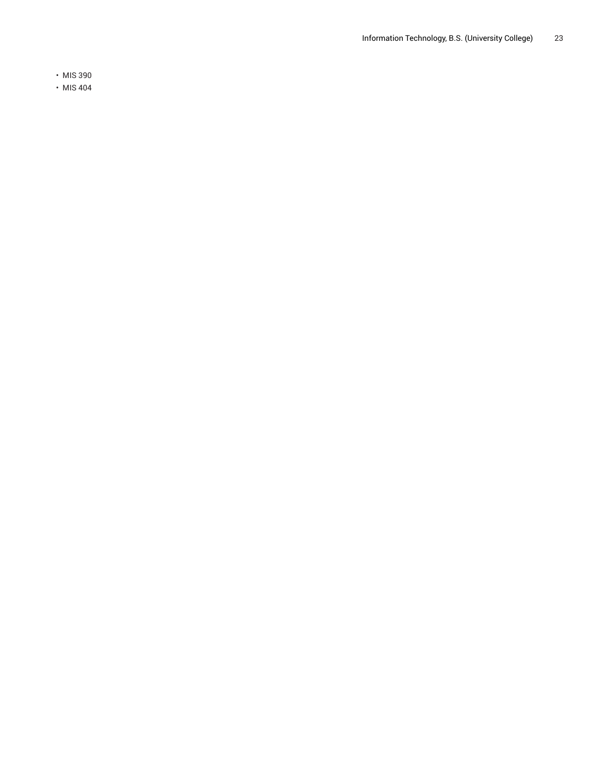• MIS 390

• MIS 404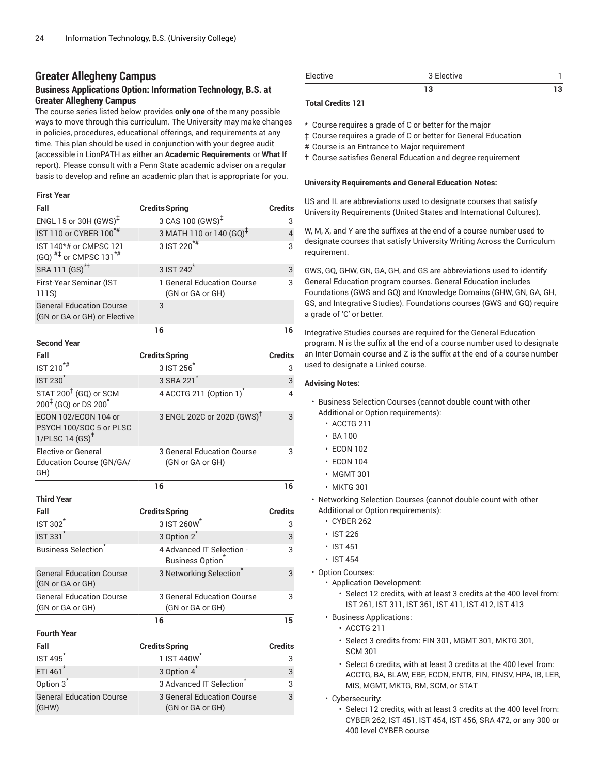# **Greater Allegheny Campus**

# **Business Applications Option: Information Technology, B.S. at Greater Allegheny Campus**

The course series listed below provides **only one** of the many possible ways to move through this curriculum. The University may make changes in policies, procedures, educational offerings, and requirements at any time. This plan should be used in conjunction with your degree audit (accessible in LionPATH as either an **Academic Requirements** or **What If** report). Please consult with a Penn State academic adviser on a regular basis to develop and refine an academic plan that is appropriate for you.

#### **First Year**

| Fall                                                                              | <b>Credits Spring</b>                                 | <b>Credits</b> |
|-----------------------------------------------------------------------------------|-------------------------------------------------------|----------------|
| ENGL 15 or 30H (GWS) <sup>‡</sup>                                                 | 3 CAS 100 (GWS) <sup>‡</sup>                          | 3              |
| IST 110 or CYBER 100 <sup>*#</sup>                                                | 3 MATH 110 or 140 (GQ) <sup>‡</sup>                   | $\overline{4}$ |
| IST 140*# or CMPSC 121<br>(GQ) $^{#1}$ or CMPSC 131 <sup>*#</sup>                 | 3 IST 220 <sup>*#</sup>                               | 3              |
| SRA 111 (GS) <sup>*†</sup>                                                        | 3 IST 242 <sup>*</sup>                                | 3              |
| First-Year Seminar (IST<br>111S)                                                  | 1 General Education Course<br>(GN or GA or GH)        | 3              |
| <b>General Education Course</b><br>(GN or GA or GH) or Elective                   | 3                                                     |                |
|                                                                                   | 16                                                    | 16             |
| <b>Second Year</b>                                                                |                                                       |                |
| Fall                                                                              | <b>Credits Spring</b>                                 | Credits        |
| IST 210 <sup>*#</sup>                                                             | 3 IST 256                                             | 3              |
| <b>IST 230<sup>*</sup></b>                                                        | 3 SRA 221 <sup>*</sup>                                | 3              |
| STAT 200 <sup>‡</sup> (GQ) or SCM<br>200 <sup>‡</sup> (GQ) or DS 200 <sup>*</sup> | 4 ACCTG 211 (Option 1) <sup>*</sup>                   | 4              |
| ECON 102/ECON 104 or<br>PSYCH 100/SOC 5 or PLSC<br>1/PLSC 14 $(SS)^{\dagger}$     | 3 ENGL 202C or 202D (GWS) <sup>‡</sup>                | 3              |
| <b>Elective or General</b><br>Education Course (GN/GA/<br>GH)                     | 3 General Education Course<br>(GN or GA or GH)        | 3              |
|                                                                                   | 16                                                    | 16             |
| <b>Third Year</b>                                                                 |                                                       |                |
| Fall                                                                              | <b>Credits Spring</b>                                 | <b>Credits</b> |
| <b>IST 302</b>                                                                    | 3 IST 260W                                            | 3              |
| <b>IST 331<sup>*</sup></b>                                                        | 3 Option 2 <sup>*</sup>                               | 3              |
| <b>Business Selection</b> <sup>®</sup>                                            | 4 Advanced IT Selection -<br><b>Business Option</b>   | 3              |
| <b>General Education Course</b><br>(GN or GA or GH)                               | 3 Networking Selection                                | 3              |
| <b>General Education Course</b><br>(GN or GA or GH)                               | 3 General Education Course<br>(GN or GA or GH)        | 3              |
|                                                                                   | 16                                                    | 15             |
| <b>Fourth Year</b>                                                                |                                                       |                |
| Fall                                                                              | <b>Credits Spring</b>                                 | <b>Credits</b> |
| <b>IST 495</b>                                                                    | 1 IST 440W <sup>*</sup>                               | 3              |
| ETI 461*                                                                          | 3 Option 4 <sup>*</sup>                               | 3              |
| Option 3 <sup>*</sup>                                                             | 3 Advanced IT Selection                               | 3              |
| <b>General Education Course</b><br>(GHW)                                          | <b>3 General Education Course</b><br>(GN or GA or GH) | 3              |

| Elec<br>stive | uve |  |
|---------------|-----|--|
|               |     |  |

### **Total Credits 121**

- \* Course requires a grade of C or better for the major
- ‡ Course requires a grade of C or better for General Education
- # Course is an Entrance to Major requirement
- † Course satisfies General Education and degree requirement

#### **University Requirements and General Education Notes:**

US and IL are abbreviations used to designate courses that satisfy University Requirements (United States and International Cultures).

W, M, X, and Y are the suffixes at the end of a course number used to designate courses that satisfy University Writing Across the Curriculum requirement.

GWS, GQ, GHW, GN, GA, GH, and GS are abbreviations used to identify General Education program courses. General Education includes Foundations (GWS and GQ) and Knowledge Domains (GHW, GN, GA, GH, GS, and Integrative Studies). Foundations courses (GWS and GQ) require a grade of 'C' or better.

Integrative Studies courses are required for the General Education program. N is the suffix at the end of a course number used to designate an Inter-Domain course and Z is the suffix at the end of a course number used to designate a Linked course.

- Business Selection Courses (cannot double count with other Additional or Option requirements):
	- ACCTG 211
	- $\cdot$  BA 100
	- ECON 102
	- ECON 104
	- MGMT 301
	- MKTG 301
- Networking Selection Courses (cannot double count with other Additional or Option requirements):
	- CYBER 262
	- IST 226
	- IST 451
	- IST 454
- Option Courses:
	- Application Development:
		- Select 12 credits, with at least 3 credits at the 400 level from: IST 261, IST 311, IST 361, IST 411, IST 412, IST 413
	- Business Applications:
		- ACCTG 211
		- Select 3 credits from: FIN 301, MGMT 301, MKTG 301, SCM 301
		- Select 6 credits, with at least 3 credits at the 400 level from: ACCTG, BA, BLAW, EBF, ECON, ENTR, FIN, FINSV, HPA, IB, LER, MIS, MGMT, MKTG, RM, SCM, or STAT
	- Cybersecurity:
		- Select 12 credits, with at least 3 credits at the 400 level from: CYBER 262, IST 451, IST 454, IST 456, SRA 472, or any 300 or 400 level CYBER course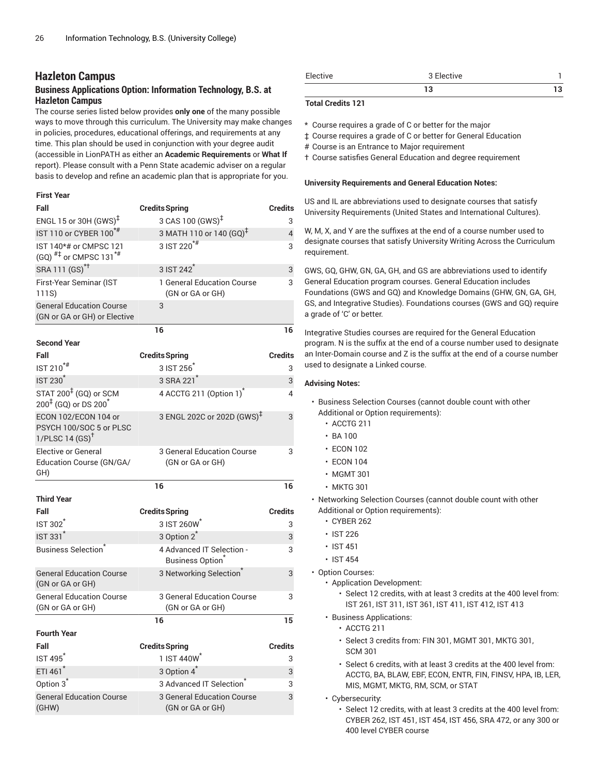# **Hazleton Campus**

# **Business Applications Option: Information Technology, B.S. at Hazleton Campus**

The course series listed below provides **only one** of the many possible ways to move through this curriculum. The University may make changes in policies, procedures, educational offerings, and requirements at any time. This plan should be used in conjunction with your degree audit (accessible in LionPATH as either an **Academic Requirements** or **What If** report). Please consult with a Penn State academic adviser on a regular basis to develop and refine an academic plan that is appropriate for you.

### **First Year**

| Fall                                                                              | <b>Credits Spring</b>                                 | <b>Credits</b> |
|-----------------------------------------------------------------------------------|-------------------------------------------------------|----------------|
| ENGL 15 or 30H $(GWS)^{\ddagger}$                                                 | 3 CAS 100 (GWS) <sup>‡</sup>                          | 3              |
| IST 110 or CYBER 100 <sup>*#</sup>                                                | 3 MATH 110 or 140 (GQ) <sup>‡</sup>                   | 4              |
| IST 140*# or CMPSC 121<br>$(GQ)$ <sup>#‡</sup> or CMPSC 131 <sup>*#</sup>         | 3 IST 220 <sup>*#</sup>                               | 3              |
| SRA 111 (GS) <sup>*†</sup>                                                        | 3 IST 242                                             | 3              |
| First-Year Seminar (IST<br>111S)                                                  | 1 General Education Course<br>(GN or GA or GH)        | 3              |
| <b>General Education Course</b><br>(GN or GA or GH) or Elective                   | 3                                                     |                |
|                                                                                   | 16                                                    | 16             |
| <b>Second Year</b>                                                                |                                                       |                |
| Fall                                                                              | <b>Credits Spring</b>                                 | <b>Credits</b> |
| $IST 210^{*#}$                                                                    | 3 IST 256                                             | 3              |
| <b>IST 230<sup>*</sup></b>                                                        | 3 SRA 221 <sup>*</sup>                                | 3              |
| STAT 200 <sup>‡</sup> (GQ) or SCM<br>200 <sup>‡</sup> (GQ) or DS 200 <sup>*</sup> | 4 ACCTG 211 (Option 1) <sup>*</sup>                   | 4              |
| ECON 102/ECON 104 or<br>PSYCH 100/SOC 5 or PLSC<br>1/PLSC 14 $(SS)^{\dagger}$     | 3 ENGL 202C or 202D (GWS) <sup>‡</sup>                | 3              |
| <b>Elective or General</b><br>Education Course (GN/GA/<br>GH)                     | 3 General Education Course<br>(GN or GA or GH)        | 3              |
|                                                                                   | 16                                                    | 16             |
| <b>Third Year</b>                                                                 |                                                       |                |
| Fall                                                                              | <b>Credits Spring</b>                                 | <b>Credits</b> |
| <b>IST 302</b>                                                                    | 3 IST 260W                                            | 3              |
| <b>IST 331<sup>*</sup></b>                                                        | 3 Option 2 <sup>*</sup>                               | 3              |
| <b>Business Selection</b>                                                         | 4 Advanced IT Selection -<br><b>Business Option</b>   | 3              |
| <b>General Education Course</b><br>(GN or GA or GH)                               | 3 Networking Selection <sup>®</sup>                   | 3              |
| <b>General Education Course</b><br>(GN or GA or GH)                               | <b>3 General Education Course</b><br>(GN or GA or GH) | 3              |
|                                                                                   | 16                                                    | 15             |
| <b>Fourth Year</b>                                                                |                                                       |                |
| Fall                                                                              | <b>Credits Spring</b>                                 | <b>Credits</b> |
| <b>IST 495<sup>*</sup></b>                                                        | 1 IST 440W                                            | 3              |
| ETI 461*                                                                          | 3 Option 4 <sup>*</sup>                               | 3              |
| Option 3 <sup>*</sup>                                                             | 3 Advanced IT Selection                               | 3              |
| <b>General Education Course</b><br>(GHW)                                          | 3 General Education Course<br>(GN or GA or GH)        | 3              |

| Elective | 3 Elective |  |
|----------|------------|--|
|          | 10<br>IJ   |  |

### **Total Credits 121**

- \* Course requires a grade of C or better for the major
- ‡ Course requires a grade of C or better for General Education
- # Course is an Entrance to Major requirement
- † Course satisfies General Education and degree requirement

#### **University Requirements and General Education Notes:**

US and IL are abbreviations used to designate courses that satisfy University Requirements (United States and International Cultures).

W, M, X, and Y are the suffixes at the end of a course number used to designate courses that satisfy University Writing Across the Curriculum requirement.

GWS, GQ, GHW, GN, GA, GH, and GS are abbreviations used to identify General Education program courses. General Education includes Foundations (GWS and GQ) and Knowledge Domains (GHW, GN, GA, GH, GS, and Integrative Studies). Foundations courses (GWS and GQ) require a grade of 'C' or better.

Integrative Studies courses are required for the General Education program. N is the suffix at the end of a course number used to designate an Inter-Domain course and Z is the suffix at the end of a course number used to designate a Linked course.

- Business Selection Courses (cannot double count with other Additional or Option requirements):
	- ACCTG 211
	- $\cdot$  BA 100
	- ECON 102
	- ECON 104
	- MGMT 301
	- MKTG 301
- Networking Selection Courses (cannot double count with other Additional or Option requirements):
	- CYBER 262
	- IST 226
	- IST 451
	- IST 454
- Option Courses:
	- Application Development:
		- Select 12 credits, with at least 3 credits at the 400 level from: IST 261, IST 311, IST 361, IST 411, IST 412, IST 413
	- Business Applications:
		- ACCTG 211
		- Select 3 credits from: FIN 301, MGMT 301, MKTG 301, SCM 301
		- Select 6 credits, with at least 3 credits at the 400 level from: ACCTG, BA, BLAW, EBF, ECON, ENTR, FIN, FINSV, HPA, IB, LER, MIS, MGMT, MKTG, RM, SCM, or STAT
	- Cybersecurity:
		- Select 12 credits, with at least 3 credits at the 400 level from: CYBER 262, IST 451, IST 454, IST 456, SRA 472, or any 300 or 400 level CYBER course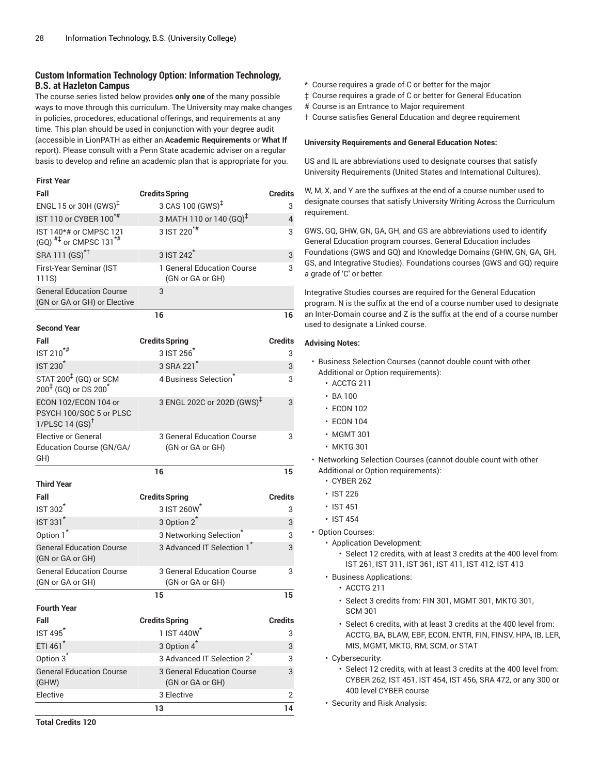# **Custom Information Technology Option: Information Technology, B.S. at Hazleton Campus**

The course series listed below provides **only one** of the many possible ways to move through this curriculum. The University may make changes in policies, procedures, educational offerings, and requirements at any time. This plan should be used in conjunction with your degree audit (accessible in LionPATH as either an **Academic Requirements** or **What If** report). Please consult with a Penn State academic adviser on a regular basis to develop and refine an academic plan that is appropriate for you.

#### **First Year**

| Fall                                                                          | <b>Credits Spring</b>                                 | Credits        |
|-------------------------------------------------------------------------------|-------------------------------------------------------|----------------|
| ENGL 15 or 30H (GWS) <sup>‡</sup>                                             | 3 CAS 100 (GWS) <sup>‡</sup>                          | 3              |
| IST 110 or CYBER 100*#                                                        | 3 MATH 110 or 140 (GQ) <sup>‡</sup>                   | 4              |
| IST 140*# or CMPSC 121<br>$(GQ)$ <sup>#‡</sup> or CMPSC 131 <sup>*#</sup>     | 3 IST 220 <sup>*#</sup>                               | 3              |
| SRA 111 (GS) <sup>*†</sup>                                                    | 3 IST 242 <sup>*</sup>                                | 3              |
| First-Year Seminar (IST<br>111S)                                              | 1 General Education Course<br>(GN or GA or GH)        | 3              |
| <b>General Education Course</b><br>(GN or GA or GH) or Elective               | 3                                                     |                |
|                                                                               | 16                                                    | 16             |
| <b>Second Year</b>                                                            |                                                       |                |
| Fall                                                                          | <b>Credits Spring</b>                                 | Credits        |
| $IST 210$ <sup>*#</sup>                                                       | 3 IST 256                                             | 3              |
| <b>IST 230<sup>*</sup></b>                                                    | 3 SRA 221 <sup>*</sup>                                | 3              |
| STAT 200 <sup>‡</sup> (GQ) or SCM<br>$200^{4}$ (GQ) or DS $200^{4}$           | 4 Business Selection                                  | 3              |
| ECON 102/ECON 104 or<br>PSYCH 100/SOC 5 or PLSC<br>1/PLSC 14 $(SS)^{\dagger}$ | 3 ENGL 202C or 202D (GWS) <sup>‡</sup>                | 3              |
| <b>Elective or General</b><br>Education Course (GN/GA/<br>GH)                 | 3 General Education Course<br>(GN or GA or GH)        | 3              |
|                                                                               | 16                                                    | 15             |
| <b>Third Year</b>                                                             |                                                       |                |
| Fall                                                                          | <b>Credits Spring</b>                                 | Credits        |
| <b>IST 302</b>                                                                | 3 IST 260W                                            | 3              |
| <b>IST 331<sup>*</sup></b>                                                    | 3 Option 2 <sup>*</sup>                               | 3              |
| Option 1 <sup>*</sup>                                                         | 3 Networking Selection <sup>®</sup>                   | 3              |
| <b>General Education Course</b><br>(GN or GA or GH)                           | 3 Advanced IT Selection 1                             | 3              |
| <b>General Education Course</b><br>(GN or GA or GH)                           | 3 General Education Course<br>(GN or GA or GH)        | 3              |
|                                                                               | 15                                                    | 15             |
| <b>Fourth Year</b>                                                            |                                                       |                |
| Fall                                                                          | <b>Credits Spring</b>                                 | <b>Credits</b> |
| IST 495 <sup>*</sup>                                                          | 1 IST 440W*                                           | 3              |
| ETI 461*                                                                      | 3 Option 4 <sup>*</sup>                               | 3              |
| Option 3 <sup>*</sup>                                                         | 3 Advanced IT Selection 2 <sup>*</sup>                | 3              |
| <b>General Education Course</b><br>(GHW)                                      | <b>3 General Education Course</b><br>(GN or GA or GH) | 3              |
| Elective                                                                      | 3 Elective                                            | 2              |
|                                                                               | 13                                                    | 14             |

- \* Course requires a grade of C or better for the major
- ‡ Course requires a grade of C or better for General Education
- # Course is an Entrance to Major requirement
- † Course satisfies General Education and degree requirement

#### **University Requirements and General Education Notes:**

US and IL are abbreviations used to designate courses that satisfy University Requirements (United States and International Cultures).

W, M, X, and Y are the suffixes at the end of a course number used to designate courses that satisfy University Writing Across the Curriculum requirement.

GWS, GQ, GHW, GN, GA, GH, and GS are abbreviations used to identify General Education program courses. General Education includes Foundations (GWS and GQ) and Knowledge Domains (GHW, GN, GA, GH, GS, and Integrative Studies). Foundations courses (GWS and GQ) require a grade of 'C' or better.

Integrative Studies courses are required for the General Education program. N is the suffix at the end of a course number used to designate an Inter-Domain course and Z is the suffix at the end of a course number used to designate a Linked course.

- Business Selection Courses (cannot double count with other Additional or Option requirements):
	- ACCTG 211
	- BA 100
	- ECON 102
	- ECON 104
	- MGMT 301
	- MKTG 301
- Networking Selection Courses (cannot double count with other Additional or Option requirements):
	- CYBER 262
	- IST 226
	- IST 451
	- IST 454
- Option Courses:
	- Application Development:
		- Select 12 credits, with at least 3 credits at the 400 level from: IST 261, IST 311, IST 361, IST 411, IST 412, IST 413
	- Business Applications:
		- ACCTG 211
		- Select 3 credits from: FIN 301, MGMT 301, MKTG 301, SCM 301
		- Select 6 credits, with at least 3 credits at the 400 level from: ACCTG, BA, BLAW, EBF, ECON, ENTR, FIN, FINSV, HPA, IB, LER, MIS, MGMT, MKTG, RM, SCM, or STAT
	- Cybersecurity:
		- Select 12 credits, with at least 3 credits at the 400 level from: CYBER 262, IST 451, IST 454, IST 456, SRA 472, or any 300 or 400 level CYBER course
	- Security and Risk Analysis: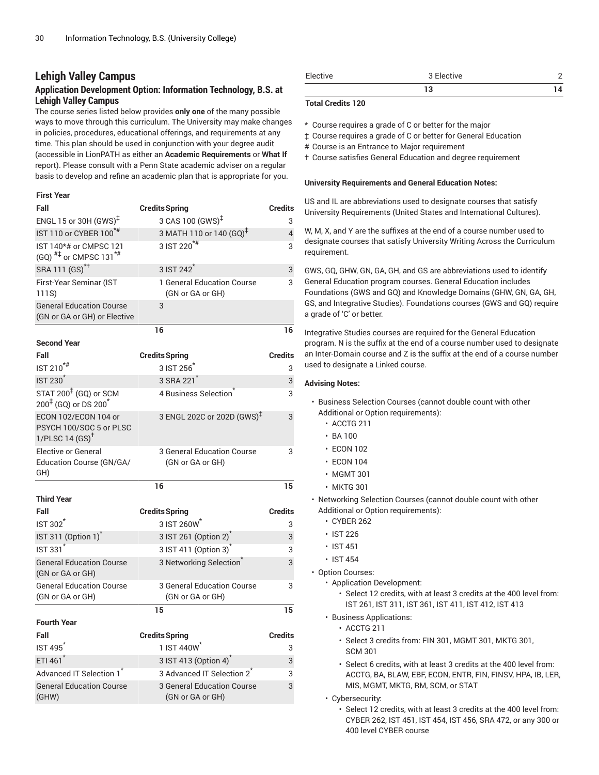# **Lehigh Valley Campus**

# **Application Development Option: Information Technology, B.S. at Lehigh Valley Campus**

The course series listed below provides **only one** of the many possible ways to move through this curriculum. The University may make changes in policies, procedures, educational offerings, and requirements at any time. This plan should be used in conjunction with your degree audit (accessible in LionPATH as either an **Academic Requirements** or **What If** report). Please consult with a Penn State academic adviser on a regular basis to develop and refine an academic plan that is appropriate for you.

### **First Year**

| Fall                                                                                 | <b>Credits Spring</b>                          | <b>Credits</b> |
|--------------------------------------------------------------------------------------|------------------------------------------------|----------------|
| ENGL 15 or 30H (GWS) <sup>‡</sup>                                                    | 3 CAS 100 (GWS) <sup>‡</sup>                   | 3              |
| IST 110 or CYBER 100 <sup>*#</sup>                                                   | 3 MATH 110 or 140 (GQ) <sup>‡</sup>            | $\overline{4}$ |
| IST 140*# or CMPSC 121<br>(GQ) $^{#1}$ or CMPSC 131 <sup>*#</sup>                    | 3 IST 220 <sup>*#</sup>                        | 3              |
| SRA 111 (GS) <sup>*†</sup>                                                           | 3 IST 242 <sup>*</sup>                         | 3              |
| First-Year Seminar (IST<br>111S)                                                     | 1 General Education Course<br>(GN or GA or GH) | 3              |
| <b>General Education Course</b><br>(GN or GA or GH) or Elective                      | 3                                              |                |
|                                                                                      | 16                                             | 16             |
| <b>Second Year</b>                                                                   |                                                |                |
| Fall                                                                                 | <b>Credits Spring</b>                          | <b>Credits</b> |
| IST 210 <sup>*#</sup>                                                                | 3 IST 256                                      | 3              |
| <b>IST 230<sup>*</sup></b>                                                           | 3 SRA 221                                      | 3              |
| STAT 200 <sup>‡</sup> (GQ) or SCM<br>$200^{\frac{1}{7}}$ (GQ) or DS 200 <sup>*</sup> | 4 Business Selection                           | 3              |
| ECON 102/ECON 104 or<br>PSYCH 100/SOC 5 or PLSC<br>1/PLSC 14 $(SS)^{\dagger}$        | 3 ENGL 202C or 202D (GWS) <sup>‡</sup>         | 3              |
| <b>Elective or General</b><br>Education Course (GN/GA/<br>GH)                        | 3 General Education Course<br>(GN or GA or GH) | 3              |
|                                                                                      | 16                                             | 15             |
| <b>Third Year</b>                                                                    |                                                |                |
| Fall                                                                                 | <b>Credits Spring</b>                          | <b>Credits</b> |
| <b>IST 302<sup>1</sup></b>                                                           | 3 IST 260W                                     | 3              |
| IST 311 (Option 1) <sup>*</sup>                                                      | 3 IST 261 (Option 2) <sup>*</sup>              | 3              |
| <b>IST 331*</b>                                                                      | 3 IST 411 (Option 3) <sup>*</sup>              | 3              |
| <b>General Education Course</b><br>(GN or GA or GH)                                  | 3 Networking Selection                         | 3              |
| <b>General Education Course</b><br>(GN or GA or GH)                                  | 3 General Education Course<br>(GN or GA or GH) | 3              |
|                                                                                      | 15                                             | 15             |
| <b>Fourth Year</b>                                                                   |                                                |                |
| Fall                                                                                 | <b>Credits Spring</b>                          | <b>Credits</b> |
| <b>IST 495<sup>*</sup></b>                                                           | 1 IST 440W                                     | 3              |
| ETI 461                                                                              | 3 IST 413 (Option 4)                           | 3              |
| Advanced IT Selection 1                                                              | 3 Advanced IT Selection 2 <sup>7</sup>         | 3              |
| <b>General Education Course</b><br>(GHW)                                             | 3 General Education Course<br>(GN or GA or GH) | 3              |

| Elective | 3 Elective |  |
|----------|------------|--|
|          |            |  |

### **Total Credits 120**

- \* Course requires a grade of C or better for the major
- ‡ Course requires a grade of C or better for General Education
- # Course is an Entrance to Major requirement
- † Course satisfies General Education and degree requirement

#### **University Requirements and General Education Notes:**

US and IL are abbreviations used to designate courses that satisfy University Requirements (United States and International Cultures).

W, M, X, and Y are the suffixes at the end of a course number used to designate courses that satisfy University Writing Across the Curriculum requirement.

GWS, GQ, GHW, GN, GA, GH, and GS are abbreviations used to identify General Education program courses. General Education includes Foundations (GWS and GQ) and Knowledge Domains (GHW, GN, GA, GH, GS, and Integrative Studies). Foundations courses (GWS and GQ) require a grade of 'C' or better.

Integrative Studies courses are required for the General Education program. N is the suffix at the end of a course number used to designate an Inter-Domain course and Z is the suffix at the end of a course number used to designate a Linked course.

- Business Selection Courses (cannot double count with other Additional or Option requirements):
	- ACCTG 211
	- $\cdot$  BA 100
	- ECON 102
	- ECON 104
	- MGMT 301
	- MKTG 301
- Networking Selection Courses (cannot double count with other Additional or Option requirements):
	- CYBER 262
	- IST 226
	- IST 451
	- IST 454
- Option Courses:
	- Application Development:
		- Select 12 credits, with at least 3 credits at the 400 level from: IST 261, IST 311, IST 361, IST 411, IST 412, IST 413
	- Business Applications:
		- ACCTG 211
		- Select 3 credits from: FIN 301, MGMT 301, MKTG 301, SCM 301
		- Select 6 credits, with at least 3 credits at the 400 level from: ACCTG, BA, BLAW, EBF, ECON, ENTR, FIN, FINSV, HPA, IB, LER, MIS, MGMT, MKTG, RM, SCM, or STAT
	- Cybersecurity:
		- Select 12 credits, with at least 3 credits at the 400 level from: CYBER 262, IST 451, IST 454, IST 456, SRA 472, or any 300 or 400 level CYBER course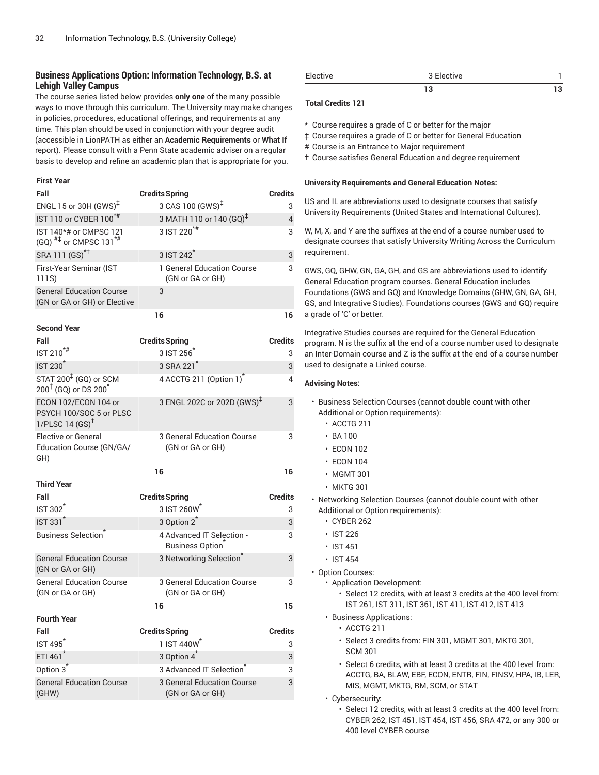# **Business Applications Option: Information Technology, B.S. at Lehigh Valley Campus**

The course series listed below provides **only one** of the many possible ways to move through this curriculum. The University may make changes in policies, procedures, educational offerings, and requirements at any time. This plan should be used in conjunction with your degree audit (accessible in LionPATH as either an **Academic Requirements** or **What If** report). Please consult with a Penn State academic adviser on a regular basis to develop and refine an academic plan that is appropriate for you.

#### **First Year**

| Fall                                                                          | <b>Credits Spring</b>                                 | <b>Credits</b> |
|-------------------------------------------------------------------------------|-------------------------------------------------------|----------------|
| ENGL 15 or 30H $(GWS)^{\ddagger}$                                             | 3 CAS 100 (GWS) <sup>‡</sup>                          | 3              |
| IST 110 or CYBER 100*#                                                        | 3 MATH 110 or 140 (GQ) <sup>‡</sup>                   | $\overline{4}$ |
| IST 140*# or CMPSC 121<br>$(GQ)$ <sup>#‡</sup> or CMPSC 131 <sup>*#</sup>     | 3 IST 220 <sup>*#</sup>                               | 3              |
| SRA 111 (GS) <sup>*†</sup>                                                    | 3 IST 242 <sup>*</sup>                                | 3              |
| First-Year Seminar (IST<br>111S)                                              | 1 General Education Course<br>(GN or GA or GH)        | 3              |
| <b>General Education Course</b><br>(GN or GA or GH) or Elective               | 3                                                     |                |
|                                                                               | 16                                                    | 16             |
| <b>Second Year</b>                                                            |                                                       |                |
| Fall                                                                          | <b>Credits Spring</b>                                 | <b>Credits</b> |
| IST 210 <sup>*#</sup>                                                         | 3 IST 256                                             | 3              |
| <b>IST 230<sup>*</sup></b>                                                    | 3 SRA 221 <sup>*</sup>                                | 3              |
| STAT 200 <sup>‡</sup> (GQ) or SCM<br>$200^{4}$ (GQ) or DS $200^{*}$           | 4 ACCTG 211 (Option 1) <sup>*</sup>                   | 4              |
| ECON 102/ECON 104 or<br>PSYCH 100/SOC 5 or PLSC<br>1/PLSC 14 $(SS)^{\dagger}$ | 3 ENGL 202C or 202D (GWS) <sup>‡</sup>                | 3              |
| <b>Elective or General</b><br>Education Course (GN/GA/<br>GH)                 | 3 General Education Course<br>(GN or GA or GH)        | 3              |
|                                                                               | 16                                                    | 16             |
| <b>Third Year</b>                                                             |                                                       |                |
| Fall                                                                          | <b>Credits Spring</b>                                 | <b>Credits</b> |
| <b>IST 302<sup>1</sup></b>                                                    | 3 IST 260W                                            | 3              |
| <b>IST 331<sup>*</sup></b>                                                    | 3 Option 2 <sup>*</sup>                               | 3              |
| <b>Business Selection</b> <sup>®</sup>                                        | 4 Advanced IT Selection -<br>Business Option          | 3              |
| <b>General Education Course</b><br>(GN or GA or GH)                           | 3 Networking Selection <sup>*</sup>                   | 3              |
| <b>General Education Course</b><br>(GN or GA or GH)                           | 3 General Education Course<br>(GN or GA or GH)        | 3              |
|                                                                               | 16                                                    | 15             |
| <b>Fourth Year</b>                                                            |                                                       |                |
| Fall                                                                          | <b>Credits Spring</b>                                 | <b>Credits</b> |
| <b>IST 495<sup>*</sup></b>                                                    | 1 IST 440W <sup>*</sup>                               | 3              |
| ETI 461*                                                                      | 3 Option 4 <sup>*</sup>                               | 3              |
| Option 3 <sup>7</sup>                                                         | 3 Advanced IT Selection                               | 3              |
| <b>General Education Course</b><br>(GHW)                                      | <b>3 General Education Course</b><br>(GN or GA or GH) | 3              |

| Elective | 3 Elective |  |
|----------|------------|--|
|          |            |  |

### **Total Credits 121**

\* Course requires a grade of C or better for the major

‡ Course requires a grade of C or better for General Education

# Course is an Entrance to Major requirement

† Course satisfies General Education and degree requirement

#### **University Requirements and General Education Notes:**

US and IL are abbreviations used to designate courses that satisfy University Requirements (United States and International Cultures).

W, M, X, and Y are the suffixes at the end of a course number used to designate courses that satisfy University Writing Across the Curriculum requirement.

GWS, GQ, GHW, GN, GA, GH, and GS are abbreviations used to identify General Education program courses. General Education includes Foundations (GWS and GQ) and Knowledge Domains (GHW, GN, GA, GH, GS, and Integrative Studies). Foundations courses (GWS and GQ) require a grade of 'C' or better.

Integrative Studies courses are required for the General Education program. N is the suffix at the end of a course number used to designate an Inter-Domain course and Z is the suffix at the end of a course number used to designate a Linked course.

- Business Selection Courses (cannot double count with other Additional or Option requirements):
	- ACCTG 211
	- $\cdot$  BA 100
	- ECON 102
	- ECON 104
	- MGMT 301
	- MKTG 301
- Networking Selection Courses (cannot double count with other Additional or Option requirements):
	- CYBER 262
	- IST 226
	- IST 451
	- IST 454
- Option Courses:
	- Application Development:
		- Select 12 credits, with at least 3 credits at the 400 level from: IST 261, IST 311, IST 361, IST 411, IST 412, IST 413
	- Business Applications:
		- ACCTG 211
		- Select 3 credits from: FIN 301, MGMT 301, MKTG 301, SCM 301
		- Select 6 credits, with at least 3 credits at the 400 level from: ACCTG, BA, BLAW, EBF, ECON, ENTR, FIN, FINSV, HPA, IB, LER, MIS, MGMT, MKTG, RM, SCM, or STAT
	- Cybersecurity:
		- Select 12 credits, with at least 3 credits at the 400 level from: CYBER 262, IST 451, IST 454, IST 456, SRA 472, or any 300 or 400 level CYBER course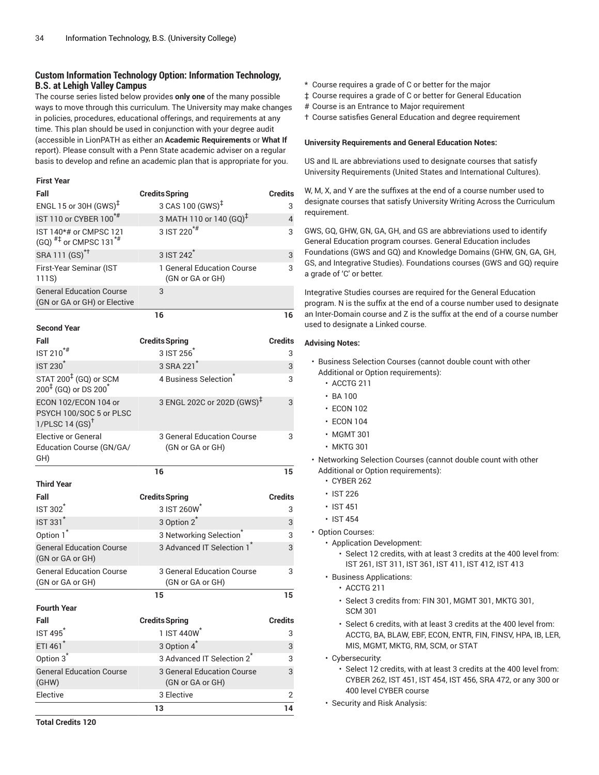# **Custom Information Technology Option: Information Technology, B.S. at Lehigh Valley Campus**

The course series listed below provides **only one** of the many possible ways to move through this curriculum. The University may make changes in policies, procedures, educational offerings, and requirements at any time. This plan should be used in conjunction with your degree audit (accessible in LionPATH as either an **Academic Requirements** or **What If** report). Please consult with a Penn State academic adviser on a regular basis to develop and refine an academic plan that is appropriate for you.

#### **First Year**

| Fall                                                                          | <b>Credits Spring</b>                          | Credits        |
|-------------------------------------------------------------------------------|------------------------------------------------|----------------|
| ENGL 15 or 30H (GWS) <sup>‡</sup>                                             | 3 CAS 100 (GWS) <sup>‡</sup>                   | 3              |
| IST 110 or CYBER 100*#                                                        | 3 MATH 110 or 140 (GQ) <sup>‡</sup>            | 4              |
| IST 140*# or CMPSC 121<br>$(GQ)$ <sup>#‡</sup> or CMPSC 131 <sup>*#</sup>     | 3 IST 220 <sup>*#</sup>                        | 3              |
| SRA 111 (GS) <sup>*†</sup>                                                    | 3 IST 242 <sup>*</sup>                         | 3              |
| First-Year Seminar (IST<br>111S)                                              | 1 General Education Course<br>(GN or GA or GH) | 3              |
| <b>General Education Course</b><br>(GN or GA or GH) or Elective               | 3                                              |                |
|                                                                               | 16                                             | 16             |
| <b>Second Year</b>                                                            |                                                |                |
| Fall                                                                          | <b>Credits Spring</b>                          | Credits        |
| $IST 210$ <sup>*#</sup>                                                       | 3 IST 256                                      | 3              |
| <b>IST 230<sup>*</sup></b>                                                    | 3 SRA 221 <sup>*</sup>                         | 3              |
| STAT 200 <sup>‡</sup> (GQ) or SCM<br>$200^{4}$ (GQ) or DS $200^{4}$           | 4 Business Selection                           | 3              |
| ECON 102/ECON 104 or<br>PSYCH 100/SOC 5 or PLSC<br>1/PLSC 14 $(SS)^{\dagger}$ | 3 ENGL 202C or 202D (GWS) <sup>‡</sup>         | 3              |
| <b>Elective or General</b><br>Education Course (GN/GA/<br>GH)                 | 3 General Education Course<br>(GN or GA or GH) | 3              |
|                                                                               | 16                                             | 15             |
| <b>Third Year</b>                                                             |                                                |                |
| Fall                                                                          | <b>Credits Spring</b>                          | Credits        |
| <b>IST 302</b>                                                                | 3 IST 260W                                     | 3              |
| <b>IST 331<sup>*</sup></b>                                                    | 3 Option 2 <sup>*</sup>                        | 3              |
| Option 1 <sup>*</sup>                                                         | 3 Networking Selection <sup>®</sup>            | 3              |
| <b>General Education Course</b><br>(GN or GA or GH)                           | 3 Advanced IT Selection 1                      | 3              |
| <b>General Education Course</b><br>(GN or GA or GH)                           | 3 General Education Course<br>(GN or GA or GH) | 3              |
|                                                                               | 15                                             | 15             |
| <b>Fourth Year</b>                                                            |                                                |                |
| Fall                                                                          | <b>Credits Spring</b>                          | <b>Credits</b> |
| IST 495 <sup>*</sup>                                                          | 1 IST 440W <sup>*</sup>                        | 3              |
| ETI 461*                                                                      | 3 Option 4 <sup>*</sup>                        | 3              |
| Option 3 <sup>*</sup>                                                         | 3 Advanced IT Selection 2 <sup>*</sup>         | 3              |
| <b>General Education Course</b><br>(GHW)                                      | 3 General Education Course<br>(GN or GA or GH) | 3              |
| Elective                                                                      | 3 Elective                                     | 2              |
|                                                                               | 13                                             | 14             |

- \* Course requires a grade of C or better for the major
- ‡ Course requires a grade of C or better for General Education
- # Course is an Entrance to Major requirement
- † Course satisfies General Education and degree requirement

#### **University Requirements and General Education Notes:**

US and IL are abbreviations used to designate courses that satisfy University Requirements (United States and International Cultures).

W, M, X, and Y are the suffixes at the end of a course number used to designate courses that satisfy University Writing Across the Curriculum requirement.

GWS, GQ, GHW, GN, GA, GH, and GS are abbreviations used to identify General Education program courses. General Education includes Foundations (GWS and GQ) and Knowledge Domains (GHW, GN, GA, GH, GS, and Integrative Studies). Foundations courses (GWS and GQ) require a grade of 'C' or better.

Integrative Studies courses are required for the General Education program. N is the suffix at the end of a course number used to designate an Inter-Domain course and Z is the suffix at the end of a course number used to designate a Linked course.

- Business Selection Courses (cannot double count with other Additional or Option requirements):
	- ACCTG 211
	- BA 100
	- ECON 102
	- ECON 104
	- MGMT 301
	- MKTG 301
- Networking Selection Courses (cannot double count with other Additional or Option requirements):
	- CYBER 262
	- IST 226
	- IST 451
	- IST 454
- Option Courses:
	- Application Development:
		- Select 12 credits, with at least 3 credits at the 400 level from: IST 261, IST 311, IST 361, IST 411, IST 412, IST 413
	- Business Applications:
		- ACCTG 211
		- Select 3 credits from: FIN 301, MGMT 301, MKTG 301, SCM 301
		- Select 6 credits, with at least 3 credits at the 400 level from: ACCTG, BA, BLAW, EBF, ECON, ENTR, FIN, FINSV, HPA, IB, LER, MIS, MGMT, MKTG, RM, SCM, or STAT
	- Cybersecurity:
		- Select 12 credits, with at least 3 credits at the 400 level from: CYBER 262, IST 451, IST 454, IST 456, SRA 472, or any 300 or 400 level CYBER course
	- Security and Risk Analysis: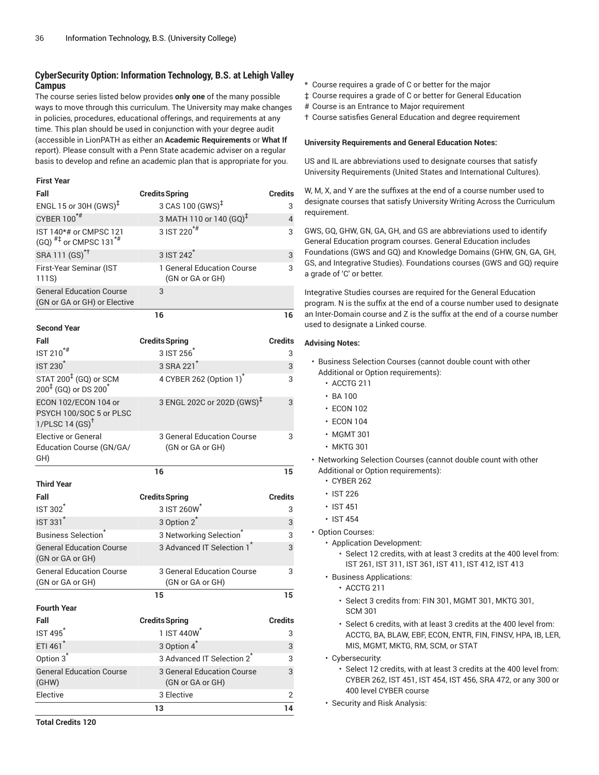# **CyberSecurity Option: Information Technology, B.S. at Lehigh Valley Campus**

The course series listed below provides **only one** of the many possible ways to move through this curriculum. The University may make changes in policies, procedures, educational offerings, and requirements at any time. This plan should be used in conjunction with your degree audit (accessible in LionPATH as either an **Academic Requirements** or **What If** report). Please consult with a Penn State academic adviser on a regular basis to develop and refine an academic plan that is appropriate for you.

### **First Year**

| Fall                                                                          | <b>Credits Spring</b>                          | Credits        |
|-------------------------------------------------------------------------------|------------------------------------------------|----------------|
| ENGL 15 or 30H (GWS) <sup>‡</sup>                                             | 3 CAS 100 (GWS) <sup>‡</sup>                   | 3              |
| CYBER 100*#                                                                   | 3 MATH 110 or 140 (GQ) <sup>‡</sup>            | 4              |
| IST 140*# or CMPSC 121<br>(GQ) $^{#1}$ or CMPSC 131 <sup>*#</sup>             | 3 IST 220 <sup>*#</sup>                        | 3              |
| SRA 111 (GS) <sup>*†</sup>                                                    | 3 IST 242 <sup>*</sup>                         | 3              |
| First-Year Seminar (IST<br>111S)                                              | 1 General Education Course<br>(GN or GA or GH) | 3              |
| <b>General Education Course</b><br>(GN or GA or GH) or Elective               | 3                                              |                |
|                                                                               | 16                                             | 16             |
| <b>Second Year</b>                                                            |                                                |                |
| Fall                                                                          | <b>Credits Spring</b>                          | Credits        |
| $IST 210^{**}$                                                                | 3 IST 256                                      | 3              |
| <b>IST 230<sup>*</sup></b>                                                    | 3 SRA 221                                      | 3              |
| STAT 200 <sup>‡</sup> (GQ) or SCM<br>$200^{4}$ (GQ) or DS $200^{4}$           | 4 CYBER 262 (Option 1)                         | 3              |
| ECON 102/ECON 104 or<br>PSYCH 100/SOC 5 or PLSC<br>1/PLSC 14 $(SS)^{\dagger}$ | 3 ENGL 202C or 202D (GWS) <sup>‡</sup>         | 3              |
| <b>Elective or General</b><br>Education Course (GN/GA/<br>GH)                 | 3 General Education Course<br>(GN or GA or GH) | 3              |
|                                                                               | 16                                             | 15             |
| <b>Third Year</b>                                                             |                                                |                |
| Fall                                                                          | <b>Credits Spring</b>                          | Credits        |
| IST 302                                                                       | 3 IST 260W                                     | 3              |
| IST 331*                                                                      | 3 Option 2 <sup>*</sup>                        | 3              |
| <b>Business Selection</b> <sup>®</sup>                                        | 3 Networking Selection <sup>®</sup>            | 3              |
| <b>General Education Course</b><br>(GN or GA or GH)                           | 3 Advanced IT Selection 1                      | 3              |
| <b>General Education Course</b><br>(GN or GA or GH)                           | 3 General Education Course<br>(GN or GA or GH) | 3              |
|                                                                               | 15                                             | 15             |
| <b>Fourth Year</b>                                                            |                                                |                |
| Fall                                                                          | <b>Credits Spring</b>                          | <b>Credits</b> |
| IST 495 <sup>*</sup>                                                          | 1 IST 440W <sup>*</sup>                        | 3              |
| ETI 461*                                                                      | 3 Option 4 <sup>*</sup>                        | 3              |
| Option 3 <sup>*</sup>                                                         | 3 Advanced IT Selection 2 <sup>*</sup>         | 3              |
| <b>General Education Course</b><br>(GHW)                                      | 3 General Education Course<br>(GN or GA or GH) | 3              |
| Elective                                                                      | 3 Elective                                     | 2              |
|                                                                               | 13                                             | 14             |

- \* Course requires a grade of C or better for the major
- ‡ Course requires a grade of C or better for General Education
- # Course is an Entrance to Major requirement
- † Course satisfies General Education and degree requirement

#### **University Requirements and General Education Notes:**

US and IL are abbreviations used to designate courses that satisfy University Requirements (United States and International Cultures).

W, M, X, and Y are the suffixes at the end of a course number used to designate courses that satisfy University Writing Across the Curriculum requirement.

GWS, GQ, GHW, GN, GA, GH, and GS are abbreviations used to identify General Education program courses. General Education includes Foundations (GWS and GQ) and Knowledge Domains (GHW, GN, GA, GH, GS, and Integrative Studies). Foundations courses (GWS and GQ) require a grade of 'C' or better.

Integrative Studies courses are required for the General Education program. N is the suffix at the end of a course number used to designate an Inter-Domain course and Z is the suffix at the end of a course number used to designate a Linked course.

- Business Selection Courses (cannot double count with other Additional or Option requirements):
	- ACCTG 211
	- BA 100
	- ECON 102
	- ECON 104
	- MGMT 301
	- MKTG 301
- Networking Selection Courses (cannot double count with other Additional or Option requirements):
	- CYBER 262
	- IST 226
	- IST 451
	- IST 454
- Option Courses:
	- Application Development:
		- Select 12 credits, with at least 3 credits at the 400 level from: IST 261, IST 311, IST 361, IST 411, IST 412, IST 413
	- Business Applications:
		- ACCTG 211
		- Select 3 credits from: FIN 301, MGMT 301, MKTG 301, SCM 301
		- Select 6 credits, with at least 3 credits at the 400 level from: ACCTG, BA, BLAW, EBF, ECON, ENTR, FIN, FINSV, HPA, IB, LER, MIS, MGMT, MKTG, RM, SCM, or STAT
	- Cybersecurity:
		- Select 12 credits, with at least 3 credits at the 400 level from: CYBER 262, IST 451, IST 454, IST 456, SRA 472, or any 300 or 400 level CYBER course
	- Security and Risk Analysis: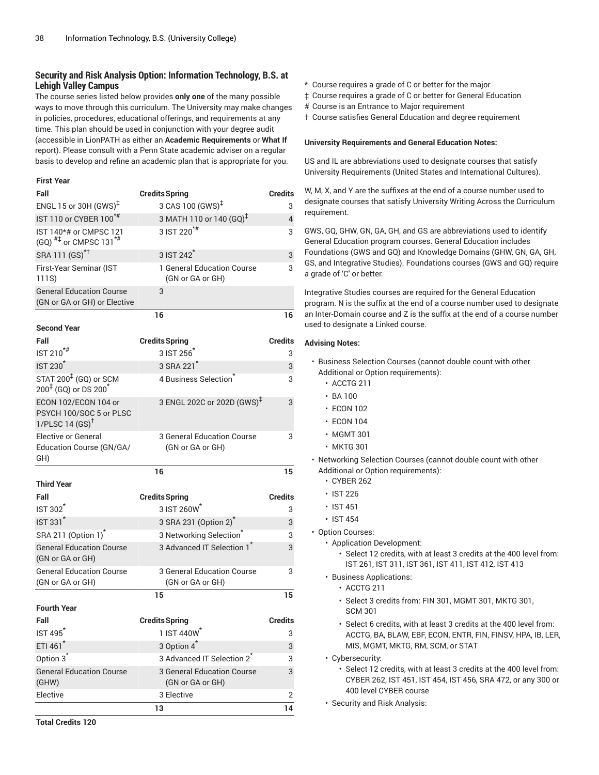# **Security and Risk Analysis Option: Information Technology, B.S. at Lehigh Valley Campus**

The course series listed below provides **only one** of the many possible ways to move through this curriculum. The University may make changes in policies, procedures, educational offerings, and requirements at any time. This plan should be used in conjunction with your degree audit (accessible in LionPATH as either an **Academic Requirements** or **What If** report). Please consult with a Penn State academic adviser on a regular basis to develop and refine an academic plan that is appropriate for you.

### **First Year**

| Fall                                                                              | <b>Credits Spring</b>                          | <b>Credits</b> |
|-----------------------------------------------------------------------------------|------------------------------------------------|----------------|
| ENGL 15 or 30H (GWS) <sup>‡</sup>                                                 | 3 CAS 100 (GWS) <sup>‡</sup>                   | 3              |
| IST 110 or CYBER 100 <sup>*#</sup>                                                | 3 MATH 110 or 140 (GQ) <sup>‡</sup>            | 4              |
| IST 140*# or CMPSC 121<br>$(GQ)$ <sup>#‡</sup> or CMPSC 131 <sup>*#</sup>         | 3 IST 220 <sup>*#</sup>                        | 3              |
| SRA 111 (GS) <sup>*†</sup>                                                        | 3 IST 242 <sup>*</sup>                         | 3              |
| First-Year Seminar (IST<br>111S)                                                  | 1 General Education Course<br>(GN or GA or GH) | 3              |
| <b>General Education Course</b><br>(GN or GA or GH) or Elective                   | 3                                              |                |
|                                                                                   | 16                                             | 16             |
| <b>Second Year</b>                                                                |                                                |                |
| Fall                                                                              | <b>Credits Spring</b>                          | <b>Credits</b> |
| $IST 210^{**}$                                                                    | 3 IST 256                                      | 3              |
| <b>IST 230<sup>*</sup></b>                                                        | 3 SRA 221 <sup>*</sup>                         | 3              |
| STAT 200 <sup>‡</sup> (GQ) or SCM<br>200 <sup>‡</sup> (GQ) or DS 200 <sup>*</sup> | 4 Business Selection                           | 3              |
| ECON 102/ECON 104 or<br>PSYCH 100/SOC 5 or PLSC<br>1/PLSC 14 $(SS)^{\dagger}$     | 3 ENGL 202C or 202D (GWS) <sup>‡</sup>         | 3              |
| <b>Elective or General</b><br>Education Course (GN/GA/<br>GH)                     | 3 General Education Course<br>(GN or GA or GH) | 3              |
|                                                                                   | 16                                             | 15             |
| <b>Third Year</b>                                                                 |                                                |                |
| Fall                                                                              | <b>Credits Spring</b>                          | <b>Credits</b> |
| <b>IST 302</b>                                                                    | 3 IST 260W                                     | 3              |
| <b>IST 331<sup>*</sup></b>                                                        | 3 SRA 231 (Option 2) <sup>*</sup>              | 3              |
| SRA 211 (Option 1) <sup>*</sup>                                                   | 3 Networking Selection <sup>®</sup>            | 3              |
| <b>General Education Course</b><br>(GN or GA or GH)                               | 3 Advanced IT Selection 1 <sup>1</sup>         | 3              |
| <b>General Education Course</b><br>(GN or GA or GH)                               | 3 General Education Course<br>(GN or GA or GH) | 3              |
|                                                                                   | 15                                             | 15             |
| <b>Fourth Year</b>                                                                |                                                |                |
| Fall                                                                              | <b>Credits Spring</b>                          | <b>Credits</b> |
| IST 495 <sup>*</sup>                                                              | 1 IST 440W <sup>*</sup>                        | 3              |
| ETI 461*                                                                          | 3 Option 4 <sup>*</sup>                        | 3              |
| Option 3 <sup>*</sup>                                                             | 3 Advanced IT Selection 2 <sup>*</sup>         | 3              |
| <b>General Education Course</b><br>(GHW)                                          | 3 General Education Course<br>(GN or GA or GH) | 3              |
| Elective                                                                          | 3 Elective                                     | 2              |
|                                                                                   | 13                                             | 14             |

\* Course requires a grade of C or better for the major

- ‡ Course requires a grade of C or better for General Education
- # Course is an Entrance to Major requirement

† Course satisfies General Education and degree requirement

### **University Requirements and General Education Notes:**

US and IL are abbreviations used to designate courses that satisfy University Requirements (United States and International Cultures).

W, M, X, and Y are the suffixes at the end of a course number used to designate courses that satisfy University Writing Across the Curriculum requirement.

GWS, GQ, GHW, GN, GA, GH, and GS are abbreviations used to identify General Education program courses. General Education includes Foundations (GWS and GQ) and Knowledge Domains (GHW, GN, GA, GH, GS, and Integrative Studies). Foundations courses (GWS and GQ) require a grade of 'C' or better.

Integrative Studies courses are required for the General Education program. N is the suffix at the end of a course number used to designate an Inter-Domain course and Z is the suffix at the end of a course number used to designate a Linked course.

- Business Selection Courses (cannot double count with other Additional or Option requirements):
	- ACCTG 211
	- BA 100
	- ECON 102
	- ECON 104
	- MGMT 301
	- MKTG 301
- Networking Selection Courses (cannot double count with other Additional or Option requirements):
	- CYBER 262
	- IST 226
	- IST 451
	- IST 454
- Option Courses:
	- Application Development:
		- Select 12 credits, with at least 3 credits at the 400 level from: IST 261, IST 311, IST 361, IST 411, IST 412, IST 413
	- Business Applications:
		- ACCTG 211
		- Select 3 credits from: FIN 301, MGMT 301, MKTG 301, SCM 301
		- Select 6 credits, with at least 3 credits at the 400 level from: ACCTG, BA, BLAW, EBF, ECON, ENTR, FIN, FINSV, HPA, IB, LER, MIS, MGMT, MKTG, RM, SCM, or STAT
	- Cybersecurity:
		- Select 12 credits, with at least 3 credits at the 400 level from: CYBER 262, IST 451, IST 454, IST 456, SRA 472, or any 300 or 400 level CYBER course
	- Security and Risk Analysis: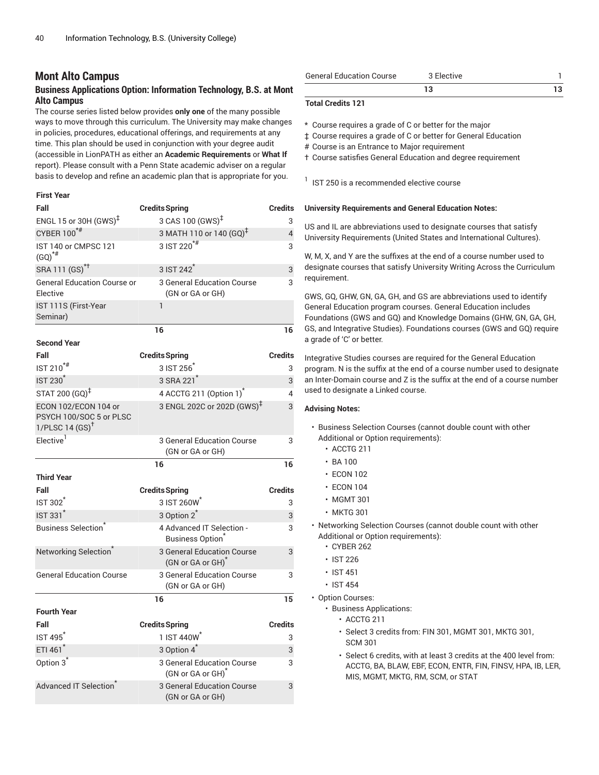# **Mont Alto Campus**

# **Business Applications Option: Information Technology, B.S. at Mont Alto Campus**

The course series listed below provides **only one** of the many possible ways to move through this curriculum. The University may make changes in policies, procedures, educational offerings, and requirements at any time. This plan should be used in conjunction with your degree audit (accessible in LionPATH as either an **Academic Requirements** or **What If** report). Please consult with a Penn State academic adviser on a regular basis to develop and refine an academic plan that is appropriate for you.

# **First Year**

| Fall                                                                         | <b>Credits Spring</b>                                       | <b>Credits</b> |
|------------------------------------------------------------------------------|-------------------------------------------------------------|----------------|
| ENGL 15 or 30H $(GWS)^{\ddagger}$                                            | 3 CAS 100 (GWS) <sup>‡</sup>                                | 3              |
| CYBER 100 <sup>*#</sup>                                                      | 3 MATH 110 or 140 (GQ) <sup>‡</sup>                         | $\overline{4}$ |
| IST 140 or CMPSC 121<br>$(GQ)^{*#}$                                          | 3 IST 220 <sup>*#</sup>                                     | 3              |
| SRA 111 (GS) <sup>*†</sup>                                                   | 3 IST 242 <sup>*</sup>                                      | 3              |
| <b>General Education Course or</b><br>Elective                               | 3 General Education Course<br>(GN or GA or GH)              | 3              |
| IST 111S (First-Year<br>Seminar)                                             | 1                                                           |                |
|                                                                              | 16                                                          | 16             |
| <b>Second Year</b>                                                           |                                                             |                |
| Fall                                                                         | <b>Credits Spring</b>                                       | <b>Credits</b> |
| IST 210 <sup>*#</sup>                                                        | 3 IST 256                                                   | 3              |
| <b>IST 230<sup>*</sup></b>                                                   | 3 SRA 221                                                   | 3              |
| STAT 200 (GQ) <sup>‡</sup>                                                   | 4 ACCTG 211 (Option 1) <sup>*</sup>                         | 4              |
| ECON 102/ECON 104 or<br>PSYCH 100/SOC 5 or PLSC<br>1/PLSC14(GS) <sup>†</sup> | 3 ENGL 202C or 202D (GWS) <sup>‡</sup>                      | 3              |
| Elective <sup>1</sup>                                                        | 3 General Education Course<br>(GN or GA or GH)              | 3              |
|                                                                              | 16                                                          | 16             |
| <b>Third Year</b>                                                            |                                                             |                |
| Fall                                                                         | <b>Credits Spring</b>                                       | <b>Credits</b> |
| <b>IST 302</b>                                                               | 3 IST 260W                                                  | 3              |
| <b>IST 331<sup>*</sup></b>                                                   | 3 Option 2 <sup>*</sup>                                     | 3              |
| <b>Business Selection</b> <sup>®</sup>                                       | 4 Advanced IT Selection -<br><b>Business Option</b>         | 3              |
| Networking Selection <sup>®</sup>                                            | 3 General Education Course<br>(GN or GA or GH)              | 3              |
| <b>General Education Course</b>                                              | 3 General Education Course<br>(GN or GA or GH)              | 3              |
|                                                                              | 16                                                          | 15             |
| <b>Fourth Year</b>                                                           |                                                             |                |
| Fall                                                                         | <b>Credits Spring</b>                                       | <b>Credits</b> |
| IST 495                                                                      | 1 IST 440W                                                  | 3              |
| ETI 461 <sup>*</sup>                                                         | 3 Option 4 <sup>*</sup>                                     | 3              |
| Option 3 <sup>*</sup>                                                        | 3 General Education Course<br>(GN or GA or GH) <sup>*</sup> | 3              |
| Advanced IT Selection                                                        | <b>3 General Education Course</b><br>(GN or GA or GH)       | 3              |

| <b>General Education Course</b> | 3 Elective |  |
|---------------------------------|------------|--|
|                                 |            |  |

### **Total Credits 121**

\* Course requires a grade of C or better for the major

‡ Course requires a grade of C or better for General Education

# Course is an Entrance to Major requirement

† Course satisfies General Education and degree requirement

 $<sup>1</sup>$  IST 250 is a recommended elective course</sup>

### **University Requirements and General Education Notes:**

US and IL are abbreviations used to designate courses that satisfy University Requirements (United States and International Cultures).

W, M, X, and Y are the suffixes at the end of a course number used to designate courses that satisfy University Writing Across the Curriculum requirement.

GWS, GQ, GHW, GN, GA, GH, and GS are abbreviations used to identify General Education program courses. General Education includes Foundations (GWS and GQ) and Knowledge Domains (GHW, GN, GA, GH, GS, and Integrative Studies). Foundations courses (GWS and GQ) require a grade of 'C' or better.

Integrative Studies courses are required for the General Education program. N is the suffix at the end of a course number used to designate an Inter-Domain course and Z is the suffix at the end of a course number used to designate a Linked course.

- Business Selection Courses (cannot double count with other Additional or Option requirements):
	- ACCTG 211
	- BA 100
	- ECON 102
	- ECON 104
	- MGMT 301
	- MKTG 301
- Networking Selection Courses (cannot double count with other Additional or Option requirements):
	- CYBER 262
	- IST 226
	- IST 451
	- IST 454
- Option Courses:
	- Business Applications:
		- ACCTG 211
		- Select 3 credits from: FIN 301, MGMT 301, MKTG 301, SCM 301
		- Select 6 credits, with at least 3 credits at the 400 level from: ACCTG, BA, BLAW, EBF, ECON, ENTR, FIN, FINSV, HPA, IB, LER, MIS, MGMT, MKTG, RM, SCM, or STAT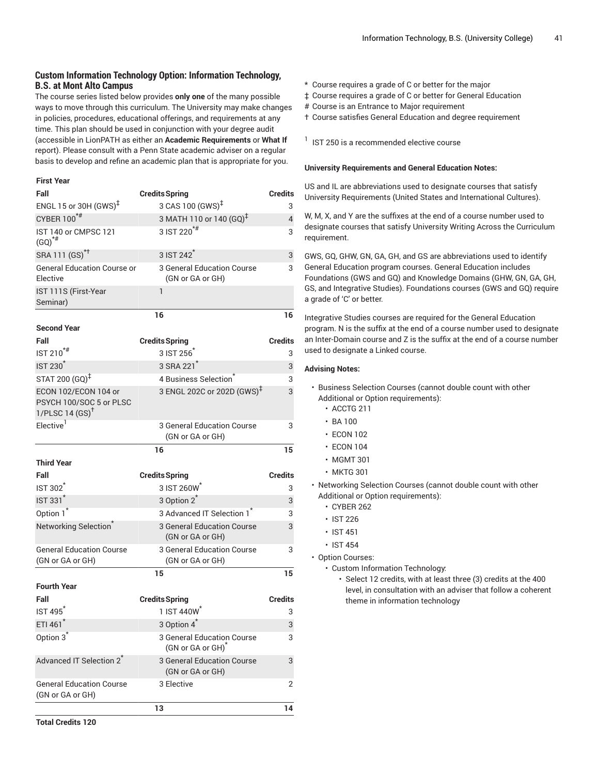# **Custom Information Technology Option: Information Technology, B.S. at Mont Alto Campus**

The course series listed below provides **only one** of the many possible ways to move through this curriculum. The University may make changes in policies, procedures, educational offerings, and requirements at any time. This plan should be used in conjunction with your degree audit (accessible in LionPATH as either an **Academic Requirements** or **What If** report). Please consult with a Penn State academic adviser on a regular basis to develop and refine an academic plan that is appropriate for you.

### **First Year**

| Fall                                                                          | <b>Credits Spring</b>                                       | <b>Credits</b> |
|-------------------------------------------------------------------------------|-------------------------------------------------------------|----------------|
| ENGL 15 or 30H (GWS) <sup>‡</sup>                                             | 3 CAS 100 (GWS) <sup>‡</sup>                                | 3              |
| CYBER 100*#                                                                   | 3 MATH 110 or 140 $(GQ)^{\ddagger}$                         | 4              |
| IST 140 or CMPSC 121<br>$(GQ)^{H}$                                            | 3 IST 220 <sup>*#</sup>                                     | 3              |
| SRA 111 (GS) <sup>*†</sup>                                                    | 3 IST 242 <sup>*</sup>                                      | 3              |
| <b>General Education Course or</b><br>Elective                                | 3 General Education Course<br>(GN or GA or GH)              | 3              |
| IST 111S (First-Year<br>Seminar)                                              | 1                                                           |                |
|                                                                               | 16                                                          | 16             |
| <b>Second Year</b>                                                            |                                                             |                |
| Fall                                                                          | <b>Credits Spring</b>                                       | <b>Credits</b> |
| IST 210 <sup>*#</sup>                                                         | 3 IST 256                                                   | 3              |
| <b>IST 230<sup>*</sup></b>                                                    | 3 SRA 221 <sup>*</sup>                                      | 3              |
| STAT 200 (GQ) <sup>‡</sup>                                                    | 4 Business Selection                                        | 3              |
| ECON 102/ECON 104 or<br>PSYCH 100/SOC 5 or PLSC<br>1/PLSC 14 $(SS)^{\dagger}$ | 3 ENGL 202C or 202D (GWS) <sup>‡</sup>                      | 3              |
| Elective <sup>1</sup>                                                         | 3 General Education Course<br>(GN or GA or GH)              | 3              |
|                                                                               | 16                                                          | 15             |
| <b>Third Year</b>                                                             |                                                             |                |
| Fall                                                                          | <b>Credits Spring</b>                                       | <b>Credits</b> |
| IST 302 <sup>*</sup>                                                          | 3 IST 260W                                                  | 3              |
| <b>IST 331<sup>*</sup></b>                                                    | 3 Option 2 <sup>*</sup>                                     | 3              |
| Option 1 <sup>*</sup>                                                         | 3 Advanced IT Selection 1 <sup>*</sup>                      | 3              |
| Networking Selection <sup>*</sup>                                             | <b>3 General Education Course</b><br>(GN or GA or GH)       | 3              |
| <b>General Education Course</b><br>(GN or GA or GH)                           | 3 General Education Course<br>(GN or GA or GH)              | 3              |
|                                                                               | 15                                                          | 15             |
| <b>Fourth Year</b>                                                            |                                                             |                |
| Fall                                                                          |                                                             |                |
|                                                                               | <b>Credits Spring</b>                                       | <b>Credits</b> |
| IST 495 <sup>*</sup>                                                          | 1 IST 440W <sup>*</sup>                                     | 3              |
| ETI 461*                                                                      | 3 Option 4 <sup>*</sup>                                     | 3              |
| Option 3 <sup>*</sup>                                                         | 3 General Education Course<br>(GN or GA or GH) <sup>*</sup> | 3              |
| Advanced IT Selection 2 <sup>*</sup>                                          | 3 General Education Course<br>(GN or GA or GH)              | 3              |
| <b>General Education Course</b><br>(GN or GA or GH)                           | 3 Elective                                                  | $\overline{2}$ |

- \* Course requires a grade of C or better for the major
- ‡ Course requires a grade of C or better for General Education
- # Course is an Entrance to Major requirement
- † Course satisfies General Education and degree requirement

 $<sup>1</sup>$  IST 250 is a recommended elective course</sup>

### **University Requirements and General Education Notes:**

US and IL are abbreviations used to designate courses that satisfy University Requirements (United States and International Cultures).

W, M, X, and Y are the suffixes at the end of a course number used to designate courses that satisfy University Writing Across the Curriculum requirement.

GWS, GQ, GHW, GN, GA, GH, and GS are abbreviations used to identify General Education program courses. General Education includes Foundations (GWS and GQ) and Knowledge Domains (GHW, GN, GA, GH, GS, and Integrative Studies). Foundations courses (GWS and GQ) require a grade of 'C' or better.

Integrative Studies courses are required for the General Education program. N is the suffix at the end of a course number used to designate an Inter-Domain course and Z is the suffix at the end of a course number used to designate a Linked course.

- Business Selection Courses (cannot double count with other Additional or Option requirements):
	- ACCTG 211
	- BA 100
	- ECON 102
	- ECON 104
	- MGMT 301
	- MKTG 301
- Networking Selection Courses (cannot double count with other Additional or Option requirements):
	- CYBER 262
	- IST 226
	- IST 451
	- IST 454
- Option Courses:
	- Custom Information Technology:
		- Select 12 credits, with at least three (3) credits at the 400 level, in consultation with an adviser that follow a coherent theme in information technology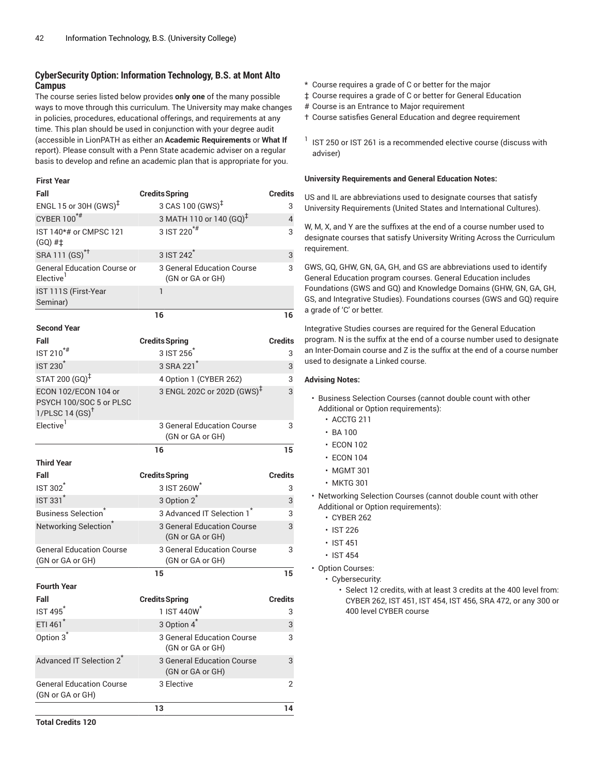# **CyberSecurity Option: Information Technology, B.S. at Mont Alto Campus**

The course series listed below provides **only one** of the many possible ways to move through this curriculum. The University may make changes in policies, procedures, educational offerings, and requirements at any time. This plan should be used in conjunction with your degree audit (accessible in LionPATH as either an **Academic Requirements** or **What If** report). Please consult with a Penn State academic adviser on a regular basis to develop and refine an academic plan that is appropriate for you.

### **First Year**

| Fall                                                        | <b>Credits Spring</b>                          | <b>Credits</b> |
|-------------------------------------------------------------|------------------------------------------------|----------------|
| ENGL 15 or 30H (GWS) <sup>‡</sup>                           | 3 CAS 100 (GWS) <sup>‡</sup>                   | 3              |
| CYBER 100*#                                                 | 3 MATH 110 or 140 (GQ) <sup>T</sup>            | $\overline{4}$ |
| IST 140*# or CMPSC 121                                      | 3 IST 220 <sup>*#</sup>                        | 3              |
| $(GQ)$ # $\ddagger$                                         |                                                |                |
| SRA 111 (GS) <sup>*†</sup>                                  | 3 IST 242 <sup>*</sup>                         | 3              |
| <b>General Education Course or</b><br>Elective <sup>1</sup> | 3 General Education Course<br>(GN or GA or GH) | 3              |
| IST 111S (First-Year<br>Seminar)                            | $\mathbf{1}$                                   |                |
|                                                             | 16                                             | 16             |
| <b>Second Year</b>                                          |                                                |                |
| Fall                                                        | <b>Credits Spring</b>                          | <b>Credits</b> |
| IST 210 <sup>*#</sup>                                       | 3 IST 256                                      | 3              |
| <b>IST 230<sup>*</sup></b>                                  | 3 SRA 221 <sup>*</sup>                         | 3              |
| STAT 200 (GQ) <sup>‡</sup>                                  | 4 Option 1 (CYBER 262)                         | 3              |
| ECON 102/ECON 104 or<br>PSYCH 100/SOC 5 or PLSC             | 3 ENGL 202C or 202D (GWS) <sup>‡</sup>         | 3              |
| 1/PLSC 14 $(SS)^{\dagger}$                                  |                                                |                |
| Elective <sup>1</sup>                                       | 3 General Education Course                     | 3              |
|                                                             | (GN or GA or GH)                               |                |
|                                                             | 16                                             | 15             |
| <b>Third Year</b>                                           |                                                |                |
| Fall                                                        | <b>Credits Spring</b>                          | <b>Credits</b> |
| <b>IST 302</b>                                              | 3 IST 260W                                     | 3              |
| <b>IST 331<sup>*</sup></b>                                  | 3 Option 2 <sup>*</sup>                        | 3              |
| <b>Business Selection</b>                                   | 3 Advanced IT Selection 1 <sup>*</sup>         | 3              |
| Networking Selection <sup>®</sup>                           | 3 General Education Course<br>(GN or GA or GH) | 3              |
| <b>General Education Course</b>                             | <b>3 General Education Course</b>              | 3              |
| (GN or GA or GH)                                            | (GN or GA or GH)                               |                |
|                                                             | 15                                             | 15             |
| <b>Fourth Year</b>                                          |                                                |                |
| Fall                                                        | <b>Credits Spring</b>                          | <b>Credits</b> |
| <b>IST 495<sup>*</sup></b>                                  | 1 IST 440W <sup>*</sup>                        | 3              |
| ETI 461*                                                    | 3 Option 4 <sup>*</sup>                        | 3              |
| Option 3 <sup>*</sup>                                       | 3 General Education Course<br>(GN or GA or GH) | 3              |
|                                                             |                                                |                |
| Advanced IT Selection 2 <sup>*</sup>                        | 3 General Education Course<br>(GN or GA or GH) | 3              |
| <b>General Education Course</b><br>(GN or GA or GH)         | 3 Elective                                     | 2              |

- \* Course requires a grade of C or better for the major
- ‡ Course requires a grade of C or better for General Education
- # Course is an Entrance to Major requirement
- † Course satisfies General Education and degree requirement
- $1$  IST 250 or IST 261 is a recommended elective course (discuss with adviser)

### **University Requirements and General Education Notes:**

US and IL are abbreviations used to designate courses that satisfy University Requirements (United States and International Cultures).

W, M, X, and Y are the suffixes at the end of a course number used to designate courses that satisfy University Writing Across the Curriculum requirement.

GWS, GQ, GHW, GN, GA, GH, and GS are abbreviations used to identify General Education program courses. General Education includes Foundations (GWS and GQ) and Knowledge Domains (GHW, GN, GA, GH, GS, and Integrative Studies). Foundations courses (GWS and GQ) require a grade of 'C' or better.

Integrative Studies courses are required for the General Education program. N is the suffix at the end of a course number used to designate an Inter-Domain course and Z is the suffix at the end of a course number used to designate a Linked course.

### **Advising Notes:**

- Business Selection Courses (cannot double count with other Additional or Option requirements):
	- ACCTG 211
	- BA 100
	- ECON 102
	- ECON 104
	- MGMT 301
	- MKTG 301
- Networking Selection Courses (cannot double count with other Additional or Option requirements):
	- CYBER 262
	- IST 226
	- IST 451
	- IST 454
- Option Courses:
	- Cybersecurity:

• Select 12 credits, with at least 3 credits at the 400 level from: CYBER 262, IST 451, IST 454, IST 456, SRA 472, or any 300 or 400 level CYBER course

**Total Credits 120**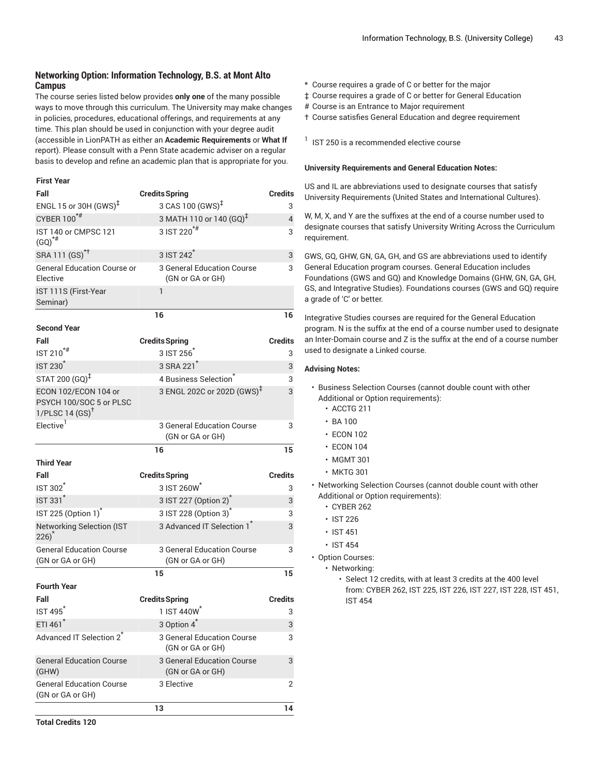# **Networking Option: Information Technology, B.S. at Mont Alto Campus**

The course series listed below provides **only one** of the many possible ways to move through this curriculum. The University may make changes in policies, procedures, educational offerings, and requirements at any time. This plan should be used in conjunction with your degree audit (accessible in LionPATH as either an **Academic Requirements** or **What If** report). Please consult with a Penn State academic adviser on a regular basis to develop and refine an academic plan that is appropriate for you.

### **First Year**

| Fall                                                                          | <b>Credits Spring</b>                          | <b>Credits</b> |
|-------------------------------------------------------------------------------|------------------------------------------------|----------------|
| ENGL 15 or 30H $(GWS)^{\ddagger}$                                             | 3 CAS 100 (GWS) <sup>‡</sup>                   | 3              |
| CYBER 100*#                                                                   | 3 MATH 110 or 140 $(GQ)^{\ddagger}$            | $\overline{4}$ |
| IST 140 or CMPSC 121<br>$(GQ)^{*#}$                                           | 3 IST 220 <sup>*#</sup>                        | 3              |
| SRA 111 (GS) <sup>*†</sup>                                                    | 3 IST 242 <sup>*</sup>                         | 3              |
| <b>General Education Course or</b><br>Elective                                | 3 General Education Course<br>(GN or GA or GH) | 3              |
| IST 111S (First-Year<br>Seminar)                                              | 1                                              |                |
|                                                                               | 16                                             | 16             |
| <b>Second Year</b>                                                            |                                                |                |
| Fall                                                                          | <b>Credits Spring</b>                          | <b>Credits</b> |
| IST 210 <sup>*#</sup>                                                         | 3 IST 256                                      | 3              |
| <b>IST 230<sup>*</sup></b>                                                    | 3 SRA 221 <sup>*</sup>                         | 3              |
| STAT 200 (GQ) <sup>‡</sup>                                                    | 4 Business Selection                           | 3              |
| ECON 102/ECON 104 or<br>PSYCH 100/SOC 5 or PLSC<br>1/PLSC 14 $(SS)^{\dagger}$ | 3 ENGL 202C or 202D (GWS) <sup>‡</sup>         | 3              |
| Elective <sup>1</sup>                                                         | 3 General Education Course<br>(GN or GA or GH) | 3              |
|                                                                               | 16                                             | 15             |
| <b>Third Year</b>                                                             |                                                |                |
| Fall                                                                          | <b>Credits Spring</b>                          | <b>Credits</b> |
| <b>IST 302<sup>*</sup></b>                                                    | 3 IST 260W*                                    | 3              |
| <b>IST 331<sup>*</sup></b>                                                    | 3 IST 227 (Option 2)                           | 3              |
| IST 225 (Option 1) <sup>*</sup>                                               | 3 IST 228 (Option 3) <sup>*</sup>              | 3              |
| <b>Networking Selection (IST</b><br>$226)^*$                                  | 3 Advanced IT Selection 1 <sup>*</sup>         | 3              |
| <b>General Education Course</b><br>(GN or GA or GH)                           | 3 General Education Course<br>(GN or GA or GH) | 3              |
|                                                                               | 15                                             | 15             |
| <b>Fourth Year</b>                                                            |                                                |                |
| Fall                                                                          | <b>Credits Spring</b>                          | <b>Credits</b> |
| <b>IST 495<sup>*</sup></b>                                                    | 1 IST 440W                                     | 3              |
| ETI 461 <sup>*</sup>                                                          | 3 Option 4 <sup>*</sup>                        | 3              |
| Advanced IT Selection 2*                                                      | 3 General Education Course<br>(GN or GA or GH) | 3              |
| <b>General Education Course</b><br>(GHW)                                      | 3 General Education Course<br>(GN or GA or GH) | 3              |
| <b>General Education Course</b><br>(GN or GA or GH)                           | 3 Elective                                     | 2              |
|                                                                               | 13                                             | 14             |

- \* Course requires a grade of C or better for the major
- ‡ Course requires a grade of C or better for General Education
- # Course is an Entrance to Major requirement
- † Course satisfies General Education and degree requirement

 $<sup>1</sup>$  IST 250 is a recommended elective course</sup>

### **University Requirements and General Education Notes:**

US and IL are abbreviations used to designate courses that satisfy University Requirements (United States and International Cultures).

W, M, X, and Y are the suffixes at the end of a course number used to designate courses that satisfy University Writing Across the Curriculum requirement.

GWS, GQ, GHW, GN, GA, GH, and GS are abbreviations used to identify General Education program courses. General Education includes Foundations (GWS and GQ) and Knowledge Domains (GHW, GN, GA, GH, GS, and Integrative Studies). Foundations courses (GWS and GQ) require a grade of 'C' or better.

Integrative Studies courses are required for the General Education program. N is the suffix at the end of a course number used to designate an Inter-Domain course and Z is the suffix at the end of a course number used to designate a Linked course.

- Business Selection Courses (cannot double count with other Additional or Option requirements):
	- ACCTG 211
	- BA 100
	- ECON 102
	- ECON 104
	- MGMT 301
	- MKTG 301
- Networking Selection Courses (cannot double count with other Additional or Option requirements):
	- CYBER 262
	- IST 226
	- IST 451
	- IST 454
- Option Courses:
	- Networking:
		- Select 12 credits, with at least 3 credits at the 400 level from: CYBER 262, IST 225, IST 226, IST 227, IST 228, IST 451, IST 454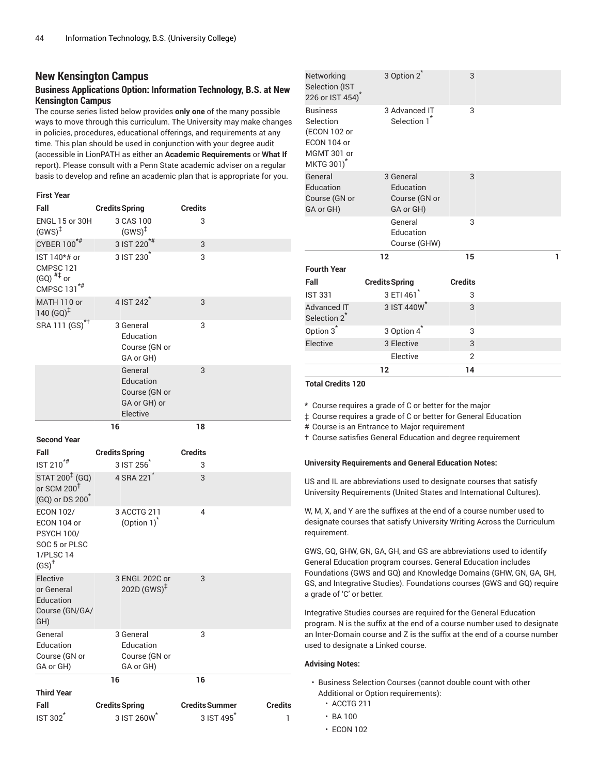# **New Kensington Campus**

# **Business Applications Option: Information Technology, B.S. at New Kensington Campus**

The course series listed below provides **only one** of the many possible ways to move through this curriculum. The University may make changes in policies, procedures, educational offerings, and requirements at any time. This plan should be used in conjunction with your degree audit (accessible in LionPATH as either an **Academic Requirements** or **What If** report). Please consult with a Penn State academic adviser on a regular basis to develop and refine an academic plan that is appropriate for you.

| Fall                                                                                                   | <b>Credits Spring</b>                                             | <b>Credits Summer</b> | <b>Credits</b> |
|--------------------------------------------------------------------------------------------------------|-------------------------------------------------------------------|-----------------------|----------------|
| <b>Third Year</b>                                                                                      |                                                                   |                       |                |
| General<br>Education<br>Course (GN or<br>GA or GH)                                                     | 3 General<br>Education<br>Course (GN or<br>GA or GH)<br>16        | 3<br>16               |                |
| Elective<br>or General<br>Education<br>Course (GN/GA/<br>GH)                                           | 3 ENGL 202C or<br>$202D(GWS)^{\ddagger}$                          | 3                     |                |
| <b>ECON 102/</b><br>ECON 104 or<br><b>PSYCH 100/</b><br>SOC 5 or PLSC<br>1/PLSC 14<br>$(SS)^{\dagger}$ | 3 ACCTG 211<br>(Option $1)^*$                                     | 4                     |                |
| STAT 200 <sup>‡</sup> (GQ)<br>or SCM 200 $1$<br>(GQ) or DS 200 <sup>*</sup>                            | 4 SRA 221 <sup>*</sup>                                            | 3                     |                |
| Fall<br>IST 210 <sup>*#</sup>                                                                          | <b>Credits Spring</b><br>3 IST 256                                | <b>Credits</b><br>3   |                |
| <b>Second Year</b>                                                                                     | 16                                                                | 18                    |                |
|                                                                                                        | General<br>Education<br>Course (GN or<br>GA or GH) or<br>Elective | 3                     |                |
| SRA 111 (GS) <sup>*†</sup>                                                                             | 3 General<br>Education<br>Course (GN or<br>GA or GH)              | 3                     |                |
| MATH 110 or<br>140 $(GQ)^{\ddagger}$                                                                   | 4 IST 242 <sup>*</sup>                                            | 3                     |                |
| IST 140*# or<br>CMPSC 121<br>$(GQ)$ <sup>#‡</sup> or<br>CMPSC 131 <sup>*#</sup>                        | 3 IST 230                                                         | 3                     |                |
| CYBER 100*#                                                                                            | 3 IST 220 <sup>*#</sup>                                           | 3                     |                |
| ENGL 15 or 30H<br>$(GWS)^{\ddagger}$                                                                   | 3 CAS 100<br>$(GWS)^{\ddagger}$                                   | 3                     |                |
| <b>First Year</b><br>Fall                                                                              | <b>Credits Spring</b>                                             | Credits               |                |

3 IST 260W\*

3 IST 495\*

IST 302\*

|                                                                                                      | 12                                                   | 14             |   |
|------------------------------------------------------------------------------------------------------|------------------------------------------------------|----------------|---|
|                                                                                                      | Elective                                             | 2              |   |
| Elective                                                                                             | 3 Elective                                           | 3              |   |
| Option 3 <sup>*</sup>                                                                                | 3 Option 4 <sup>*</sup>                              | 3              |   |
| <b>Advanced IT</b><br>Selection 2 <sup>*</sup>                                                       | 3 IST 440W*                                          | 3              |   |
| <b>IST 331</b>                                                                                       | 3 ETI 461*                                           | 3              |   |
| Fall                                                                                                 | <b>Credits Spring</b>                                | <b>Credits</b> |   |
| <b>Fourth Year</b>                                                                                   |                                                      |                |   |
|                                                                                                      | 12                                                   | 15             | 1 |
|                                                                                                      | General<br>Education<br>Course (GHW)                 | 3              |   |
| General<br>Education<br>Course (GN or<br>GA or GH)                                                   | 3 General<br>Education<br>Course (GN or<br>GA or GH) | 3              |   |
| <b>Business</b><br>Selection<br>(ECON 102 or<br>ECON 104 or<br>MGMT 301 or<br>MKTG 301) <sup>*</sup> | 3 Advanced IT<br>Selection 1                         | 3              |   |
| Networking<br>Selection (IST<br>226 or IST 454)                                                      | 3 Option 2 <sup>*</sup>                              | 3              |   |

**Total Credits 120**

\* Course requires a grade of C or better for the major

‡ Course requires a grade of C or better for General Education

# Course is an Entrance to Major requirement

† Course satisfies General Education and degree requirement

### **University Requirements and General Education Notes:**

US and IL are abbreviations used to designate courses that satisfy University Requirements (United States and International Cultures).

W, M, X, and Y are the suffixes at the end of a course number used to designate courses that satisfy University Writing Across the Curriculum requirement.

GWS, GQ, GHW, GN, GA, GH, and GS are abbreviations used to identify General Education program courses. General Education includes Foundations (GWS and GQ) and Knowledge Domains (GHW, GN, GA, GH, GS, and Integrative Studies). Foundations courses (GWS and GQ) require a grade of 'C' or better.

Integrative Studies courses are required for the General Education program. N is the suffix at the end of a course number used to designate an Inter-Domain course and Z is the suffix at the end of a course number used to designate a Linked course.

### **Advising Notes:**

- Business Selection Courses (cannot double count with other Additional or Option requirements):
	- ACCTG 211
	- BA 100

1

• ECON 102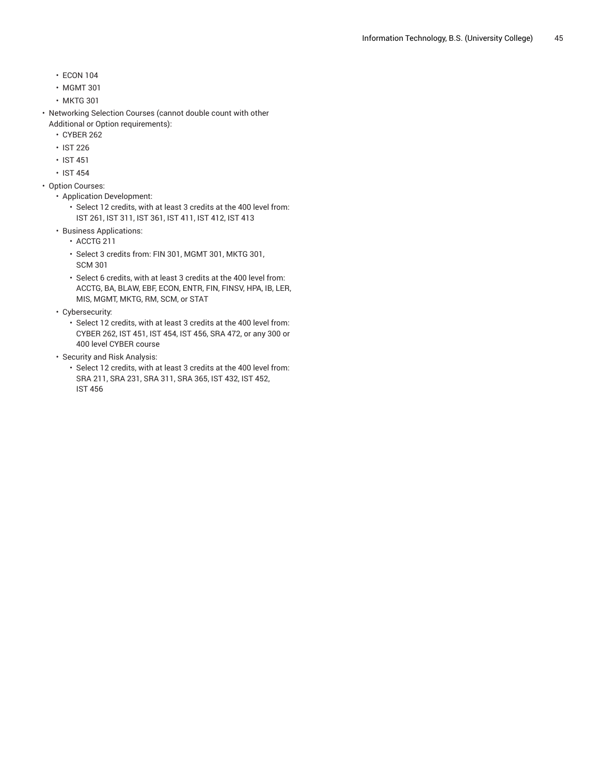- ECON 104
- MGMT 301
- MKTG 301
- Networking Selection Courses (cannot double count with other Additional or Option requirements):
	- CYBER 262
	- IST 226
	- IST 451
	- IST 454
- Option Courses:
	- Application Development:
		- Select 12 credits, with at least 3 credits at the 400 level from: IST 261, IST 311, IST 361, IST 411, IST 412, IST 413
	- Business Applications:
		- ACCTG 211
		- Select 3 credits from: FIN 301, MGMT 301, MKTG 301, SCM 301
		- Select 6 credits, with at least 3 credits at the 400 level from: ACCTG, BA, BLAW, EBF, ECON, ENTR, FIN, FINSV, HPA, IB, LER, MIS, MGMT, MKTG, RM, SCM, or STAT
	- Cybersecurity:
		- Select 12 credits, with at least 3 credits at the 400 level from: CYBER 262, IST 451, IST 454, IST 456, SRA 472, or any 300 or 400 level CYBER course
	- Security and Risk Analysis:
		- Select 12 credits, with at least 3 credits at the 400 level from: SRA 211, SRA 231, SRA 311, SRA 365, IST 432, IST 452, IST 456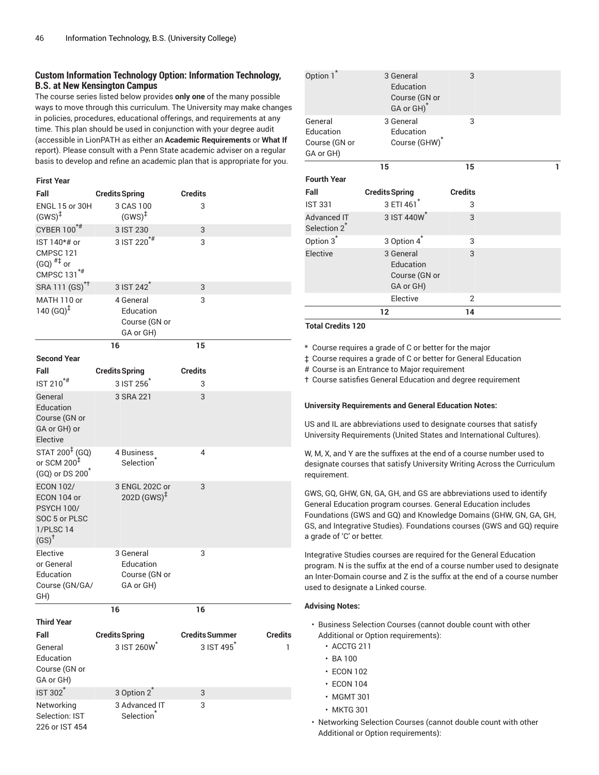# **Custom Information Technology Option: Information Technology, B.S. at New Kensington Campus**

The course series listed below provides **only one** of the many possible ways to move through this curriculum. The University may make changes in policies, procedures, educational offerings, and requirements at any time. This plan should be used in conjunction with your degree audit (accessible in LionPATH as either an **Academic Requirements** or **What If** report). Please consult with a Penn State academic adviser on a regular basis to develop and refine an academic plan that is appropriate for you.

| <b>First Year</b>                                                                                      |                                                      |                       |         |
|--------------------------------------------------------------------------------------------------------|------------------------------------------------------|-----------------------|---------|
| Fall                                                                                                   | <b>Credits Spring</b>                                | <b>Credits</b>        |         |
| ENGL 15 or 30H<br>$(GWS)^{\ddagger}$                                                                   | 3 CAS 100<br>$(GWS)^{\ddagger}$                      | 3                     |         |
| CYBER 100*#                                                                                            | 3 IST 230                                            | 3                     |         |
| IST 140*# or<br>CMPSC 121<br>$(GQ)$ <sup>#‡</sup> or<br>CMPSC 131 <sup>*#</sup>                        | 3 IST 220 <sup>*#</sup>                              | 3                     |         |
| SRA 111 (GS) <sup>*†</sup>                                                                             | 3 IST 242 <sup>*</sup>                               | 3                     |         |
| MATH 110 or<br>140 $(GQ)^{\ddagger}$                                                                   | 4 General<br>Education<br>Course (GN or<br>GA or GH) | 3                     |         |
|                                                                                                        | 16                                                   | 15                    |         |
| <b>Second Year</b>                                                                                     |                                                      |                       |         |
| Fall<br>$IST 210$ <sup>*#</sup>                                                                        | <b>Credits Spring</b><br>3 IST 256                   | <b>Credits</b><br>3   |         |
| General                                                                                                | 3 SRA 221                                            | 3                     |         |
| Education<br>Course (GN or<br>GA or GH) or<br>Elective                                                 |                                                      |                       |         |
| $STAT 200^{\ddagger}$ (GQ)<br>or SCM 200 $^{\ddagger}$<br>(GQ) or DS 200 <sup>*</sup>                  | 4 Business<br>Selection <sup>®</sup>                 | 4                     |         |
| <b>ECON 102/</b><br>ECON 104 or<br><b>PSYCH 100/</b><br>SOC 5 or PLSC<br>1/PLSC 14<br>$(SS)^{\dagger}$ | 3 ENGL 202C or<br>$202D(GWS)^{\ddagger}$             | 3                     |         |
| Elective<br>or General<br>Education<br>Course (GN/GA/<br>GH)                                           | 3 General<br>Education<br>Course (GN or<br>GA or GH) | 3                     |         |
|                                                                                                        | 16                                                   | 16                    |         |
| <b>Third Year</b>                                                                                      |                                                      |                       |         |
| Fall                                                                                                   | <b>Credits Spring</b>                                | <b>Credits Summer</b> | Credits |
| General<br>Education<br>Course (GN or<br>GA or GH)                                                     | 3 IST 260W                                           | 3 IST 495             | 1       |
| IST 302 <sup>*</sup>                                                                                   | 3 Option 2 <sup>*</sup>                              | 3                     |         |
| Networking<br>Selection: IST<br>226 or IST 454                                                         | 3 Advanced IT<br>Selection <sup>*</sup>              | 3                     |         |

|                                                    | 12                                                                | 14             |   |
|----------------------------------------------------|-------------------------------------------------------------------|----------------|---|
|                                                    | Elective                                                          | 2              |   |
| Elective                                           | 3 General<br>Education<br>Course (GN or<br>GA or GH)              | 3              |   |
| Option 3 <sup>*</sup>                              | 3 Option 4                                                        | 3              |   |
| Advanced IT<br>Selection 2 <sup>*</sup>            | 3 IST 440W*                                                       | 3              |   |
| <b>IST 331</b>                                     | 3 ETI 461*                                                        | 3              |   |
| Fall                                               | <b>Credits Spring</b>                                             | <b>Credits</b> |   |
| <b>Fourth Year</b>                                 | 15                                                                | 15             | 1 |
| General<br>Education<br>Course (GN or<br>GA or GH) | 3 General<br>Education<br>Course (GHW)                            | 3              |   |
| Option 1*                                          | 3 General<br>Education<br>Course (GN or<br>GA or GH) <sup>*</sup> | 3              |   |

### **Total Credits 120**

\* Course requires a grade of C or better for the major

‡ Course requires a grade of C or better for General Education

# Course is an Entrance to Major requirement

† Course satisfies General Education and degree requirement

#### **University Requirements and General Education Notes:**

US and IL are abbreviations used to designate courses that satisfy University Requirements (United States and International Cultures).

W, M, X, and Y are the suffixes at the end of a course number used to designate courses that satisfy University Writing Across the Curriculum requirement.

GWS, GQ, GHW, GN, GA, GH, and GS are abbreviations used to identify General Education program courses. General Education includes Foundations (GWS and GQ) and Knowledge Domains (GHW, GN, GA, GH, GS, and Integrative Studies). Foundations courses (GWS and GQ) require a grade of 'C' or better.

Integrative Studies courses are required for the General Education program. N is the suffix at the end of a course number used to designate an Inter-Domain course and Z is the suffix at the end of a course number used to designate a Linked course.

- Business Selection Courses (cannot double count with other Additional or Option requirements):
	- ACCTG 211
	- BA 100
	- ECON 102
	- ECON 104
	- MGMT 301
	- MKTG 301
- Networking Selection Courses (cannot double count with other Additional or Option requirements):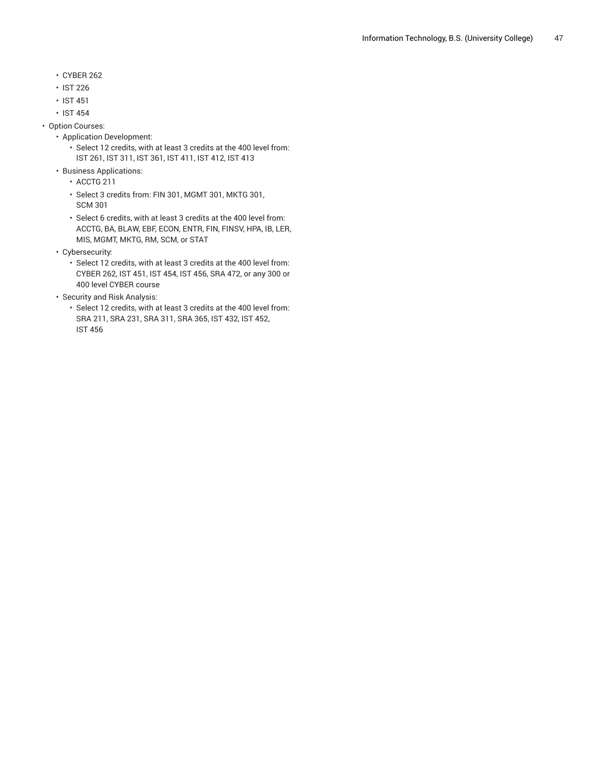- CYBER 262
- IST 226
- IST 451
- IST 454
- Option Courses:
	- Application Development:
		- Select 12 credits, with at least 3 credits at the 400 level from: IST 261, IST 311, IST 361, IST 411, IST 412, IST 413
	- Business Applications:
		- ACCTG 211
		- Select 3 credits from: FIN 301, MGMT 301, MKTG 301, SCM 301
		- Select 6 credits, with at least 3 credits at the 400 level from: ACCTG, BA, BLAW, EBF, ECON, ENTR, FIN, FINSV, HPA, IB, LER, MIS, MGMT, MKTG, RM, SCM, or STAT
	- Cybersecurity:
		- Select 12 credits, with at least 3 credits at the 400 level from: CYBER 262, IST 451, IST 454, IST 456, SRA 472, or any 300 or 400 level CYBER course
	- Security and Risk Analysis:
		- Select 12 credits, with at least 3 credits at the 400 level from: SRA 211, SRA 231, SRA 311, SRA 365, IST 432, IST 452, IST 456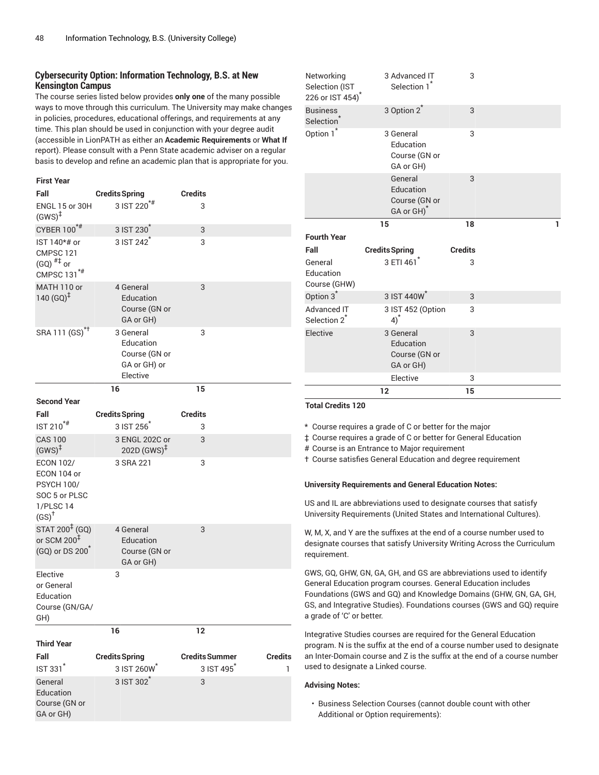# **Cybersecurity Option: Information Technology, B.S. at New Kensington Campus**

The course series listed below provides **only one** of the many possible ways to move through this curriculum. The University may make changes in policies, procedures, educational offerings, and requirements at any time. This plan should be used in conjunction with your degree audit (accessible in LionPATH as either an **Academic Requirements** or **What If** report). Please consult with a Penn State academic adviser on a regular basis to develop and refine an academic plan that is appropriate for you.

| <b>First Year</b>                                                                                      |                                                                     |                        |                |
|--------------------------------------------------------------------------------------------------------|---------------------------------------------------------------------|------------------------|----------------|
| Fall                                                                                                   | <b>Credits Spring</b>                                               | <b>Credits</b>         |                |
| ENGL 15 or 30H<br>$(GWS)^{\ddagger}$                                                                   | $3$ IST 220 <sup>*#</sup>                                           | 3                      |                |
| CYBER 100*#                                                                                            | 3 IST 230 <sup>*</sup>                                              | 3                      |                |
| IST 140*# or<br>CMPSC 121<br>$(GQ)$ <sup>#‡</sup> or<br>CMPSC 131 <sup>*#</sup>                        | 3 IST 242                                                           | 3                      |                |
| MATH 110 or<br>140 $(GQ)^{\ddagger}$                                                                   | 4 General<br>Education<br>Course (GN or<br>GA or GH)                | 3                      |                |
| SRA 111 (GS) <sup>*†</sup>                                                                             | 3 General<br>Education<br>Course (GN or<br>GA or GH) or<br>Elective | 3                      |                |
|                                                                                                        | 16                                                                  | 15                     |                |
| <b>Second Year</b>                                                                                     |                                                                     |                        |                |
| Fall                                                                                                   | <b>Credits Spring</b><br>3 IST 256                                  | <b>Credits</b>         |                |
| IST 210 <sup>*#</sup>                                                                                  |                                                                     | 3                      |                |
| <b>CAS 100</b><br>$(GWS)^{\ddagger}$                                                                   | 3 ENGL 202C or<br>$202D$ (GWS) <sup><math>\ddagger</math></sup>     | 3                      |                |
| <b>ECON 102/</b><br>ECON 104 or<br><b>PSYCH 100/</b><br>SOC 5 or PLSC<br>1/PLSC 14<br>$(SS)^{\dagger}$ | 3 SRA 221                                                           | 3                      |                |
| STAT 200 <sup>‡</sup> (GQ)<br>or SCM 200 $^{\ddagger}$<br>(GQ) or DS 200 <sup>*</sup>                  | 4 General<br>Education<br>Course (GN or<br>GA or GH)                | 3                      |                |
| Elective<br>or General<br>Education<br>Course (GN/GA/<br>GH)                                           | 3                                                                   |                        |                |
|                                                                                                        | 16                                                                  | 12                     |                |
| <b>Third Year</b>                                                                                      |                                                                     |                        |                |
| Fall                                                                                                   | <b>Credits Spring</b>                                               | <b>Credits Summer</b>  | <b>Credits</b> |
| IST 331 <sup>*</sup>                                                                                   | 3 IST 260W                                                          | 3 IST 495 <sup>*</sup> | 1              |
| General<br>Education<br>Course (GN or<br>GA or GH)                                                     | 3 IST 302 <sup>*</sup>                                              | 3                      |                |

| Networking<br>Selection (IST<br>226 or IST 454) | 3 Advanced IT<br>Selection 1                                    | 3              |   |
|-------------------------------------------------|-----------------------------------------------------------------|----------------|---|
| <b>Business</b><br>Selection <sup>*</sup>       | 3 Option 2 <sup>*</sup>                                         | 3              |   |
| Option 1 <sup>*</sup>                           | 3 General<br>Education<br>Course (GN or<br>GA or GH)            | 3              |   |
|                                                 | General<br>Education<br>Course (GN or<br>GA or GH) <sup>*</sup> | 3              |   |
|                                                 | 15                                                              | 18             | 1 |
|                                                 |                                                                 |                |   |
| <b>Fourth Year</b>                              |                                                                 |                |   |
| Fall                                            | <b>Credits Spring</b>                                           | <b>Credits</b> |   |
| General<br>Education<br>Course (GHW)            | 3 ETI 461                                                       | 3              |   |
| Option 3 <sup>*</sup>                           | 3 IST 440W                                                      | 3              |   |
| Advanced IT<br>Selection 2 <sup>*</sup>         | 3 IST 452 (Option<br>$4)^*$                                     | 3              |   |
| Elective                                        | 3 General<br>Education<br>Course (GN or<br>GA or GH)            | 3              |   |
|                                                 | Elective                                                        | 3              |   |

### **Total Credits 120**

\* Course requires a grade of C or better for the major

‡ Course requires a grade of C or better for General Education

# Course is an Entrance to Major requirement

† Course satisfies General Education and degree requirement

### **University Requirements and General Education Notes:**

US and IL are abbreviations used to designate courses that satisfy University Requirements (United States and International Cultures).

W, M, X, and Y are the suffixes at the end of a course number used to designate courses that satisfy University Writing Across the Curriculum requirement.

GWS, GQ, GHW, GN, GA, GH, and GS are abbreviations used to identify General Education program courses. General Education includes Foundations (GWS and GQ) and Knowledge Domains (GHW, GN, GA, GH, GS, and Integrative Studies). Foundations courses (GWS and GQ) require a grade of 'C' or better.

Integrative Studies courses are required for the General Education program. N is the suffix at the end of a course number used to designate an Inter-Domain course and Z is the suffix at the end of a course number used to designate a Linked course.

### **Advising Notes:**

• Business Selection Courses (cannot double count with other Additional or Option requirements):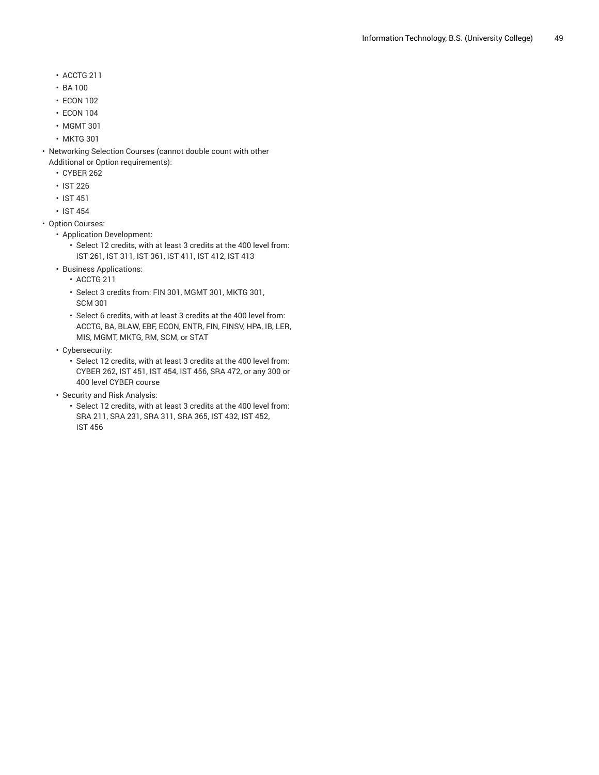- ACCTG 211
- BA 100
- ECON 102
- ECON 104
- MGMT 301
- MKTG 301
- Networking Selection Courses (cannot double count with other Additional or Option requirements):
	- CYBER 262
	- IST 226
	- IST 451
	- IST 454
- Option Courses:
	- Application Development:
		- Select 12 credits, with at least 3 credits at the 400 level from: IST 261, IST 311, IST 361, IST 411, IST 412, IST 413
	- Business Applications:
		- ACCTG 211
		- Select 3 credits from: FIN 301, MGMT 301, MKTG 301, SCM 301
		- Select 6 credits, with at least 3 credits at the 400 level from: ACCTG, BA, BLAW, EBF, ECON, ENTR, FIN, FINSV, HPA, IB, LER, MIS, MGMT, MKTG, RM, SCM, or STAT
	- Cybersecurity:
		- Select 12 credits, with at least 3 credits at the 400 level from: CYBER 262, IST 451, IST 454, IST 456, SRA 472, or any 300 or 400 level CYBER course
	- Security and Risk Analysis:
		- Select 12 credits, with at least 3 credits at the 400 level from: SRA 211, SRA 231, SRA 311, SRA 365, IST 432, IST 452, IST 456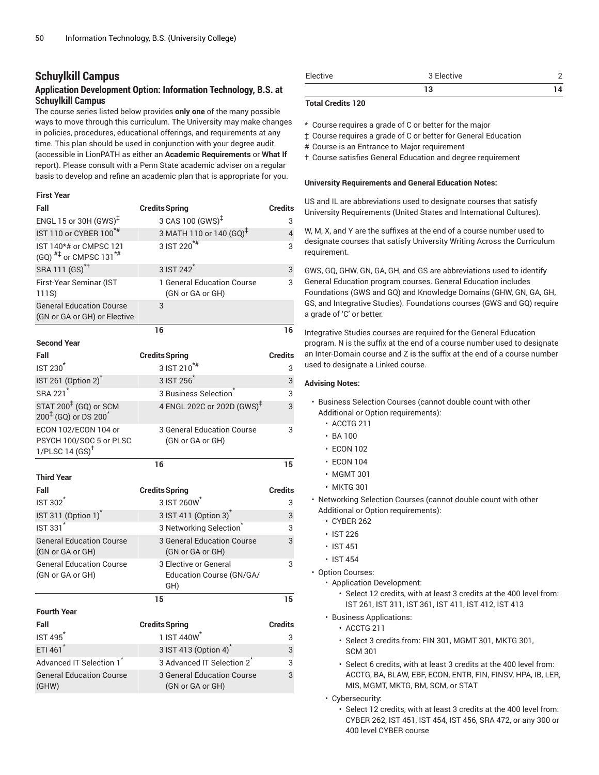# **Schuylkill Campus**

# **Application Development Option: Information Technology, B.S. at Schuylkill Campus**

The course series listed below provides **only one** of the many possible ways to move through this curriculum. The University may make changes in policies, procedures, educational offerings, and requirements at any time. This plan should be used in conjunction with your degree audit (accessible in LionPATH as either an **Academic Requirements** or **What If** report). Please consult with a Penn State academic adviser on a regular basis to develop and refine an academic plan that is appropriate for you.

### **First Year**

| Fall                                                                          | <b>Credits Spring</b>                                    | <b>Credits</b> |
|-------------------------------------------------------------------------------|----------------------------------------------------------|----------------|
| ENGL 15 or 30H $(GWS)^{\ddagger}$                                             | 3 CAS 100 (GWS) <sup>‡</sup>                             | 3              |
| IST 110 or CYBER 100 <sup>*#</sup>                                            | 3 MATH 110 or 140 (GQ) <sup>‡</sup>                      | 4              |
| IST 140*# or CMPSC 121<br>(GQ) $^{#1}$ or CMPSC 131 <sup>*#</sup>             | 3 IST 220 <sup>*#</sup>                                  | 3              |
| SRA 111 (GS) <sup>*†</sup>                                                    | 3 IST 242 <sup><math>\degree</math></sup>                | 3              |
| First-Year Seminar (IST<br>111S)                                              | 1 General Education Course<br>(GN or GA or GH)           | 3              |
| <b>General Education Course</b><br>(GN or GA or GH) or Elective               | 3                                                        |                |
|                                                                               | 16                                                       | 16             |
| <b>Second Year</b>                                                            |                                                          |                |
| Fall                                                                          | <b>Credits Spring</b>                                    | <b>Credits</b> |
| <b>IST 230<sup>*</sup></b>                                                    | $3$ IST $210^{**}$                                       | 3              |
| IST 261 (Option 2) <sup>*</sup>                                               | 3 IST 256                                                | 3              |
| SRA 221 <sup>*</sup>                                                          | 3 Business Selection                                     | 3              |
| STAT 200 <sup>‡</sup> (GQ) or SCM<br>$200^{1}$ (GQ) or DS 200 <sup>*</sup>    | 4 ENGL 202C or 202D (GWS) <sup>‡</sup>                   | 3              |
| ECON 102/ECON 104 or<br>PSYCH 100/SOC 5 or PLSC<br>1/PLSC 14 $(SS)^{\dagger}$ | 3 General Education Course<br>(GN or GA or GH)           | 3              |
|                                                                               | 16                                                       | 15             |
| <b>Third Year</b>                                                             |                                                          |                |
| Fall                                                                          | <b>Credits Spring</b>                                    | <b>Credits</b> |
| <b>IST 302<sup>*</sup></b>                                                    | 3 IST 260W                                               | 3              |
| IST 311 (Option 1) <sup>*</sup>                                               | 3 IST 411 (Option 3)                                     | 3              |
| <b>IST 331<sup>*</sup></b>                                                    | 3 Networking Selection <sup>*</sup>                      | 3              |
| <b>General Education Course</b><br>(GN or GA or GH)                           | <b>3 General Education Course</b><br>(GN or GA or GH)    | 3              |
| <b>General Education Course</b><br>(GN or GA or GH)                           | 3 Elective or General<br>Education Course (GN/GA/<br>GH) | 3              |
|                                                                               | 15                                                       | 15             |
| <b>Fourth Year</b>                                                            |                                                          |                |
| Fall                                                                          | <b>Credits Spring</b>                                    | <b>Credits</b> |
| <b>IST 495</b>                                                                | 1 IST 440W                                               | 3              |
| ETI 461 <sup>*</sup>                                                          | 3 IST 413 (Option 4) <sup>*</sup>                        | 3              |
| Advanced IT Selection 1*                                                      | 3 Advanced IT Selection 2 <sup>7</sup>                   | 3              |
| <b>General Education Course</b><br>(GHW)                                      | 3 General Education Course<br>(GN or GA or GH)           | 3              |

| Elective | 3 Elective |  |
|----------|------------|--|
|          | 10<br>ы    |  |

### **Total Credits 120**

\* Course requires a grade of C or better for the major

‡ Course requires a grade of C or better for General Education

- # Course is an Entrance to Major requirement
- † Course satisfies General Education and degree requirement

### **University Requirements and General Education Notes:**

US and IL are abbreviations used to designate courses that satisfy University Requirements (United States and International Cultures).

W, M, X, and Y are the suffixes at the end of a course number used to designate courses that satisfy University Writing Across the Curriculum requirement.

GWS, GQ, GHW, GN, GA, GH, and GS are abbreviations used to identify General Education program courses. General Education includes Foundations (GWS and GQ) and Knowledge Domains (GHW, GN, GA, GH, GS, and Integrative Studies). Foundations courses (GWS and GQ) require a grade of 'C' or better.

Integrative Studies courses are required for the General Education program. N is the suffix at the end of a course number used to designate an Inter-Domain course and Z is the suffix at the end of a course number used to designate a Linked course.

- Business Selection Courses (cannot double count with other Additional or Option requirements):
	- ACCTG 211
	- BA 100
	- ECON 102
	- ECON 104
	- MGMT 301
	- MKTG 301
- Networking Selection Courses (cannot double count with other Additional or Option requirements):
	- CYBER 262
	- IST 226
	- IST 451
	- IST 454
- Option Courses:
	- Application Development:
		- Select 12 credits, with at least 3 credits at the 400 level from: IST 261, IST 311, IST 361, IST 411, IST 412, IST 413
	- Business Applications:
		- ACCTG 211
		- Select 3 credits from: FIN 301, MGMT 301, MKTG 301, SCM 301
		- Select 6 credits, with at least 3 credits at the 400 level from: ACCTG, BA, BLAW, EBF, ECON, ENTR, FIN, FINSV, HPA, IB, LER, MIS, MGMT, MKTG, RM, SCM, or STAT
	- Cybersecurity:
		- Select 12 credits, with at least 3 credits at the 400 level from: CYBER 262, IST 451, IST 454, IST 456, SRA 472, or any 300 or 400 level CYBER course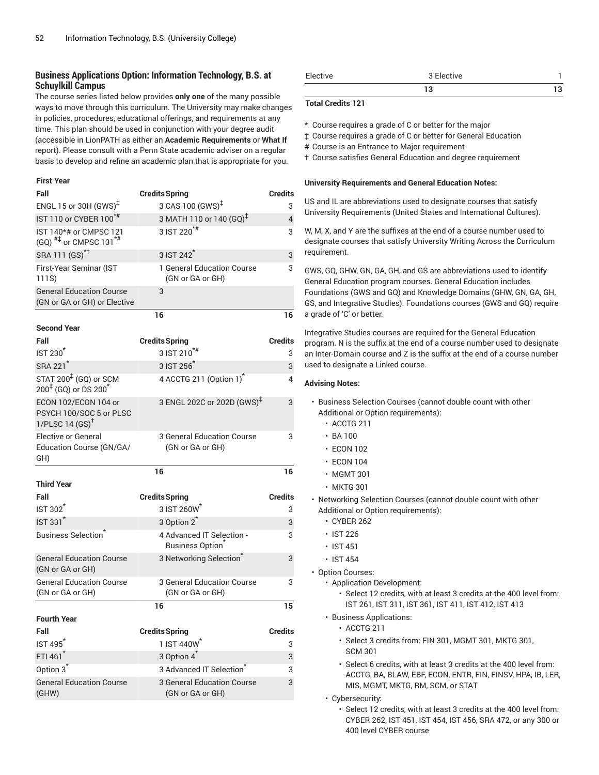# **Business Applications Option: Information Technology, B.S. at Schuylkill Campus**

The course series listed below provides **only one** of the many possible ways to move through this curriculum. The University may make changes in policies, procedures, educational offerings, and requirements at any time. This plan should be used in conjunction with your degree audit (accessible in LionPATH as either an **Academic Requirements** or **What If** report). Please consult with a Penn State academic adviser on a regular basis to develop and refine an academic plan that is appropriate for you.

### **First Year**

| Fall                                                                          | <b>Credits Spring</b>                               | <b>Credits</b> |
|-------------------------------------------------------------------------------|-----------------------------------------------------|----------------|
| ENGL 15 or 30H $(GWS)^{\ddagger}$                                             | 3 CAS 100 (GWS) <sup>‡</sup>                        | 3              |
| IST 110 or CYBER 100 <sup>*#</sup>                                            | 3 MATH 110 or 140 (GQ) <sup>‡</sup>                 | 4              |
| IST 140*# or CMPSC 121<br>(GQ) $^{#}$ or CMPSC 131 <sup>*#</sup>              | 3 IST 220 <sup>*#</sup>                             | 3              |
| SRA 111 (GS) <sup>*†</sup>                                                    | 3 IST 242 <sup>*</sup>                              | 3              |
| First-Year Seminar (IST<br>111S)                                              | 1 General Education Course<br>(GN or GA or GH)      | 3              |
| <b>General Education Course</b><br>(GN or GA or GH) or Elective               | 3                                                   |                |
|                                                                               | 16                                                  | 16             |
| <b>Second Year</b>                                                            |                                                     |                |
| Fall                                                                          | <b>Credits Spring</b>                               | <b>Credits</b> |
| <b>IST 230<sup>*</sup></b>                                                    | 3 IST 210 <sup>*#</sup>                             | 3              |
| SRA 221 <sup>*</sup>                                                          | $3$ IST 256 $^*$                                    | 3              |
| STAT 200 <sup>‡</sup> (GQ) or SCM<br>$200^{4}$ (GQ) or DS $200^{*}$           | 4 ACCTG 211 (Option 1) <sup>*</sup>                 | 4              |
| ECON 102/ECON 104 or<br>PSYCH 100/SOC 5 or PLSC<br>1/PLSC 14 $(SS)^{\dagger}$ | 3 ENGL 202C or 202D (GWS) <sup>‡</sup>              | 3              |
| <b>Elective or General</b><br>Education Course (GN/GA/<br>GH)                 | 3 General Education Course<br>(GN or GA or GH)      | 3              |
|                                                                               | 16                                                  | 16             |
| <b>Third Year</b>                                                             |                                                     |                |
| Fall                                                                          | <b>Credits Spring</b>                               | <b>Credits</b> |
| <b>IST 302</b>                                                                | 3 IST 260W                                          | 3              |
| <b>IST 331<sup>*</sup></b>                                                    | 3 Option 2 <sup>*</sup>                             | 3              |
| <b>Business Selection</b>                                                     | 4 Advanced IT Selection -<br><b>Business Option</b> | 3              |
| <b>General Education Course</b><br>(GN or GA or GH)                           | 3 Networking Selection <sup>®</sup>                 | 3              |
| <b>General Education Course</b><br>(GN or GA or GH)                           | 3 General Education Course<br>(GN or GA or GH)      | 3              |
|                                                                               | 16                                                  | 15             |
| <b>Fourth Year</b>                                                            |                                                     |                |
| Fall                                                                          | <b>Credits Spring</b>                               | <b>Credits</b> |
| IST495                                                                        | 1 IST 440W <sup>*</sup>                             | 3              |
| ETI 461*                                                                      | 3 Option 4 <sup>*</sup>                             | 3              |
| Option 3 <sup>*</sup>                                                         | 3 Advanced IT Selection                             | 3              |
| <b>General Education Course</b><br>(GHW)                                      | 3 General Education Course<br>(GN or GA or GH)      | 3              |

| Elective | $\sim$ $-1$<br>3 Elective |  |
|----------|---------------------------|--|
|          |                           |  |

### **Total Credits 121**

\* Course requires a grade of C or better for the major

‡ Course requires a grade of C or better for General Education

# Course is an Entrance to Major requirement

† Course satisfies General Education and degree requirement

### **University Requirements and General Education Notes:**

US and IL are abbreviations used to designate courses that satisfy University Requirements (United States and International Cultures).

W, M, X, and Y are the suffixes at the end of a course number used to designate courses that satisfy University Writing Across the Curriculum requirement.

GWS, GQ, GHW, GN, GA, GH, and GS are abbreviations used to identify General Education program courses. General Education includes Foundations (GWS and GQ) and Knowledge Domains (GHW, GN, GA, GH, GS, and Integrative Studies). Foundations courses (GWS and GQ) require a grade of 'C' or better.

Integrative Studies courses are required for the General Education program. N is the suffix at the end of a course number used to designate an Inter-Domain course and Z is the suffix at the end of a course number used to designate a Linked course.

- Business Selection Courses (cannot double count with other Additional or Option requirements):
	- ACCTG 211
	- $\cdot$  BA 100
	- ECON 102
	- ECON 104
	- MGMT 301
	- MKTG 301
- Networking Selection Courses (cannot double count with other Additional or Option requirements):
	- CYBER 262
	- IST 226
	- IST 451
	- IST 454
- Option Courses:
	- Application Development:
		- Select 12 credits, with at least 3 credits at the 400 level from: IST 261, IST 311, IST 361, IST 411, IST 412, IST 413
	- Business Applications:
		- ACCTG 211
		- Select 3 credits from: FIN 301, MGMT 301, MKTG 301, SCM 301
		- Select 6 credits, with at least 3 credits at the 400 level from: ACCTG, BA, BLAW, EBF, ECON, ENTR, FIN, FINSV, HPA, IB, LER, MIS, MGMT, MKTG, RM, SCM, or STAT
	- Cybersecurity:
		- Select 12 credits, with at least 3 credits at the 400 level from: CYBER 262, IST 451, IST 454, IST 456, SRA 472, or any 300 or 400 level CYBER course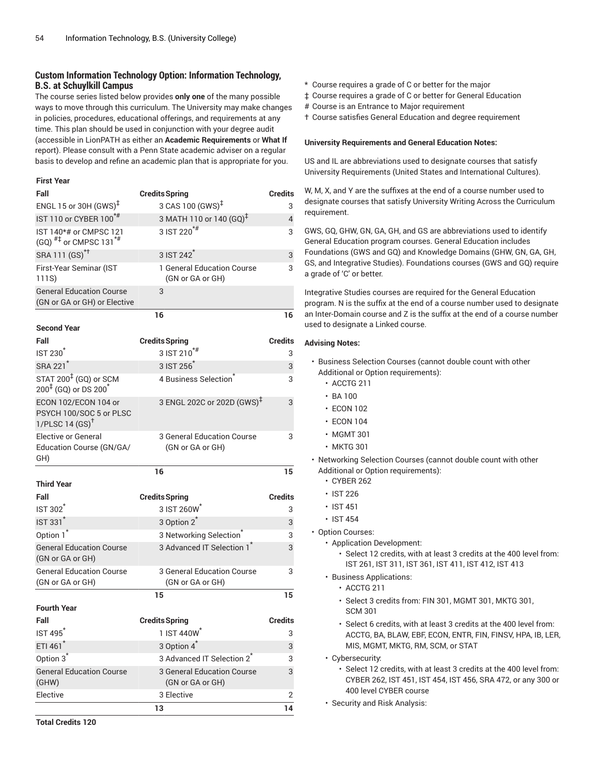# **Custom Information Technology Option: Information Technology, B.S. at Schuylkill Campus**

The course series listed below provides **only one** of the many possible ways to move through this curriculum. The University may make changes in policies, procedures, educational offerings, and requirements at any time. This plan should be used in conjunction with your degree audit (accessible in LionPATH as either an **Academic Requirements** or **What If** report). Please consult with a Penn State academic adviser on a regular basis to develop and refine an academic plan that is appropriate for you.

### **First Year**

| Fall                                                                          | <b>Credits Spring</b>                          | Credits        |
|-------------------------------------------------------------------------------|------------------------------------------------|----------------|
| ENGL 15 or 30H (GWS) <sup>‡</sup>                                             | 3 CAS 100 (GWS) <sup>‡</sup>                   | 3              |
| IST 110 or CYBER 100*#                                                        | 3 MATH 110 or 140 (GQ) <sup>‡</sup>            | 4              |
| IST 140*# or CMPSC 121<br>$(GQ)$ <sup>#‡</sup> or CMPSC 131 <sup>*#</sup>     | 3 IST 220 <sup>*#</sup>                        | 3              |
| SRA 111 (GS) <sup>*†</sup>                                                    | 3 IST 242 <sup>*</sup>                         | 3              |
| First-Year Seminar (IST<br>111S)                                              | 1 General Education Course<br>(GN or GA or GH) | 3              |
| <b>General Education Course</b><br>(GN or GA or GH) or Elective               | 3                                              |                |
|                                                                               | 16                                             | 16             |
| <b>Second Year</b>                                                            |                                                |                |
| Fall                                                                          | <b>Credits Spring</b>                          | Credits        |
| <b>IST 230<sup>*</sup></b>                                                    | $3$ IST 210 <sup>*#</sup>                      | 3              |
| SRA 221 <sup>*</sup>                                                          | 3 IST 256                                      | 3              |
| STAT 200 <sup>‡</sup> (GQ) or SCM<br>$200^{4}$ (GQ) or DS $200^{4}$           | 4 Business Selection                           | 3              |
| ECON 102/ECON 104 or<br>PSYCH 100/SOC 5 or PLSC<br>1/PLSC 14 $(SS)^{\dagger}$ | 3 ENGL 202C or 202D (GWS) <sup>‡</sup>         | 3              |
| <b>Elective or General</b><br>Education Course (GN/GA/<br>GH)                 | 3 General Education Course<br>(GN or GA or GH) | 3              |
|                                                                               | 16                                             | 15             |
| <b>Third Year</b>                                                             |                                                |                |
| Fall                                                                          | <b>Credits Spring</b>                          | Credits        |
| <b>IST 302</b>                                                                | 3 IST 260W                                     | 3              |
| <b>IST 331<sup>*</sup></b>                                                    | 3 Option 2 <sup>*</sup>                        | 3              |
| Option 1 <sup>*</sup>                                                         | 3 Networking Selection <sup>®</sup>            | 3              |
| <b>General Education Course</b><br>(GN or GA or GH)                           | 3 Advanced IT Selection 1                      | 3              |
| <b>General Education Course</b><br>(GN or GA or GH)                           | 3 General Education Course<br>(GN or GA or GH) | 3              |
|                                                                               | 15                                             | 15             |
| <b>Fourth Year</b>                                                            |                                                |                |
| Fall                                                                          | <b>Credits Spring</b>                          | <b>Credits</b> |
| IST 495 <sup>*</sup>                                                          | 1 IST 440W <sup>*</sup>                        | 3              |
| ETI 461*                                                                      | 3 Option 4 <sup>*</sup>                        | 3              |
| Option 3 <sup>*</sup>                                                         | 3 Advanced IT Selection 2 <sup>*</sup>         | 3              |
| <b>General Education Course</b><br>(GHW)                                      | 3 General Education Course<br>(GN or GA or GH) | 3              |
| Elective                                                                      | 3 Elective                                     | 2              |
|                                                                               | 13                                             | 14             |

- \* Course requires a grade of C or better for the major
- ‡ Course requires a grade of C or better for General Education
- # Course is an Entrance to Major requirement
- † Course satisfies General Education and degree requirement

### **University Requirements and General Education Notes:**

US and IL are abbreviations used to designate courses that satisfy University Requirements (United States and International Cultures).

W, M, X, and Y are the suffixes at the end of a course number used to designate courses that satisfy University Writing Across the Curriculum requirement.

GWS, GQ, GHW, GN, GA, GH, and GS are abbreviations used to identify General Education program courses. General Education includes Foundations (GWS and GQ) and Knowledge Domains (GHW, GN, GA, GH, GS, and Integrative Studies). Foundations courses (GWS and GQ) require a grade of 'C' or better.

Integrative Studies courses are required for the General Education program. N is the suffix at the end of a course number used to designate an Inter-Domain course and Z is the suffix at the end of a course number used to designate a Linked course.

- Business Selection Courses (cannot double count with other Additional or Option requirements):
	- ACCTG 211
	- BA 100
	- ECON 102
	- ECON 104
	- MGMT 301
	- MKTG 301
- Networking Selection Courses (cannot double count with other Additional or Option requirements):
	- CYBER 262
	- IST 226
	- IST 451
	- IST 454
- Option Courses:
	- Application Development:
		- Select 12 credits, with at least 3 credits at the 400 level from: IST 261, IST 311, IST 361, IST 411, IST 412, IST 413
	- Business Applications:
		- ACCTG 211
		- Select 3 credits from: FIN 301, MGMT 301, MKTG 301, SCM 301
		- Select 6 credits, with at least 3 credits at the 400 level from: ACCTG, BA, BLAW, EBF, ECON, ENTR, FIN, FINSV, HPA, IB, LER, MIS, MGMT, MKTG, RM, SCM, or STAT
	- Cybersecurity:
		- Select 12 credits, with at least 3 credits at the 400 level from: CYBER 262, IST 451, IST 454, IST 456, SRA 472, or any 300 or 400 level CYBER course
	- Security and Risk Analysis: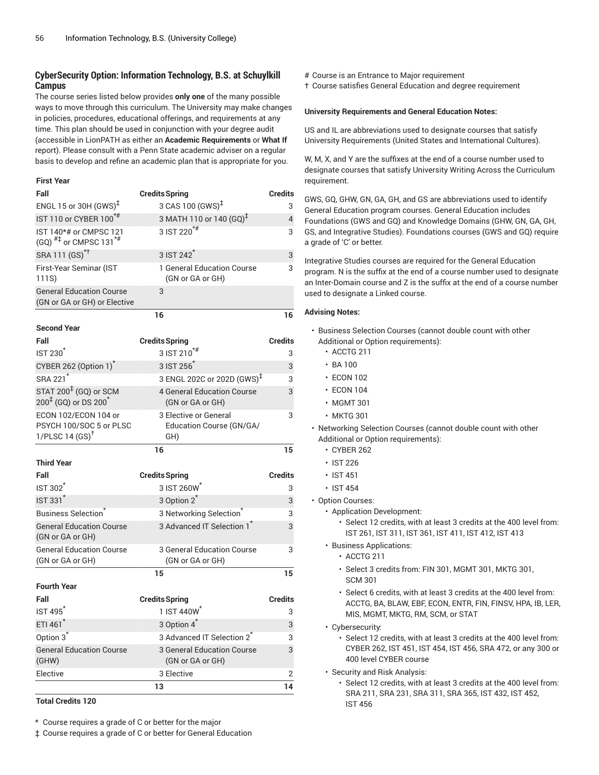# **CyberSecurity Option: Information Technology, B.S. at Schuylkill Campus**

The course series listed below provides **only one** of the many possible ways to move through this curriculum. The University may make changes in policies, procedures, educational offerings, and requirements at any time. This plan should be used in conjunction with your degree audit (accessible in LionPATH as either an **Academic Requirements** or **What If** report). Please consult with a Penn State academic adviser on a regular basis to develop and refine an academic plan that is appropriate for you.

### **First Year**

| Fall                                                                          | <b>Credits Spring</b>                                    | <b>Credits</b> |
|-------------------------------------------------------------------------------|----------------------------------------------------------|----------------|
| ENGL 15 or 30H $(GWS)^{\ddagger}$                                             | 3 CAS 100 (GWS) <sup>‡</sup>                             | 3              |
| IST 110 or CYBER 100 <sup>*#</sup>                                            | 3 MATH 110 or 140 $\left(\text{GQ}\right)^{\ddagger}$    | 4              |
| IST 140*# or CMPSC 121<br>$(GQ)$ <sup>#‡</sup> or CMPSC 131 <sup>*#</sup>     | 3 IST 220 <sup>*#</sup>                                  | 3              |
| SRA 111 (GS) <sup>*†</sup>                                                    | 3 IST 242 <sup>*</sup>                                   | 3              |
| First-Year Seminar (IST<br>111S)                                              | 1 General Education Course<br>(GN or GA or GH)           | 3              |
| <b>General Education Course</b><br>(GN or GA or GH) or Elective               | 3                                                        |                |
|                                                                               | 16                                                       | 16             |
| <b>Second Year</b>                                                            |                                                          |                |
| Fall                                                                          | <b>Credits Spring</b>                                    | <b>Credits</b> |
| <b>IST 230<sup>*</sup></b>                                                    | 3 IST 210 <sup>*#</sup>                                  | 3              |
| CYBER 262 (Option 1) <sup>*</sup>                                             | 3 IST 256                                                | 3              |
| SRA 221 <sup>*</sup>                                                          | 3 ENGL 202C or 202D (GWS) <sup>‡</sup>                   | 3              |
| STAT 200 <sup>‡</sup> (GQ) or SCM<br>$200^{1}$ (GQ) or DS 200 <sup>*</sup>    | <b>4 General Education Course</b><br>(GN or GA or GH)    | 3              |
| ECON 102/ECON 104 or<br>PSYCH 100/SOC 5 or PLSC<br>1/PLSC 14 $(SS)^{\dagger}$ | 3 Elective or General<br>Education Course (GN/GA/<br>GH) | 3              |
|                                                                               |                                                          |                |
|                                                                               | 16                                                       | 15             |
| <b>Third Year</b>                                                             |                                                          |                |
| Fall                                                                          | <b>Credits Spring</b>                                    | <b>Credits</b> |
| IST 302 <sup>*</sup>                                                          | 3 IST 260W                                               | 3              |
| <b>IST 331</b>                                                                | 3 Option 2                                               | 3              |
| <b>Business Selection</b>                                                     | 3 Networking Selection <sup>*</sup>                      | 3              |
| <b>General Education Course</b><br>(GN or GA or GH)                           | 3 Advanced IT Selection 1 <sup>*</sup>                   | 3              |
| <b>General Education Course</b><br>(GN or GA or GH)                           | 3 General Education Course<br>(GN or GA or GH)           | 3              |
|                                                                               | 15                                                       | 15             |
| <b>Fourth Year</b>                                                            |                                                          |                |
| Fall                                                                          | <b>Credits Spring</b>                                    | <b>Credits</b> |
| $IST495^*$                                                                    | 1 IST 440W                                               | 3              |
| ETI 461*                                                                      | 3 Option 4 <sup>*</sup>                                  | 3              |
| Option 3 <sup>*</sup>                                                         | 3 Advanced IT Selection 2                                | 3              |
| <b>General Education Course</b><br>(GHW)                                      | <b>3 General Education Course</b><br>(GN or GA or GH)    | 3              |
| Elective                                                                      | 3 Elective                                               | 2              |

**Total Credits 120**

\* Course requires a grade of C or better for the major

‡ Course requires a grade of C or better for General Education

# Course is an Entrance to Major requirement

† Course satisfies General Education and degree requirement

### **University Requirements and General Education Notes:**

US and IL are abbreviations used to designate courses that satisfy University Requirements (United States and International Cultures).

W, M, X, and Y are the suffixes at the end of a course number used to designate courses that satisfy University Writing Across the Curriculum requirement.

GWS, GQ, GHW, GN, GA, GH, and GS are abbreviations used to identify General Education program courses. General Education includes Foundations (GWS and GQ) and Knowledge Domains (GHW, GN, GA, GH, GS, and Integrative Studies). Foundations courses (GWS and GQ) require a grade of 'C' or better.

Integrative Studies courses are required for the General Education program. N is the suffix at the end of a course number used to designate an Inter-Domain course and Z is the suffix at the end of a course number used to designate a Linked course.

- Business Selection Courses (cannot double count with other Additional or Option requirements):
	- ACCTG 211
	- BA 100
	- ECON 102
	- ECON 104
	- MGMT 301
	- MKTG 301
- Networking Selection Courses (cannot double count with other Additional or Option requirements):
	- CYBER 262
	- IST 226
	- IST 451
	- IST 454
- Option Courses:
	- Application Development:
		- Select 12 credits, with at least 3 credits at the 400 level from: IST 261, IST 311, IST 361, IST 411, IST 412, IST 413
	- Business Applications:
		- ACCTG 211
		- Select 3 credits from: FIN 301, MGMT 301, MKTG 301, SCM 301
		- Select 6 credits, with at least 3 credits at the 400 level from: ACCTG, BA, BLAW, EBF, ECON, ENTR, FIN, FINSV, HPA, IB, LER, MIS, MGMT, MKTG, RM, SCM, or STAT
	- Cybersecurity:
		- Select 12 credits, with at least 3 credits at the 400 level from: CYBER 262, IST 451, IST 454, IST 456, SRA 472, or any 300 or 400 level CYBER course
	- Security and Risk Analysis:
		- Select 12 credits, with at least 3 credits at the 400 level from: SRA 211, SRA 231, SRA 311, SRA 365, IST 432, IST 452, IST 456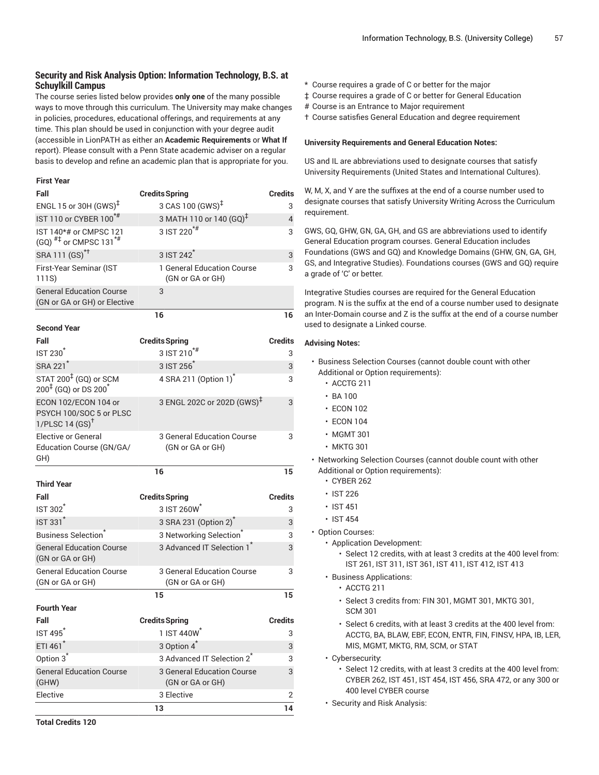# **Security and Risk Analysis Option: Information Technology, B.S. at Schuylkill Campus**

The course series listed below provides **only one** of the many possible ways to move through this curriculum. The University may make changes in policies, procedures, educational offerings, and requirements at any time. This plan should be used in conjunction with your degree audit (accessible in LionPATH as either an **Academic Requirements** or **What If** report). Please consult with a Penn State academic adviser on a regular basis to develop and refine an academic plan that is appropriate for you.

### **First Year**

| Fall                                                                          | <b>Credits Spring</b>                          | <b>Credits</b> |
|-------------------------------------------------------------------------------|------------------------------------------------|----------------|
| ENGL 15 or 30H $(GWS)^{\ddagger}$                                             | 3 CAS 100 (GWS) <sup>‡</sup>                   | 3              |
| IST 110 or CYBER 100 <sup>*#</sup>                                            | 3 MATH 110 or 140 (GQ) <sup>‡</sup>            | $\overline{4}$ |
| IST 140*# or CMPSC 121<br>$(GQ)$ <sup>#‡</sup> or CMPSC 131 <sup>*#</sup>     | 3 IST 220 <sup>*#</sup>                        | 3              |
| SRA 111 (GS) <sup>*†</sup>                                                    | 3 IST 242 <sup>*</sup>                         | 3              |
| First-Year Seminar (IST<br>111S)                                              | 1 General Education Course<br>(GN or GA or GH) | 3              |
| <b>General Education Course</b><br>(GN or GA or GH) or Elective               | 3                                              |                |
|                                                                               | 16                                             | 16             |
| <b>Second Year</b>                                                            |                                                |                |
| Fall                                                                          | <b>Credits Spring</b>                          | <b>Credits</b> |
| <b>IST 230</b>                                                                | $3$ IST $210^{*#}$                             | 3              |
| SRA 221 <sup>*</sup>                                                          | 3 IST 256 <sup>*</sup>                         | 3              |
| STAT 200 <sup>‡</sup> (GQ) or SCM<br>$200^{4}$ (GQ) or DS $200^{*}$           | 4 SRA 211 (Option 1) <sup>*</sup>              | 3              |
| ECON 102/ECON 104 or<br>PSYCH 100/SOC 5 or PLSC<br>1/PLSC 14 $(SS)^{\dagger}$ | 3 ENGL 202C or 202D (GWS) <sup>‡</sup>         | 3              |
| Elective or General<br>Education Course (GN/GA/<br>GH)                        | 3 General Education Course<br>(GN or GA or GH) | 3              |
|                                                                               | 16                                             | 15             |
| <b>Third Year</b>                                                             |                                                |                |
| Fall                                                                          | <b>Credits Spring</b>                          | <b>Credits</b> |
| <b>IST 302</b>                                                                | 3 IST 260W*                                    | 3              |
| <b>IST 331<sup>*</sup></b>                                                    | 3 SRA 231 (Option 2) <sup>*</sup>              | 3              |
| <b>Business Selection</b>                                                     | 3 Networking Selection <sup>*</sup>            | 3              |
| <b>General Education Course</b><br>(GN or GA or GH)                           | 3 Advanced IT Selection 1 <sup>*</sup>         | 3              |
| <b>General Education Course</b><br>(GN or GA or GH)                           | 3 General Education Course<br>(GN or GA or GH) | 3              |
|                                                                               | 15                                             | 15             |
| <b>Fourth Year</b>                                                            |                                                |                |
| Fall                                                                          | <b>Credits Spring</b>                          | <b>Credits</b> |
| <b>IST 495</b>                                                                | 1 IST 440W*                                    | 3              |
| ETI 461*                                                                      | 3 Option 4 <sup>*</sup>                        | 3              |
| Option 3 <sup>*</sup>                                                         | 3 Advanced IT Selection 2 <sup>*</sup>         | 3              |
| <b>General Education Course</b><br>(GHW)                                      | 3 General Education Course<br>(GN or GA or GH) | 3              |
| Elective                                                                      | 3 Elective                                     | 2              |
|                                                                               | 13                                             | 14             |

- ‡ Course requires a grade of C or better for General Education
- # Course is an Entrance to Major requirement
- † Course satisfies General Education and degree requirement

### **University Requirements and General Education Notes:**

US and IL are abbreviations used to designate courses that satisfy University Requirements (United States and International Cultures).

W, M, X, and Y are the suffixes at the end of a course number used to designate courses that satisfy University Writing Across the Curriculum requirement.

GWS, GQ, GHW, GN, GA, GH, and GS are abbreviations used to identify General Education program courses. General Education includes Foundations (GWS and GQ) and Knowledge Domains (GHW, GN, GA, GH, GS, and Integrative Studies). Foundations courses (GWS and GQ) require a grade of 'C' or better.

Integrative Studies courses are required for the General Education program. N is the suffix at the end of a course number used to designate an Inter-Domain course and Z is the suffix at the end of a course number used to designate a Linked course.

- Business Selection Courses (cannot double count with other Additional or Option requirements):
	- ACCTG 211
	- BA 100
	- ECON 102
	- ECON 104
	- MGMT 301
	- MKTG 301
- Networking Selection Courses (cannot double count with other Additional or Option requirements):
	- CYBER 262
	- IST 226
	- IST 451
	- IST 454
- Option Courses:
	- Application Development:
		- Select 12 credits, with at least 3 credits at the 400 level from: IST 261, IST 311, IST 361, IST 411, IST 412, IST 413
	- Business Applications:
		- ACCTG 211
		- Select 3 credits from: FIN 301, MGMT 301, MKTG 301, SCM 301
		- Select 6 credits, with at least 3 credits at the 400 level from: ACCTG, BA, BLAW, EBF, ECON, ENTR, FIN, FINSV, HPA, IB, LER, MIS, MGMT, MKTG, RM, SCM, or STAT
	- Cybersecurity:
		- Select 12 credits, with at least 3 credits at the 400 level from: CYBER 262, IST 451, IST 454, IST 456, SRA 472, or any 300 or 400 level CYBER course
	- Security and Risk Analysis: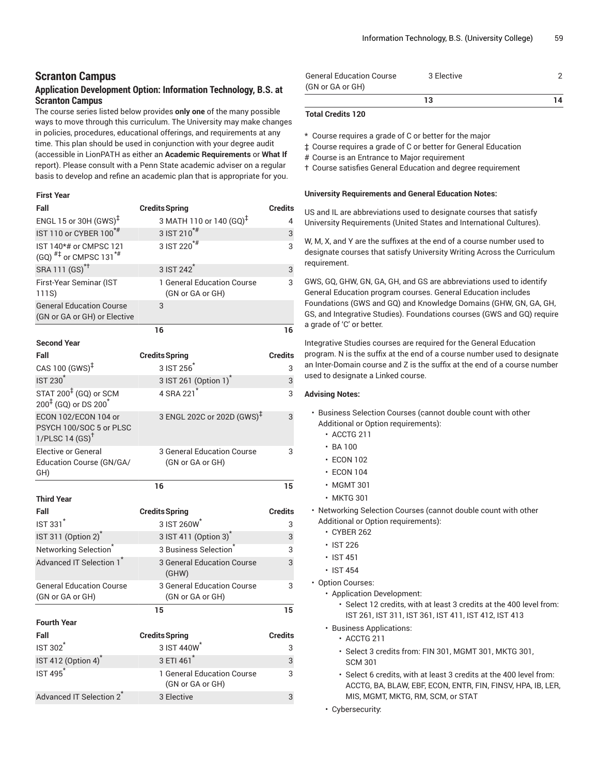# **Scranton Campus**

# **Application Development Option: Information Technology, B.S. at Scranton Campus**

The course series listed below provides **only one** of the many possible ways to move through this curriculum. The University may make changes in policies, procedures, educational offerings, and requirements at any time. This plan should be used in conjunction with your degree audit (accessible in LionPATH as either an **Academic Requirements** or **What If** report). Please consult with a Penn State academic adviser on a regular basis to develop and refine an academic plan that is appropriate for you.

### **First Year**

| Fall                                                                                 | <b>Credits Spring</b>                          | <b>Credits</b> |
|--------------------------------------------------------------------------------------|------------------------------------------------|----------------|
| ENGL 15 or 30H $(GWS)^{\ddagger}$                                                    | 3 MATH 110 or 140 (GQ) <sup>‡</sup>            | 4              |
| IST 110 or CYBER 100 <sup>*#</sup>                                                   | 3 IST 210 <sup>*#</sup>                        | 3              |
| IST 140*# or CMPSC 121<br>(GQ) $^{#}$ or CMPSC 131 <sup>*#</sup>                     | 3 IST 220 <sup>*#</sup>                        | 3              |
| SRA 111 (GS) <sup>*†</sup>                                                           | 3 IST 242 <sup>*</sup>                         | 3              |
| First-Year Seminar (IST<br>111S)                                                     | 1 General Education Course<br>(GN or GA or GH) | 3              |
| <b>General Education Course</b><br>(GN or GA or GH) or Elective                      | 3                                              |                |
|                                                                                      | 16                                             | 16             |
| <b>Second Year</b>                                                                   |                                                |                |
| Fall                                                                                 | <b>Credits Spring</b>                          | <b>Credits</b> |
| CAS 100 $(GWS)^{\ddagger}$                                                           | 3 IST 256                                      | 3              |
| <b>IST 230<sup>*</sup></b>                                                           | 3 IST 261 (Option 1) <sup>*</sup>              | 3              |
| STAT 200 <sup>‡</sup> (GQ) or SCM<br>$200^{\frac{1}{4}}$ (GQ) or DS 200 <sup>*</sup> | 4 SRA 221                                      | 3              |
| ECON 102/ECON 104 or<br>PSYCH 100/SOC 5 or PLSC<br>1/PLSC 14 $(SS)^{\dagger}$        | 3 ENGL 202C or 202D (GWS) <sup>‡</sup>         | 3              |
| <b>Elective or General</b><br>Education Course (GN/GA/<br>GH)                        | 3 General Education Course<br>(GN or GA or GH) | 3              |
|                                                                                      | 16                                             | 15             |
| <b>Third Year</b>                                                                    |                                                |                |
| Fall                                                                                 | <b>Credits Spring</b>                          | <b>Credits</b> |
| <b>IST 331<sup>*</sup></b>                                                           | 3 IST 260W                                     | 3              |
| IST 311 (Option 2) <sup>*</sup>                                                      | 3 IST 411 (Option 3) <sup>*</sup>              | 3              |
| Networking Selection <sup>*</sup>                                                    | 3 Business Selection                           | 3              |
| Advanced IT Selection 1                                                              | 3 General Education Course<br>(GHW)            | 3              |
| <b>General Education Course</b><br>(GN or GA or GH)                                  | 3 General Education Course<br>(GN or GA or GH) | 3              |
|                                                                                      | 15                                             | 15             |
| <b>Fourth Year</b>                                                                   |                                                |                |
| Fall                                                                                 | <b>Credits Spring</b>                          | <b>Credits</b> |
| <b>IST 302<sup>*</sup></b>                                                           | 3 IST 440W <sup>*</sup>                        | 3              |
| IST 412 (Option 4) <sup>*</sup>                                                      | 3 ETI 461 <sup>*</sup>                         | 3              |
| <b>IST 495<sup>*</sup></b>                                                           | 1 General Education Course<br>(GN or GA or GH) | 3              |
| Advanced IT Selection 2 <sup>1</sup>                                                 | 3 Elective                                     | 3              |

| <b>General Education Course</b> | 3 Elective |    |
|---------------------------------|------------|----|
| (GN or GA or GH)                |            |    |
|                                 | 13         | 14 |

### **Total Credits 120**

\* Course requires a grade of C or better for the major

‡ Course requires a grade of C or better for General Education

# Course is an Entrance to Major requirement

† Course satisfies General Education and degree requirement

#### **University Requirements and General Education Notes:**

US and IL are abbreviations used to designate courses that satisfy University Requirements (United States and International Cultures).

W, M, X, and Y are the suffixes at the end of a course number used to designate courses that satisfy University Writing Across the Curriculum requirement.

GWS, GQ, GHW, GN, GA, GH, and GS are abbreviations used to identify General Education program courses. General Education includes Foundations (GWS and GQ) and Knowledge Domains (GHW, GN, GA, GH, GS, and Integrative Studies). Foundations courses (GWS and GQ) require a grade of 'C' or better.

Integrative Studies courses are required for the General Education program. N is the suffix at the end of a course number used to designate an Inter-Domain course and Z is the suffix at the end of a course number used to designate a Linked course.

### **Advising Notes:**

- Business Selection Courses (cannot double count with other Additional or Option requirements):
	- ACCTG 211
	- BA 100
	- ECON 102
	- ECON 104
	- MGMT 301
	- MKTG 301
- Networking Selection Courses (cannot double count with other Additional or Option requirements):
	- CYBER 262
	- IST 226
	- IST 451
	- IST 454

• Option Courses:

- Application Development:
	- Select 12 credits, with at least 3 credits at the 400 level from: IST 261, IST 311, IST 361, IST 411, IST 412, IST 413
- Business Applications:
	- ACCTG 211
		- Select 3 credits from: FIN 301, MGMT 301, MKTG 301, SCM 301
	- Select 6 credits, with at least 3 credits at the 400 level from: ACCTG, BA, BLAW, EBF, ECON, ENTR, FIN, FINSV, HPA, IB, LER, MIS, MGMT, MKTG, RM, SCM, or STAT
- Cybersecurity: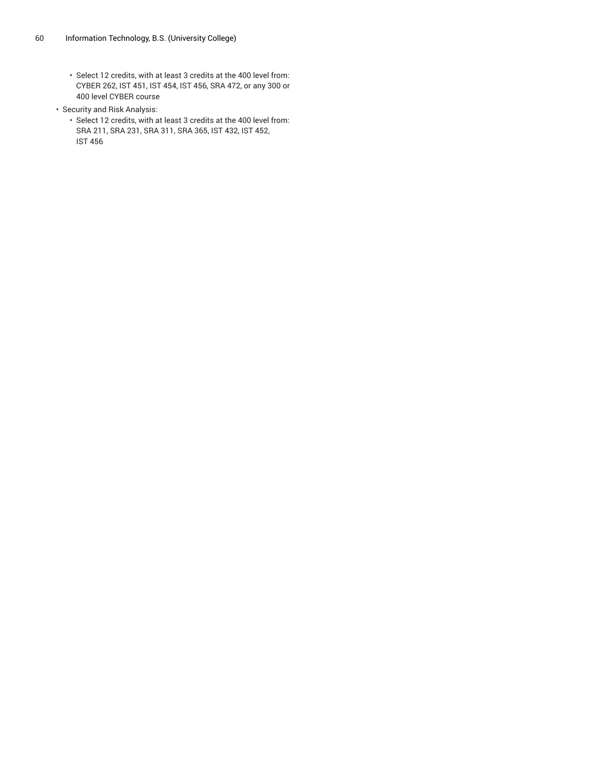- Select 12 credits, with at least 3 credits at the 400 level from: CYBER 262, IST 451, IST 454, IST 456, SRA 472, or any 300 or 400 level CYBER course
- Security and Risk Analysis:
	- Select 12 credits, with at least 3 credits at the 400 level from: SRA 211, SRA 231, SRA 311, SRA 365, IST 432, IST 452, IST 456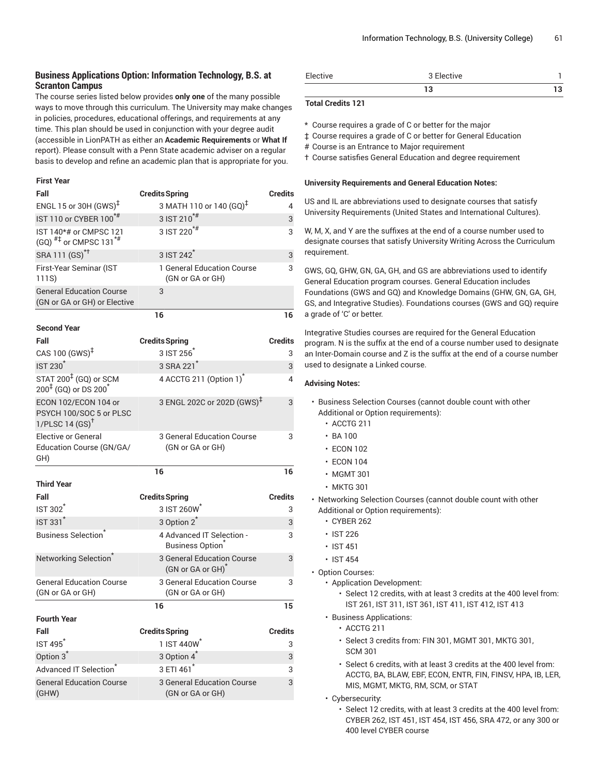# **Business Applications Option: Information Technology, B.S. at Scranton Campus**

The course series listed below provides **only one** of the many possible ways to move through this curriculum. The University may make changes in policies, procedures, educational offerings, and requirements at any time. This plan should be used in conjunction with your degree audit (accessible in LionPATH as either an **Academic Requirements** or **What If** report). Please consult with a Penn State academic adviser on a regular basis to develop and refine an academic plan that is appropriate for you.

#### **First Year**

| Fall                                                                              | <b>Credits Spring</b>                                       | <b>Credits</b>      |
|-----------------------------------------------------------------------------------|-------------------------------------------------------------|---------------------|
| ENGL 15 or 30H (GWS) <sup>‡</sup>                                                 | 3 MATH 110 or 140 (GQ) <sup>‡</sup>                         | 4                   |
| IST 110 or CYBER 100 <sup>*#</sup>                                                | 3 IST 210 <sup>*#</sup>                                     | 3                   |
| IST 140*# or CMPSC 121<br>(GQ) $^{#1}$ or CMPSC 131 <sup>*#</sup>                 | 3 IST $220^{*}$                                             | 3                   |
| SRA 111 (GS) <sup>*†</sup>                                                        | 3 IST 242                                                   | 3                   |
| First-Year Seminar (IST<br>111S)                                                  | 1 General Education Course<br>(GN or GA or GH)              | 3                   |
| <b>General Education Course</b><br>(GN or GA or GH) or Elective                   | 3                                                           |                     |
|                                                                                   | 16                                                          | 16                  |
| <b>Second Year</b>                                                                |                                                             |                     |
| Fall<br>CAS 100 $(GWS)^{\ddagger}$                                                | <b>Credits Spring</b><br>3 IST 256                          | <b>Credits</b><br>3 |
| <b>IST 230<sup>*</sup></b>                                                        | 3 SRA 221                                                   | 3                   |
| STAT 200 <sup>‡</sup> (GQ) or SCM<br>200 <sup>‡</sup> (GQ) or DS 200 <sup>*</sup> | 4 ACCTG 211 (Option 1) <sup>*</sup>                         | 4                   |
| ECON 102/ECON 104 or<br>PSYCH 100/SOC 5 or PLSC<br>1/PLSC 14 $(SS)^{\dagger}$     | 3 ENGL 202C or 202D (GWS) <sup>‡</sup>                      | 3                   |
| <b>Elective or General</b><br>Education Course (GN/GA/<br>GH)                     | 3 General Education Course<br>(GN or GA or GH)              | 3                   |
|                                                                                   | 16                                                          | 16                  |
| <b>Third Year</b>                                                                 |                                                             |                     |
| Fall                                                                              | <b>Credits Spring</b>                                       | <b>Credits</b>      |
| <b>IST 302<sup>1</sup></b>                                                        | 3 IST 260W                                                  | 3                   |
| IST 331*                                                                          | 3 Option 2 <sup>*</sup>                                     | 3                   |
| <b>Business Selection</b>                                                         | 4 Advanced IT Selection -<br>Business Option                | 3                   |
| Networking Selection <sup>®</sup>                                                 | 3 General Education Course<br>(GN or GA or GH) <sup>*</sup> | 3                   |
| <b>General Education Course</b><br>(GN or GA or GH)                               | 3 General Education Course<br>(GN or GA or GH)              | 3                   |
|                                                                                   | 16                                                          | 15                  |
| <b>Fourth Year</b>                                                                |                                                             |                     |
| Fall                                                                              | <b>Credits Spring</b>                                       | <b>Credits</b>      |
| <b>IST 495<sup>*</sup></b>                                                        | 1 IST 440W <sup>*</sup>                                     | 3                   |
| Option 3 <sup>*</sup>                                                             | 3 Option 4 <sup>*</sup>                                     | 3                   |
| Advanced IT Selection                                                             | 3 FTI 461                                                   | 3                   |
| <b>General Education Course</b><br>(GHW)                                          | <b>3 General Education Course</b><br>(GN or GA or GH)       | 3                   |

| Elective | $\sim$ $-1$<br>' Elective |  |
|----------|---------------------------|--|
|          |                           |  |

### **Total Credits 121**

\* Course requires a grade of C or better for the major

‡ Course requires a grade of C or better for General Education

# Course is an Entrance to Major requirement

† Course satisfies General Education and degree requirement

#### **University Requirements and General Education Notes:**

US and IL are abbreviations used to designate courses that satisfy University Requirements (United States and International Cultures).

W, M, X, and Y are the suffixes at the end of a course number used to designate courses that satisfy University Writing Across the Curriculum requirement.

GWS, GQ, GHW, GN, GA, GH, and GS are abbreviations used to identify General Education program courses. General Education includes Foundations (GWS and GQ) and Knowledge Domains (GHW, GN, GA, GH, GS, and Integrative Studies). Foundations courses (GWS and GQ) require a grade of 'C' or better.

Integrative Studies courses are required for the General Education program. N is the suffix at the end of a course number used to designate an Inter-Domain course and Z is the suffix at the end of a course number used to designate a Linked course.

- Business Selection Courses (cannot double count with other Additional or Option requirements):
	- ACCTG 211
	- $\cdot$  BA 100
	- ECON 102
	- ECON 104
	- MGMT 301
	- MKTG 301
- Networking Selection Courses (cannot double count with other Additional or Option requirements):
	- CYBER 262
	- IST 226
	- IST 451
	- IST 454
- Option Courses:
	- Application Development:
		- Select 12 credits, with at least 3 credits at the 400 level from: IST 261, IST 311, IST 361, IST 411, IST 412, IST 413
	- Business Applications:
		- ACCTG 211
		- Select 3 credits from: FIN 301, MGMT 301, MKTG 301, SCM 301
		- Select 6 credits, with at least 3 credits at the 400 level from: ACCTG, BA, BLAW, EBF, ECON, ENTR, FIN, FINSV, HPA, IB, LER, MIS, MGMT, MKTG, RM, SCM, or STAT
	- Cybersecurity:
		- Select 12 credits, with at least 3 credits at the 400 level from: CYBER 262, IST 451, IST 454, IST 456, SRA 472, or any 300 or 400 level CYBER course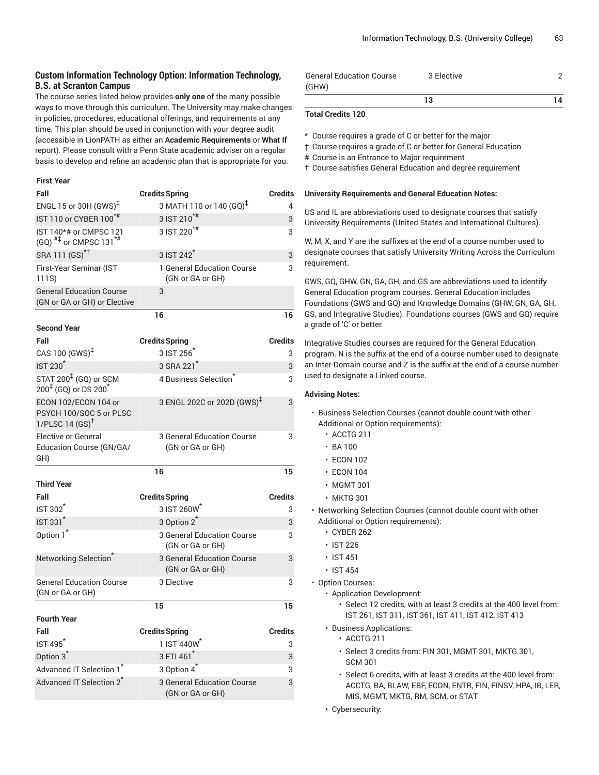# **Custom Information Technology Option: Information Technology, B.S. at Scranton Campus**

The course series listed below provides **only one** of the many possible ways to move through this curriculum. The University may make changes in policies, procedures, educational offerings, and requirements at any time. This plan should be used in conjunction with your degree audit (accessible in LionPATH as either an **Academic Requirements** or **What If** report). Please consult with a Penn State academic adviser on a regular basis to develop and refine an academic plan that is appropriate for you.

#### **First Year**

| Fall                                                                              | <b>Credits Spring</b>                                 | Credits        |
|-----------------------------------------------------------------------------------|-------------------------------------------------------|----------------|
| ENGL 15 or 30H $(GWS)^{\ddagger}$                                                 | 3 MATH 110 or 140 (GQ) <sup>‡</sup>                   | 4              |
| IST 110 or CYBER 100 <sup>*#</sup>                                                | 3 IST 210 <sup>*#</sup>                               | 3              |
| IST 140*# or CMPSC 121<br>$(GQ)$ <sup>#‡</sup> or CMPSC 131 <sup>*#</sup>         | 3 IST 220 <sup>*#</sup>                               | 3              |
| SRA 111 (GS) <sup>*†</sup>                                                        | 3 IST 242 <sup>*</sup>                                | 3              |
| First-Year Seminar (IST<br>111S)                                                  | 1 General Education Course<br>(GN or GA or GH)        | 3              |
| <b>General Education Course</b><br>(GN or GA or GH) or Elective                   | 3                                                     |                |
|                                                                                   | 16                                                    | 16             |
| <b>Second Year</b>                                                                |                                                       |                |
| Fall<br>CAS 100 $(GWS)^{\ddagger}$                                                | <b>Credits Spring</b><br>3 IST 256                    | Credits<br>3   |
| <b>IST 230<sup>*</sup></b>                                                        | 3 SRA 221                                             | 3              |
| STAT 200 <sup>‡</sup> (GQ) or SCM<br>200 <sup>‡</sup> (GQ) or DS 200 <sup>*</sup> | 4 Business Selection                                  | 3              |
| ECON 102/ECON 104 or<br>PSYCH 100/SOC 5 or PLSC<br>1/PLSC 14 $(SS)^{\dagger}$     | 3 ENGL 202C or 202D (GWS) <sup>‡</sup>                | 3              |
| Elective or General<br>Education Course (GN/GA/<br>GH)                            | 3 General Education Course<br>(GN or GA or GH)        | 3              |
|                                                                                   | 16                                                    | 15             |
| <b>Third Year</b>                                                                 |                                                       |                |
| Fall                                                                              | <b>Credits Spring</b>                                 | <b>Credits</b> |
| <b>IST 302</b>                                                                    | 3 IST 260W                                            | 3              |
| <b>IST 331<sup>*</sup></b>                                                        | 3 Option 2 <sup>*</sup>                               | 3              |
| Option 1 <sup>*</sup>                                                             | 3 General Education Course<br>(GN or GA or GH)        | 3              |
| Networking Selection <sup>®</sup>                                                 | <b>3 General Education Course</b><br>(GN or GA or GH) | 3              |
| <b>General Education Course</b><br>(GN or GA or GH)                               | 3 Elective                                            | 3              |
|                                                                                   | 15                                                    | 15             |
| <b>Fourth Year</b>                                                                |                                                       |                |
| Fall                                                                              | <b>Credits Spring</b>                                 | <b>Credits</b> |
| IST 495 <sup>*</sup>                                                              | 1 IST 440W <sup>*</sup>                               | 3              |
| Option 3 <sup>*</sup>                                                             | 3 ETI 461 <sup>*</sup>                                | 3              |
| Advanced IT Selection 1 <sup>*</sup>                                              | 3 Option 4 <sup>*</sup>                               | 3              |
| Advanced IT Selection 2 <sup>*</sup>                                              | 3 General Education Course<br>(GN or GA or GH)        | 3              |

| <b>General Education Course</b> | 3 Elective |    |
|---------------------------------|------------|----|
| (GHW)                           |            |    |
|                                 | 13         | 14 |

### **Total Credits 120**

\* Course requires a grade of C or better for the major

‡ Course requires a grade of C or better for General Education

# Course is an Entrance to Major requirement

† Course satisfies General Education and degree requirement

### **University Requirements and General Education Notes:**

US and IL are abbreviations used to designate courses that satisfy University Requirements (United States and International Cultures).

W, M, X, and Y are the suffixes at the end of a course number used to designate courses that satisfy University Writing Across the Curriculum requirement.

GWS, GQ, GHW, GN, GA, GH, and GS are abbreviations used to identify General Education program courses. General Education includes Foundations (GWS and GQ) and Knowledge Domains (GHW, GN, GA, GH, GS, and Integrative Studies). Foundations courses (GWS and GQ) require a grade of 'C' or better.

Integrative Studies courses are required for the General Education program. N is the suffix at the end of a course number used to designate an Inter-Domain course and Z is the suffix at the end of a course number used to designate a Linked course.

- Business Selection Courses (cannot double count with other Additional or Option requirements):
	- ACCTG 211
	- BA 100
	- ECON 102
	- ECON 104
	- MGMT 301
	- MKTG 301
- Networking Selection Courses (cannot double count with other Additional or Option requirements):
	- CYBER 262
	- IST 226
	- IST 451
	- IST 454
- Option Courses:
	- Application Development:
		- Select 12 credits, with at least 3 credits at the 400 level from: IST 261, IST 311, IST 361, IST 411, IST 412, IST 413
	- Business Applications:
		- ACCTG 211
			- Select 3 credits from: FIN 301, MGMT 301, MKTG 301, SCM 301
		- Select 6 credits, with at least 3 credits at the 400 level from: ACCTG, BA, BLAW, EBF, ECON, ENTR, FIN, FINSV, HPA, IB, LER, MIS, MGMT, MKTG, RM, SCM, or STAT
	- Cybersecurity: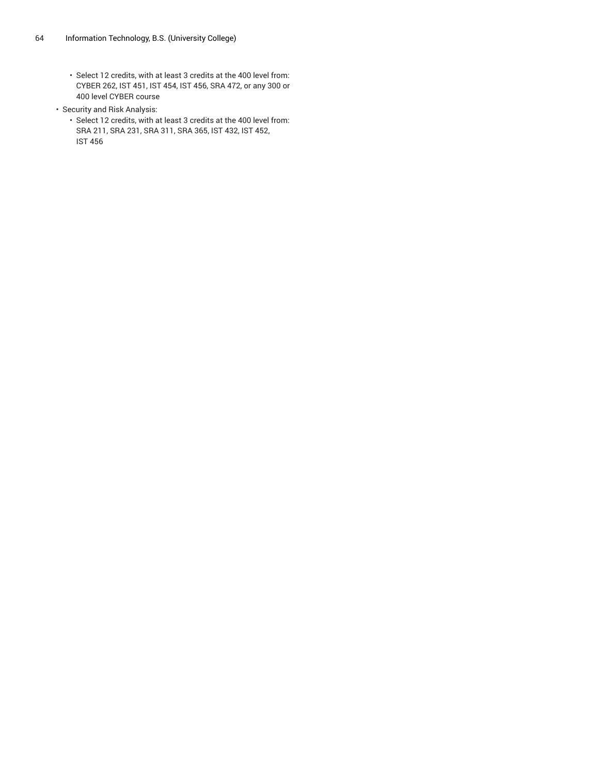- Select 12 credits, with at least 3 credits at the 400 level from: CYBER 262, IST 451, IST 454, IST 456, SRA 472, or any 300 or 400 level CYBER course
- Security and Risk Analysis:
	- Select 12 credits, with at least 3 credits at the 400 level from: SRA 211, SRA 231, SRA 311, SRA 365, IST 432, IST 452, IST 456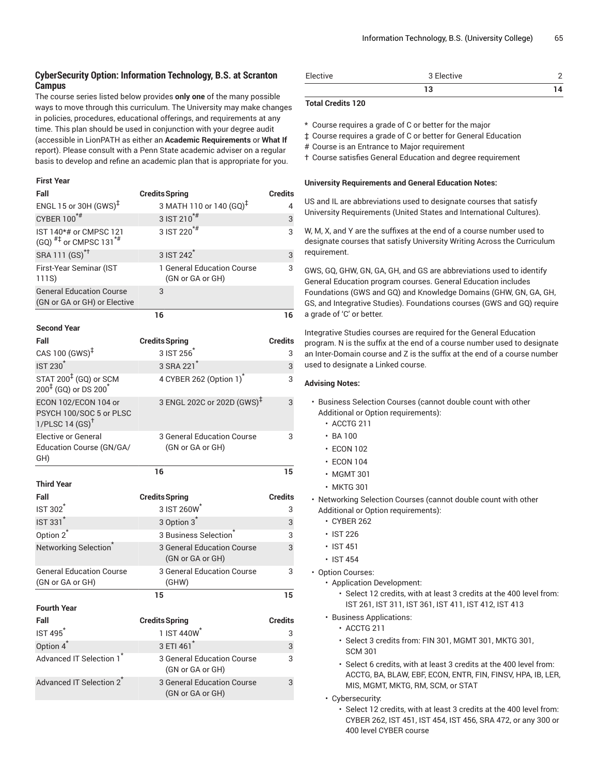# **CyberSecurity Option: Information Technology, B.S. at Scranton Campus**

The course series listed below provides **only one** of the many possible ways to move through this curriculum. The University may make changes in policies, procedures, educational offerings, and requirements at any time. This plan should be used in conjunction with your degree audit (accessible in LionPATH as either an **Academic Requirements** or **What If** report). Please consult with a Penn State academic adviser on a regular basis to develop and refine an academic plan that is appropriate for you.

#### **First Year**

| Fall                                                                              | <b>Credits Spring</b>                                        | <b>Credits</b> |
|-----------------------------------------------------------------------------------|--------------------------------------------------------------|----------------|
| ENGL 15 or 30H $(GWS)^{\ddagger}$                                                 | 3 MATH 110 or 140 (GQ) <sup>‡</sup>                          | 4              |
| CYBER 100 <sup>*#</sup>                                                           | $3$ IST 210 <sup>*#</sup>                                    | 3              |
| IST 140*# or CMPSC 121<br>$(GQ)$ <sup>#‡</sup> or CMPSC 131 <sup>*#</sup>         | 3 IST 220 <sup>*#</sup>                                      | 3              |
| SRA 111 (GS) <sup>*†</sup>                                                        | 3 IST 242 <sup>*</sup>                                       | 3              |
| First-Year Seminar (IST<br>111S)                                                  | 1 General Education Course<br>(GN or GA or GH)               | 3              |
| <b>General Education Course</b><br>(GN or GA or GH) or Elective                   | 3                                                            |                |
|                                                                                   | 16                                                           | 16             |
| <b>Second Year</b>                                                                |                                                              |                |
| Fall                                                                              | <b>Credits Spring</b>                                        | <b>Credits</b> |
| CAS 100 $(GWS)^{\ddagger}$                                                        | 3 IST 256                                                    | 3              |
| <b>IST 230<sup>*</sup></b>                                                        | 3 SRA 221 <sup>*</sup>                                       | 3              |
| STAT 200 <sup>‡</sup> (GQ) or SCM<br>200 <sup>‡</sup> (GQ) or DS 200 <sup>*</sup> | 4 CYBER 262 (Option 1)                                       | 3              |
| ECON 102/ECON 104 or<br>PSYCH 100/SOC 5 or PLSC<br>1/PLSC 14 $(SS)^{\dagger}$     | 3 ENGL 202C or 202D (GWS) <sup>‡</sup>                       | 3              |
| <b>Elective or General</b><br>Education Course (GN/GA/<br>GH)                     | 3 General Education Course<br>(GN or GA or GH)               | 3              |
|                                                                                   | 16                                                           | 15             |
|                                                                                   |                                                              |                |
| <b>Third Year</b><br>Fall                                                         |                                                              |                |
|                                                                                   | <b>Credits Spring</b>                                        | Credits        |
| <b>IST 302</b><br><b>IST 331<sup>*</sup></b>                                      | 3 IST 260W                                                   | 3<br>3         |
|                                                                                   | 3 Option 3 <sup>*</sup><br>3 Business Selection <sup>®</sup> | 3              |
| Option 2 <sup>*</sup><br>Networking Selection <sup>®</sup>                        | 3 General Education Course<br>(GN or GA or GH)               | 3              |
| <b>General Education Course</b><br>(GN or GA or GH)                               | 3 General Education Course<br>(GHW)                          | 3              |
|                                                                                   | 15                                                           | 15             |
| <b>Fourth Year</b>                                                                |                                                              |                |
| Fall                                                                              | <b>Credits Spring</b>                                        | <b>Credits</b> |
| IST 495 <sup>*</sup>                                                              | 1 IST 440W                                                   | 3              |
| Option 4 <sup>*</sup>                                                             | 3 ETI 461 <sup>*</sup>                                       | 3              |
| Advanced IT Selection 1*                                                          | 3 General Education Course<br>(GN or GA or GH)               | 3              |
| Advanced IT Selection 2*                                                          | 3 General Education Course<br>(GN or GA or GH)               | 3              |

| Elective | 3 Elective |  |
|----------|------------|--|
|          |            |  |

### **Total Credits 120**

\* Course requires a grade of C or better for the major

‡ Course requires a grade of C or better for General Education

# Course is an Entrance to Major requirement

† Course satisfies General Education and degree requirement

#### **University Requirements and General Education Notes:**

US and IL are abbreviations used to designate courses that satisfy University Requirements (United States and International Cultures).

W, M, X, and Y are the suffixes at the end of a course number used to designate courses that satisfy University Writing Across the Curriculum requirement.

GWS, GQ, GHW, GN, GA, GH, and GS are abbreviations used to identify General Education program courses. General Education includes Foundations (GWS and GQ) and Knowledge Domains (GHW, GN, GA, GH, GS, and Integrative Studies). Foundations courses (GWS and GQ) require a grade of 'C' or better.

Integrative Studies courses are required for the General Education program. N is the suffix at the end of a course number used to designate an Inter-Domain course and Z is the suffix at the end of a course number used to designate a Linked course.

- Business Selection Courses (cannot double count with other Additional or Option requirements):
	- ACCTG 211
	- $\cdot$  BA 100
	- ECON 102
	- ECON 104
	- MGMT 301
	- MKTG 301
- Networking Selection Courses (cannot double count with other Additional or Option requirements):
	- CYBER 262
	- IST 226
	- IST 451
	- IST 454
- Option Courses:
	- Application Development:
		- Select 12 credits, with at least 3 credits at the 400 level from: IST 261, IST 311, IST 361, IST 411, IST 412, IST 413
	- Business Applications:
		- ACCTG 211
			- Select 3 credits from: FIN 301, MGMT 301, MKTG 301, SCM 301
			- Select 6 credits, with at least 3 credits at the 400 level from: ACCTG, BA, BLAW, EBF, ECON, ENTR, FIN, FINSV, HPA, IB, LER, MIS, MGMT, MKTG, RM, SCM, or STAT
	- Cybersecurity:
		- Select 12 credits, with at least 3 credits at the 400 level from: CYBER 262, IST 451, IST 454, IST 456, SRA 472, or any 300 or 400 level CYBER course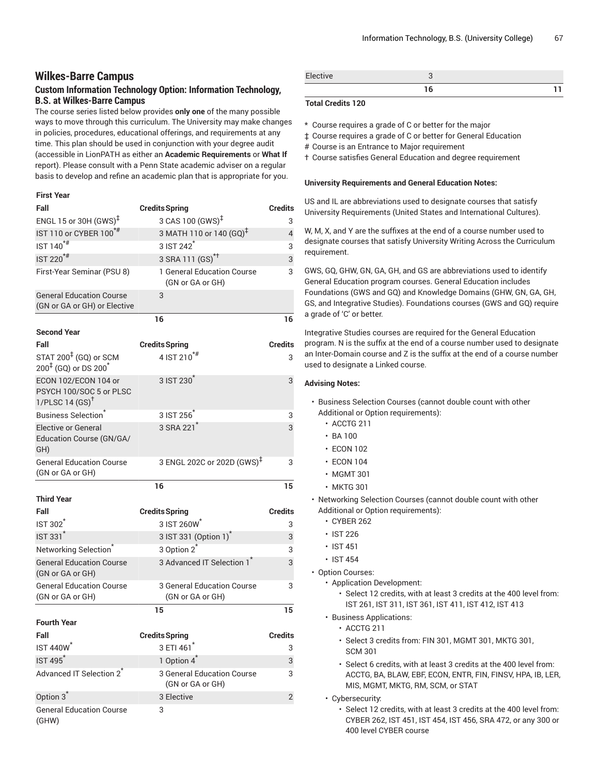# **Wilkes-Barre Campus**

# **Custom Information Technology Option: Information Technology, B.S. at Wilkes-Barre Campus**

The course series listed below provides **only one** of the many possible ways to move through this curriculum. The University may make changes in policies, procedures, educational offerings, and requirements at any time. This plan should be used in conjunction with your degree audit (accessible in LionPATH as either an **Academic Requirements** or **What If** report). Please consult with a Penn State academic adviser on a regular basis to develop and refine an academic plan that is appropriate for you.

# **First Year**

| Fall                                                                         | <b>Credits Spring</b>                          | <b>Credits</b> |
|------------------------------------------------------------------------------|------------------------------------------------|----------------|
| ENGL 15 or 30H (GWS) <sup>‡</sup>                                            | 3 CAS 100 (GWS) <sup>‡</sup>                   | 3              |
| IST 110 or CYBER 100 <sup>*#</sup>                                           | 3 MATH 110 or 140 (GQ) <sup>‡</sup>            | $\overline{4}$ |
| IST 140 <sup>*#</sup>                                                        | 3 IST 242 <sup>*</sup>                         | 3              |
| $IST 220$ <sup>*#</sup>                                                      | 3 SRA 111 (GS) <sup>*†</sup>                   | 3              |
| First-Year Seminar (PSU 8)                                                   | 1 General Education Course<br>(GN or GA or GH) | 3              |
| <b>General Education Course</b><br>(GN or GA or GH) or Elective              | 3                                              |                |
|                                                                              | 16                                             | 16             |
| <b>Second Year</b>                                                           |                                                |                |
| Fall                                                                         | <b>Credits Spring</b>                          | <b>Credits</b> |
| STAT 200 <sup>‡</sup> (GQ) or SCM<br>$200^{4}$ (GQ) or DS $200^{4}$          | 4 IST 210 <sup>*#</sup>                        | 3              |
| ECON 102/ECON 104 or<br>PSYCH 100/SOC 5 or PLSC<br>1/PLSC14(GS) <sup>†</sup> | 3 IST 230                                      | 3              |
| <b>Business Selection</b> <sup>*</sup>                                       | 3 IST 256 <sup>*</sup>                         | 3              |
| <b>Elective or General</b><br>Education Course (GN/GA/<br>GH)                | 3 SRA 221 <sup>*</sup>                         | 3              |
| <b>General Education Course</b><br>(GN or GA or GH)                          | 3 ENGL 202C or 202D (GWS) <sup>‡</sup>         | 3              |
|                                                                              | 16                                             | 15             |
| <b>Third Year</b>                                                            |                                                |                |
| Fall                                                                         | <b>Credits Spring</b>                          | <b>Credits</b> |
| <b>IST 302</b>                                                               | 3 IST 260W                                     | 3              |
| <b>IST 331<sup>*</sup></b>                                                   | 3 IST 331 (Option 1) <sup>*</sup>              | 3              |
| Networking Selection <sup>®</sup>                                            | 3 Option 2 <sup>*</sup>                        | 3              |
| <b>General Education Course</b><br>(GN or GA or GH)                          | 3 Advanced IT Selection 1                      | 3              |
| <b>General Education Course</b><br>(GN or GA or GH)                          | 3 General Education Course<br>(GN or GA or GH) | 3              |
|                                                                              | 15                                             | 15             |
| <b>Fourth Year</b>                                                           |                                                |                |
| Fall                                                                         | <b>Credits Spring</b>                          | <b>Credits</b> |
| <b>IST 440W<sup>*</sup></b>                                                  | 3 ETI 461                                      | 3              |
| <b>IST 495</b>                                                               | 1 Option 4 <sup>*</sup>                        | 3              |
| Advanced IT Selection 2 <sup>*</sup>                                         | 3 General Education Course<br>(GN or GA or GH) | 3              |
| Option 3 <sup>*</sup>                                                        | 3 Elective                                     | $\overline{2}$ |
| <b>General Education Course</b><br>(GHW)                                     | 3                                              |                |

| Elective |  |
|----------|--|
|          |  |

### **Total Credits 120**

- \* Course requires a grade of C or better for the major
- ‡ Course requires a grade of C or better for General Education
- # Course is an Entrance to Major requirement
- † Course satisfies General Education and degree requirement

#### **University Requirements and General Education Notes:**

US and IL are abbreviations used to designate courses that satisfy University Requirements (United States and International Cultures).

W, M, X, and Y are the suffixes at the end of a course number used to designate courses that satisfy University Writing Across the Curriculum requirement.

GWS, GQ, GHW, GN, GA, GH, and GS are abbreviations used to identify General Education program courses. General Education includes Foundations (GWS and GQ) and Knowledge Domains (GHW, GN, GA, GH, GS, and Integrative Studies). Foundations courses (GWS and GQ) require a grade of 'C' or better.

Integrative Studies courses are required for the General Education program. N is the suffix at the end of a course number used to designate an Inter-Domain course and Z is the suffix at the end of a course number used to designate a Linked course.

- Business Selection Courses (cannot double count with other Additional or Option requirements):
	- ACCTG 211
	- BA 100
	- ECON 102
	- ECON 104
	- MGMT 301
	- MKTG 301
- Networking Selection Courses (cannot double count with other Additional or Option requirements):
	- CYBER 262
	- IST 226
	- IST 451
	- IST 454
- Option Courses:
	- Application Development:
		- Select 12 credits, with at least 3 credits at the 400 level from: IST 261, IST 311, IST 361, IST 411, IST 412, IST 413
	- Business Applications:
		- ACCTG 211
		- Select 3 credits from: FIN 301, MGMT 301, MKTG 301, SCM 301
		- Select 6 credits, with at least 3 credits at the 400 level from: ACCTG, BA, BLAW, EBF, ECON, ENTR, FIN, FINSV, HPA, IB, LER, MIS, MGMT, MKTG, RM, SCM, or STAT
	- Cybersecurity:
		- Select 12 credits, with at least 3 credits at the 400 level from: CYBER 262, IST 451, IST 454, IST 456, SRA 472, or any 300 or 400 level CYBER course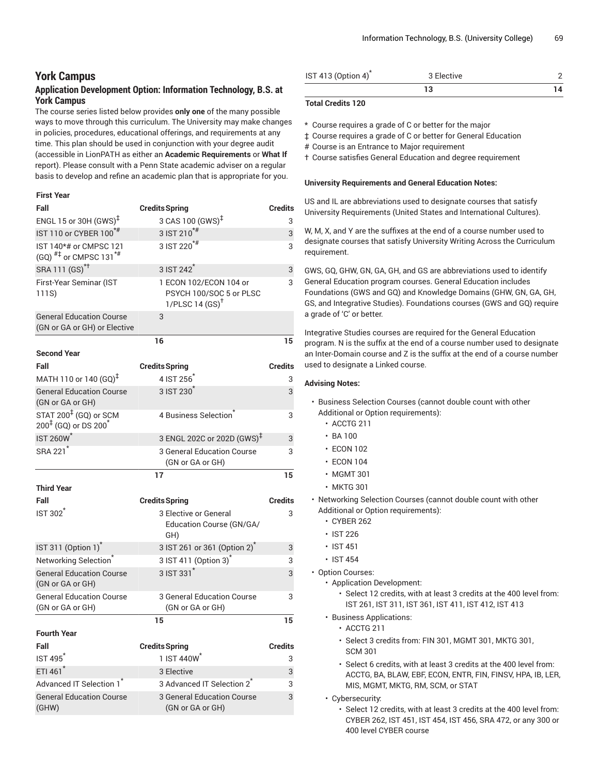# **York Campus**

# **Application Development Option: Information Technology, B.S. at York Campus**

The course series listed below provides **only one** of the many possible ways to move through this curriculum. The University may make changes in policies, procedures, educational offerings, and requirements at any time. This plan should be used in conjunction with your degree audit (accessible in LionPATH as either an **Academic Requirements** or **What If** report). Please consult with a Penn State academic adviser on a regular basis to develop and refine an academic plan that is appropriate for you.

### **First Year**

| Fall                                                                       | <b>Credits Spring</b>                                                          | <b>Credits</b> |
|----------------------------------------------------------------------------|--------------------------------------------------------------------------------|----------------|
| ENGL 15 or 30H $(GWS)^{\ddagger}$                                          | 3 CAS 100 (GWS) <sup>‡</sup>                                                   | 3              |
| IST 110 or CYBER 100 <sup>*#</sup>                                         | 3 IST 210 <sup>*#</sup>                                                        | 3              |
| IST 140*# or CMPSC 121<br>(GQ) $^{#}$ or CMPSC 131 <sup>*#</sup>           | $3$ IST 220 <sup>*#</sup>                                                      | 3              |
| SRA 111 (GS) <sup>*†</sup>                                                 | 3 IST 242 <sup>*</sup>                                                         | 3              |
| First-Year Seminar (IST<br>111S)                                           | 1 ECON 102/ECON 104 or<br>PSYCH 100/SOC 5 or PLSC<br>1/PLSC14(GS) <sup>†</sup> | 3              |
| <b>General Education Course</b><br>(GN or GA or GH) or Elective            | 3                                                                              |                |
|                                                                            | 16                                                                             | 15             |
| <b>Second Year</b>                                                         |                                                                                |                |
| Fall                                                                       | <b>Credits Spring</b>                                                          | Credits        |
| MATH 110 or 140 (GQ) <sup>‡</sup>                                          | 4 IST 256                                                                      | 3              |
| <b>General Education Course</b><br>(GN or GA or GH)                        | 3 IST 230 <sup>*</sup>                                                         | 3              |
| STAT 200 <sup>‡</sup> (GQ) or SCM<br>$200^{1}$ (GQ) or DS 200 <sup>*</sup> | 4 Business Selection <sup>®</sup>                                              | 3              |
| <b>IST 260W<sup>*</sup></b>                                                | 3 ENGL 202C or 202D (GWS) <sup>‡</sup>                                         | 3              |
| SRA 221 <sup>*</sup>                                                       | <b>3 General Education Course</b><br>(GN or GA or GH)                          | 3              |
|                                                                            | 17                                                                             | 15             |
| <b>Third Year</b>                                                          |                                                                                |                |
| Fall                                                                       | <b>Credits Spring</b>                                                          | <b>Credits</b> |
| <b>IST 302<sup>*</sup></b>                                                 | 3 Elective or General<br>Education Course (GN/GA/<br>GH)                       | 3              |
| IST 311 (Option 1) <sup>*</sup>                                            | 3 IST 261 or 361 (Option 2)                                                    | 3              |
| Networking Selection <sup>®</sup>                                          | 3 IST 411 (Option 3) <sup>*</sup>                                              | 3              |
| <b>General Education Course</b><br>(GN or GA or GH)                        | 3 IST 331 <sup>*</sup>                                                         | 3              |
| <b>General Education Course</b><br>(GN or GA or GH)                        | <b>3 General Education Course</b><br>(GN or GA or GH)                          | 3              |
|                                                                            | 15                                                                             | 15             |
| <b>Fourth Year</b>                                                         |                                                                                |                |
| Fall                                                                       | <b>Credits Spring</b>                                                          | <b>Credits</b> |
| <b>IST 495</b>                                                             | 1 IST 440W                                                                     | 3              |
| ETI 461*                                                                   | 3 Elective                                                                     | 3              |
| Advanced IT Selection 1                                                    | 3 Advanced IT Selection 2 <sup>*</sup>                                         | 3              |
| <b>General Education Course</b><br>(GHW)                                   | 3 General Education Course<br>(GN or GA or GH)                                 | 3              |

| IST 413 (Option 4) <sup>*</sup> | 3 Elective |  |
|---------------------------------|------------|--|
|                                 |            |  |

### **Total Credits 120**

\* Course requires a grade of C or better for the major

‡ Course requires a grade of C or better for General Education

- # Course is an Entrance to Major requirement
- † Course satisfies General Education and degree requirement

#### **University Requirements and General Education Notes:**

US and IL are abbreviations used to designate courses that satisfy University Requirements (United States and International Cultures).

W, M, X, and Y are the suffixes at the end of a course number used to designate courses that satisfy University Writing Across the Curriculum requirement.

GWS, GQ, GHW, GN, GA, GH, and GS are abbreviations used to identify General Education program courses. General Education includes Foundations (GWS and GQ) and Knowledge Domains (GHW, GN, GA, GH, GS, and Integrative Studies). Foundations courses (GWS and GQ) require a grade of 'C' or better.

Integrative Studies courses are required for the General Education program. N is the suffix at the end of a course number used to designate an Inter-Domain course and Z is the suffix at the end of a course number used to designate a Linked course.

- Business Selection Courses (cannot double count with other Additional or Option requirements):
	- ACCTG 211
	- BA 100
	- ECON 102
	- ECON 104
	- MGMT 301
	- MKTG 301
- Networking Selection Courses (cannot double count with other Additional or Option requirements):
	- CYBER 262
	- IST 226
	- IST 451
	- IST 454
- Option Courses:
	- Application Development:
		- Select 12 credits, with at least 3 credits at the 400 level from: IST 261, IST 311, IST 361, IST 411, IST 412, IST 413
	- Business Applications:
		- ACCTG 211
		- Select 3 credits from: FIN 301, MGMT 301, MKTG 301, SCM 301
		- Select 6 credits, with at least 3 credits at the 400 level from: ACCTG, BA, BLAW, EBF, ECON, ENTR, FIN, FINSV, HPA, IB, LER, MIS, MGMT, MKTG, RM, SCM, or STAT
	- Cybersecurity:
		- Select 12 credits, with at least 3 credits at the 400 level from: CYBER 262, IST 451, IST 454, IST 456, SRA 472, or any 300 or 400 level CYBER course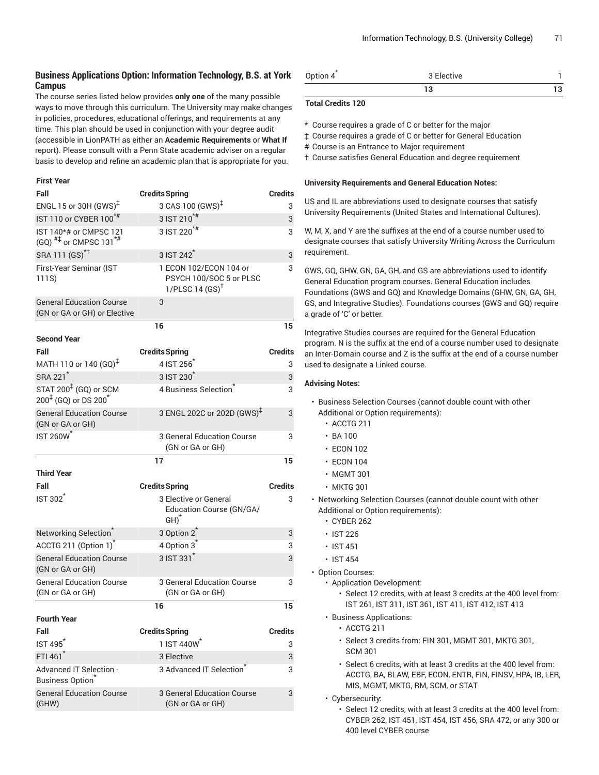# **Business Applications Option: Information Technology, B.S. at York Campus**

The course series listed below provides **only one** of the many possible ways to move through this curriculum. The University may make changes in policies, procedures, educational offerings, and requirements at any time. This plan should be used in conjunction with your degree audit (accessible in LionPATH as either an **Academic Requirements** or **What If** report). Please consult with a Penn State academic adviser on a regular basis to develop and refine an academic plan that is appropriate for you.

#### **First Year**

| Fall                                                                                 | <b>Credits Spring</b>                                                           | <b>Credits</b> |
|--------------------------------------------------------------------------------------|---------------------------------------------------------------------------------|----------------|
| ENGL 15 or 30H (GWS) <sup>‡</sup>                                                    | 3 CAS 100 (GWS) <sup>‡</sup>                                                    | 3              |
| IST 110 or CYBER 100 <sup>*#</sup>                                                   | $3$ IST 210 <sup>*#</sup>                                                       | 3              |
| IST 140*# or CMPSC 121<br>$(GQ)$ <sup>#‡</sup> or CMPSC 131 <sup>*#</sup>            | 3 IST 220 <sup>*#</sup>                                                         | 3              |
| SRA 111 (GS) <sup>*†</sup>                                                           | 3 IST 242 <sup>*</sup>                                                          | 3              |
| First-Year Seminar (IST<br>111S)                                                     | 1 ECON 102/ECON 104 or<br>PSYCH 100/SOC 5 or PLSC<br>1/PLSC 14 $(SS)^{\dagger}$ | 3              |
| <b>General Education Course</b><br>(GN or GA or GH) or Elective                      | 3                                                                               |                |
|                                                                                      | 16                                                                              | 15             |
| <b>Second Year</b>                                                                   |                                                                                 |                |
| Fall                                                                                 | <b>Credits Spring</b>                                                           | Credits        |
| MATH 110 or 140 (GQ) <sup>‡</sup>                                                    | 4 IST 256                                                                       | 3              |
| SRA 221 <sup>*</sup>                                                                 | 3 IST 230 <sup>*</sup>                                                          | 3              |
| STAT 200 <sup>‡</sup> (GQ) or SCM<br>$200^{\frac{1}{4}}$ (GQ) or DS 200 <sup>*</sup> | 4 Business Selection                                                            | 3              |
| <b>General Education Course</b><br>(GN or GA or GH)                                  | 3 ENGL 202C or 202D (GWS) <sup>‡</sup>                                          | 3              |
| <b>IST 260W<sup>*</sup></b>                                                          | 3 General Education Course<br>(GN or GA or GH)                                  | 3              |
|                                                                                      | 17                                                                              | 15             |
| <b>Third Year</b>                                                                    |                                                                                 |                |
| Fall                                                                                 | <b>Credits Spring</b>                                                           | Credits        |
| <b>IST 302<sup>*</sup></b>                                                           | 3 Elective or General<br>Education Course (GN/GA/<br>$GH)^*$                    | 3              |
| Networking Selection <sup>®</sup>                                                    | 3 Option 2 <sup>*</sup>                                                         | 3              |
| ACCTG 211 (Option 1) <sup>*</sup>                                                    | 4 Option 3 <sup>*</sup>                                                         | 3              |
| <b>General Education Course</b><br>(GN or GA or GH)                                  | 3 IST 331                                                                       | 3              |
| <b>General Education Course</b><br>(GN or GA or GH)                                  | 3 General Education Course<br>(GN or GA or GH)                                  | 3              |
|                                                                                      | 16                                                                              | 15             |
| <b>Fourth Year</b>                                                                   |                                                                                 |                |
| Fall<br>IST 495 <sup>*</sup>                                                         | <b>Credits Spring</b><br>1 IST 440W <sup>*</sup>                                | <b>Credits</b> |
| ETI 461 <sup>*</sup>                                                                 | 3 Elective                                                                      | 3              |
|                                                                                      | 3 Advanced IT Selection                                                         | 3              |
| Advanced IT Selection -<br><b>Business Option</b>                                    |                                                                                 | 3              |
| <b>General Education Course</b>                                                      | 3 General Education Course                                                      | 3              |

| Option $4^{7}$ | 3 Elective |  |
|----------------|------------|--|
|                |            |  |

### **Total Credits 120**

\* Course requires a grade of C or better for the major

‡ Course requires a grade of C or better for General Education

- # Course is an Entrance to Major requirement
- † Course satisfies General Education and degree requirement

#### **University Requirements and General Education Notes:**

US and IL are abbreviations used to designate courses that satisfy University Requirements (United States and International Cultures).

W, M, X, and Y are the suffixes at the end of a course number used to designate courses that satisfy University Writing Across the Curriculum requirement.

GWS, GQ, GHW, GN, GA, GH, and GS are abbreviations used to identify General Education program courses. General Education includes Foundations (GWS and GQ) and Knowledge Domains (GHW, GN, GA, GH, GS, and Integrative Studies). Foundations courses (GWS and GQ) require a grade of 'C' or better.

Integrative Studies courses are required for the General Education program. N is the suffix at the end of a course number used to designate an Inter-Domain course and Z is the suffix at the end of a course number used to designate a Linked course.

- Business Selection Courses (cannot double count with other Additional or Option requirements):
	- ACCTG 211
	- BA 100
	- ECON 102
	- ECON 104
	- MGMT 301
	- MKTG 301
- Networking Selection Courses (cannot double count with other Additional or Option requirements):
	- CYBER 262
	- IST 226
	- IST 451
	- IST 454
- Option Courses:
	- Application Development:
		- Select 12 credits, with at least 3 credits at the 400 level from: IST 261, IST 311, IST 361, IST 411, IST 412, IST 413
	- Business Applications:
		- ACCTG 211
		- Select 3 credits from: FIN 301, MGMT 301, MKTG 301, SCM 301
		- Select 6 credits, with at least 3 credits at the 400 level from: ACCTG, BA, BLAW, EBF, ECON, ENTR, FIN, FINSV, HPA, IB, LER, MIS, MGMT, MKTG, RM, SCM, or STAT
	- Cybersecurity:
		- Select 12 credits, with at least 3 credits at the 400 level from: CYBER 262, IST 451, IST 454, IST 456, SRA 472, or any 300 or 400 level CYBER course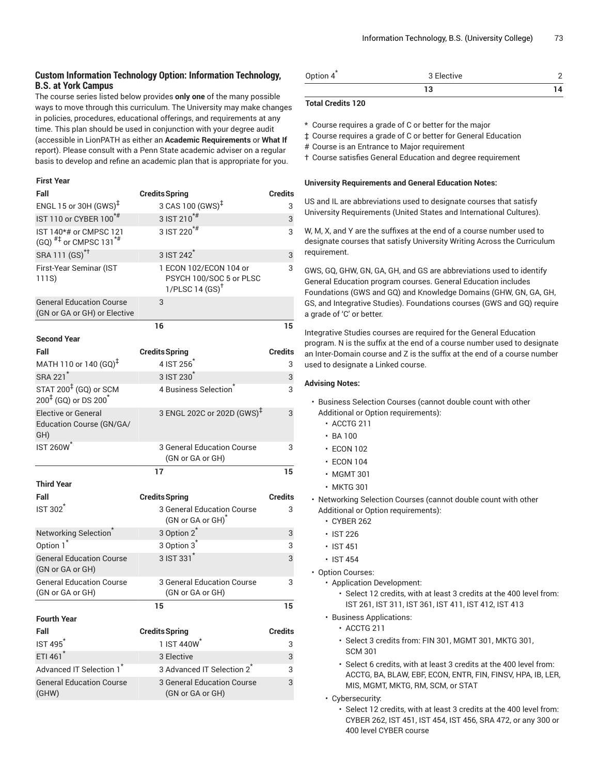## **Custom Information Technology Option: Information Technology, B.S. at York Campus**

The course series listed below provides **only one** of the many possible ways to move through this curriculum. The University may make changes in policies, procedures, educational offerings, and requirements at any time. This plan should be used in conjunction with your degree audit (accessible in LionPATH as either an **Academic Requirements** or **What If** report). Please consult with a Penn State academic adviser on a regular basis to develop and refine an academic plan that is appropriate for you.

#### **First Year**

| Fall                                                                | <b>Credits Spring</b>                                                           | <b>Credits</b> |
|---------------------------------------------------------------------|---------------------------------------------------------------------------------|----------------|
| ENGL 15 or 30H $(GWS)^{\ddagger}$                                   | 3 CAS 100 (GWS) <sup>‡</sup>                                                    | 3              |
| IST 110 or CYBER 100 <sup>*#</sup>                                  | 3 IST 210 <sup>*#</sup>                                                         | 3              |
| IST 140*# or CMPSC 121<br>(GQ) $^{#}$ or CMPSC 131 <sup>*#</sup>    | 3 IST 220 <sup>*#</sup>                                                         | 3              |
| SRA 111 (GS) <sup>*†</sup>                                          | 3 IST 242 <sup>*</sup>                                                          | 3              |
| First-Year Seminar (IST<br>111S)                                    | 1 ECON 102/ECON 104 or<br>PSYCH 100/SOC 5 or PLSC<br>1/PLSC 14 $(SS)^{\dagger}$ | 3              |
| <b>General Education Course</b><br>(GN or GA or GH) or Elective     | 3                                                                               |                |
|                                                                     | 16                                                                              | 15             |
| <b>Second Year</b>                                                  |                                                                                 |                |
| Fall                                                                | <b>Credits Spring</b>                                                           | Credits        |
| MATH 110 or 140 (GQ) <sup>‡</sup>                                   | 4 IST 256                                                                       | 3              |
| SRA 221 <sup>*</sup>                                                | 3 IST 230 <sup>*</sup>                                                          | 3              |
| STAT 200 <sup>‡</sup> (GQ) or SCM<br>$200^{4}$ (GQ) or DS $200^{4}$ | 4 Business Selection <sup>®</sup>                                               | 3              |
| <b>Elective or General</b><br>Education Course (GN/GA/<br>GH)       | 3 ENGL 202C or 202D (GWS) <sup>‡</sup>                                          | 3              |
| <b>IST 260W<sup>*</sup></b>                                         | 3 General Education Course<br>(GN or GA or GH)                                  | 3              |
|                                                                     | 17                                                                              | 15             |
| <b>Third Year</b>                                                   |                                                                                 |                |
| Fall                                                                | <b>Credits Spring</b>                                                           | <b>Credits</b> |
| <b>IST 302<sup>1</sup></b>                                          | 3 General Education Course<br>(GN or GA or GH) <sup>*</sup>                     | 3              |
| Networking Selection <sup>®</sup>                                   | 3 Option 2 <sup>*</sup>                                                         | 3              |
| Option 1 <sup>*</sup>                                               | 3 Option 3 <sup>*</sup>                                                         | 3              |
| <b>General Education Course</b><br>(GN or GA or GH)                 | $3$ IST $331^*$                                                                 | 3              |
| <b>General Education Course</b><br>(GN or GA or GH)                 | 3 General Education Course<br>(GN or GA or GH)                                  | 3              |
|                                                                     | 15                                                                              | 15             |
| <b>Fourth Year</b>                                                  |                                                                                 |                |
| Fall                                                                | <b>Credits Spring</b>                                                           | <b>Credits</b> |
| <b>IST 495<sup>*</sup></b>                                          | 1 IST 440W <sup>*</sup>                                                         | 3              |
| ETI 461*                                                            | 3 Elective                                                                      | 3              |
| Advanced IT Selection 1 <sup>7</sup>                                | 3 Advanced IT Selection 2 <sup>7</sup>                                          | 3              |
| <b>General Education Course</b><br>(GHW)                            | <b>3 General Education Course</b><br>(GN or GA or GH)                           | 3              |

| Option $4^{7}$ | 3 Elective |  |
|----------------|------------|--|
|                |            |  |

### **Total Credits 120**

\* Course requires a grade of C or better for the major

‡ Course requires a grade of C or better for General Education

- # Course is an Entrance to Major requirement
- † Course satisfies General Education and degree requirement

#### **University Requirements and General Education Notes:**

US and IL are abbreviations used to designate courses that satisfy University Requirements (United States and International Cultures).

W, M, X, and Y are the suffixes at the end of a course number used to designate courses that satisfy University Writing Across the Curriculum requirement.

GWS, GQ, GHW, GN, GA, GH, and GS are abbreviations used to identify General Education program courses. General Education includes Foundations (GWS and GQ) and Knowledge Domains (GHW, GN, GA, GH, GS, and Integrative Studies). Foundations courses (GWS and GQ) require a grade of 'C' or better.

Integrative Studies courses are required for the General Education program. N is the suffix at the end of a course number used to designate an Inter-Domain course and Z is the suffix at the end of a course number used to designate a Linked course.

#### **Advising Notes:**

- Business Selection Courses (cannot double count with other Additional or Option requirements):
	- ACCTG 211
	- $\cdot$  BA 100
	- ECON 102
	- ECON 104
	- MGMT 301
	- MKTG 301
- Networking Selection Courses (cannot double count with other Additional or Option requirements):
	- CYBER 262
	- IST 226
	- IST 451
	- IST 454
- Option Courses:
	- Application Development:
		- Select 12 credits, with at least 3 credits at the 400 level from: IST 261, IST 311, IST 361, IST 411, IST 412, IST 413
	- Business Applications:
		- ACCTG 211
		- Select 3 credits from: FIN 301, MGMT 301, MKTG 301, SCM 301
		- Select 6 credits, with at least 3 credits at the 400 level from: ACCTG, BA, BLAW, EBF, ECON, ENTR, FIN, FINSV, HPA, IB, LER, MIS, MGMT, MKTG, RM, SCM, or STAT
	- Cybersecurity:
		- Select 12 credits, with at least 3 credits at the 400 level from: CYBER 262, IST 451, IST 454, IST 456, SRA 472, or any 300 or 400 level CYBER course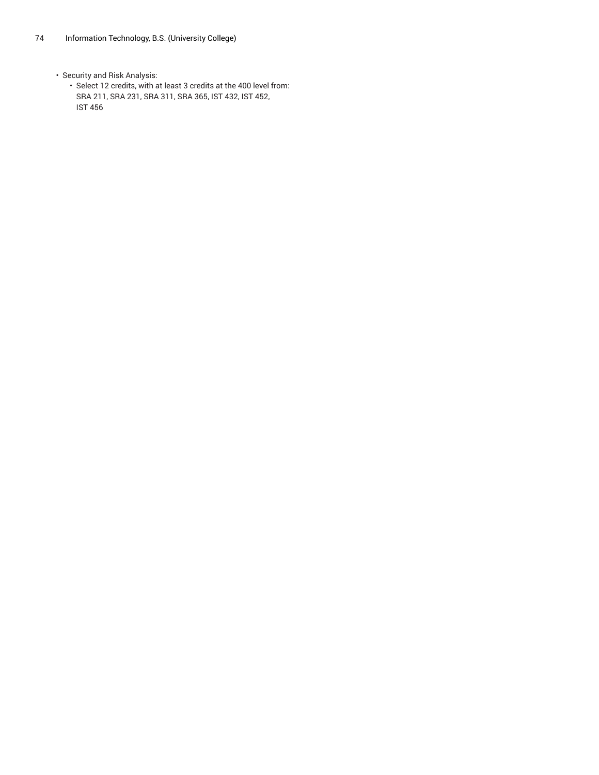• Security and Risk Analysis:

• Select 12 credits, with at least 3 credits at the 400 level from: SRA 211, SRA 231, SRA 311, SRA 365, IST 432, IST 452, IST 456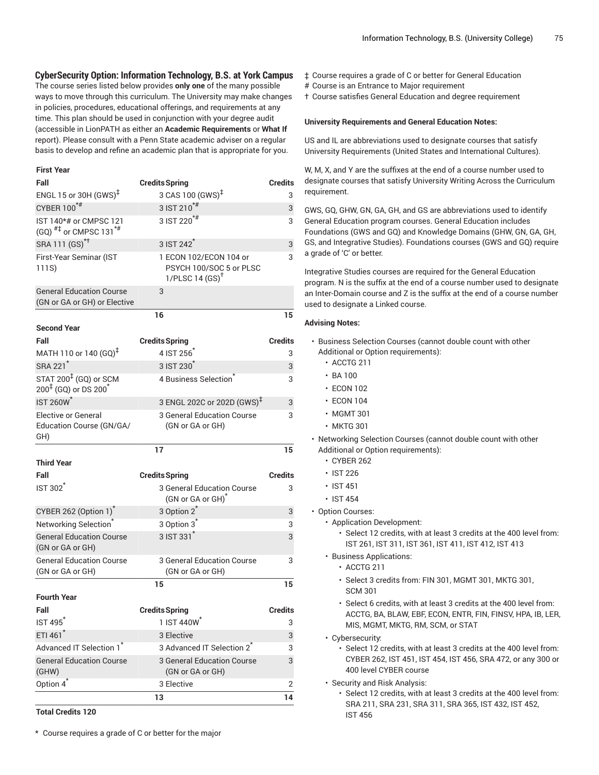### **CyberSecurity Option: Information Technology, B.S. at York Campus**

The course series listed below provides **only one** of the many possible ways to move through this curriculum. The University may make changes in policies, procedures, educational offerings, and requirements at any time. This plan should be used in conjunction with your degree audit (accessible in LionPATH as either an **Academic Requirements** or **What If** report). Please consult with a Penn State academic adviser on a regular basis to develop and refine an academic plan that is appropriate for you.

#### **First Year**

| Fall                                                                      | <b>Credits Spring</b>                                                          | <b>Credits</b> |
|---------------------------------------------------------------------------|--------------------------------------------------------------------------------|----------------|
| ENGL 15 or 30H $(GWS)^{\ddagger}$                                         | 3 CAS 100 (GWS) <sup>‡</sup>                                                   | 3              |
| CYBER 100*#                                                               | $3$ IST 210 <sup>*#</sup>                                                      | 3              |
| IST 140*# or CMPSC 121<br>$(GQ)$ <sup>#‡</sup> or CMPSC 131 <sup>*#</sup> | $3$ IST 220 <sup>*#</sup>                                                      | 3              |
| SRA 111 (GS) <sup>*†</sup>                                                | 3 IST 242 <sup>*</sup>                                                         | 3              |
| First-Year Seminar (IST<br>111S)                                          | 1 ECON 102/ECON 104 or<br>PSYCH 100/SOC 5 or PLSC<br>1/PLSC14(GS) <sup>†</sup> | 3              |
| <b>General Education Course</b><br>(GN or GA or GH) or Elective           | 3                                                                              |                |
|                                                                           | 16                                                                             | 15             |
| <b>Second Year</b>                                                        |                                                                                |                |
| Fall                                                                      | <b>Credits Spring</b>                                                          | <b>Credits</b> |
| MATH 110 or 140 (GQ) <sup>‡</sup>                                         | 4 IST 256                                                                      | 3              |
| SRA 221 <sup>*</sup>                                                      | 3 IST 230 <sup>*</sup>                                                         | 3              |
| STAT 200 <sup>‡</sup> (GQ) or SCM<br>$200^{4}$ (GQ) or DS $200^{4}$       | 4 Business Selection                                                           | 3              |
| <b>IST 260W<sup>*</sup></b>                                               | 3 ENGL 202C or 202D (GWS) <sup>‡</sup>                                         | 3              |
| <b>Elective or General</b><br>Education Course (GN/GA/<br>GH)             | 3 General Education Course<br>(GN or GA or GH)                                 | 3              |
|                                                                           |                                                                                |                |
|                                                                           | 17                                                                             | 15             |
| <b>Third Year</b>                                                         |                                                                                |                |
| Fall                                                                      | <b>Credits Spring</b>                                                          | <b>Credits</b> |
| <b>IST 302<sup>*</sup></b>                                                | 3 General Education Course<br>(GN or GA or GH) <sup>*</sup>                    | 3              |
| CYBER 262 (Option 1) <sup>*</sup>                                         | 3 Option 2 <sup>*</sup>                                                        | 3              |
| Networking Selection <sup>®</sup>                                         | 3 Option 3 <sup>*</sup>                                                        | 3              |
| <b>General Education Course</b><br>(GN or GA or GH)                       | 3 IST 331 <sup>*</sup>                                                         | 3              |
| <b>General Education Course</b><br>(GN or GA or GH)                       | 3 General Education Course<br>(GN or GA or GH)                                 | 3              |
|                                                                           | 15                                                                             | 15             |
| <b>Fourth Year</b>                                                        |                                                                                |                |
| Fall                                                                      | <b>Credits Spring</b>                                                          | <b>Credits</b> |
| IST 495                                                                   | 1 IST 440W                                                                     | 3              |
| ETI 461*                                                                  | 3 Elective                                                                     | 3              |
| Advanced IT Selection 1 <sup>*</sup>                                      | 3 Advanced IT Selection 2 <sup>*</sup>                                         | 3              |
| <b>General Education Course</b><br>(GHW)                                  | <b>3 General Education Course</b><br>(GN or GA or GH)                          | 3              |
| Option 4 <sup>*</sup>                                                     | 3 Elective                                                                     | 2              |

**Total Credits 120**

\* Course requires a grade of C or better for the major

- ‡ Course requires a grade of C or better for General Education
- # Course is an Entrance to Major requirement
- † Course satisfies General Education and degree requirement

#### **University Requirements and General Education Notes:**

US and IL are abbreviations used to designate courses that satisfy University Requirements (United States and International Cultures).

W, M, X, and Y are the suffixes at the end of a course number used to designate courses that satisfy University Writing Across the Curriculum requirement.

GWS, GQ, GHW, GN, GA, GH, and GS are abbreviations used to identify General Education program courses. General Education includes Foundations (GWS and GQ) and Knowledge Domains (GHW, GN, GA, GH, GS, and Integrative Studies). Foundations courses (GWS and GQ) require a grade of 'C' or better.

Integrative Studies courses are required for the General Education program. N is the suffix at the end of a course number used to designate an Inter-Domain course and Z is the suffix at the end of a course number used to designate a Linked course.

#### **Advising Notes:**

- Business Selection Courses (cannot double count with other Additional or Option requirements):
	- ACCTG 211
	- BA 100
	- ECON 102
	- ECON 104
	- MGMT 301
	- MKTG 301
- Networking Selection Courses (cannot double count with other Additional or Option requirements):
	- CYBER 262
	- IST 226
	- IST 451
	- IST 454
- Option Courses:
	- Application Development:
		- Select 12 credits, with at least 3 credits at the 400 level from: IST 261, IST 311, IST 361, IST 411, IST 412, IST 413
	- Business Applications:
		- ACCTG 211
		- Select 3 credits from: FIN 301, MGMT 301, MKTG 301, SCM 301
		- Select 6 credits, with at least 3 credits at the 400 level from: ACCTG, BA, BLAW, EBF, ECON, ENTR, FIN, FINSV, HPA, IB, LER, MIS, MGMT, MKTG, RM, SCM, or STAT
	- Cybersecurity:
		- Select 12 credits, with at least 3 credits at the 400 level from: CYBER 262, IST 451, IST 454, IST 456, SRA 472, or any 300 or 400 level CYBER course
	- Security and Risk Analysis:
		- Select 12 credits, with at least 3 credits at the 400 level from: SRA 211, SRA 231, SRA 311, SRA 365, IST 432, IST 452, IST 456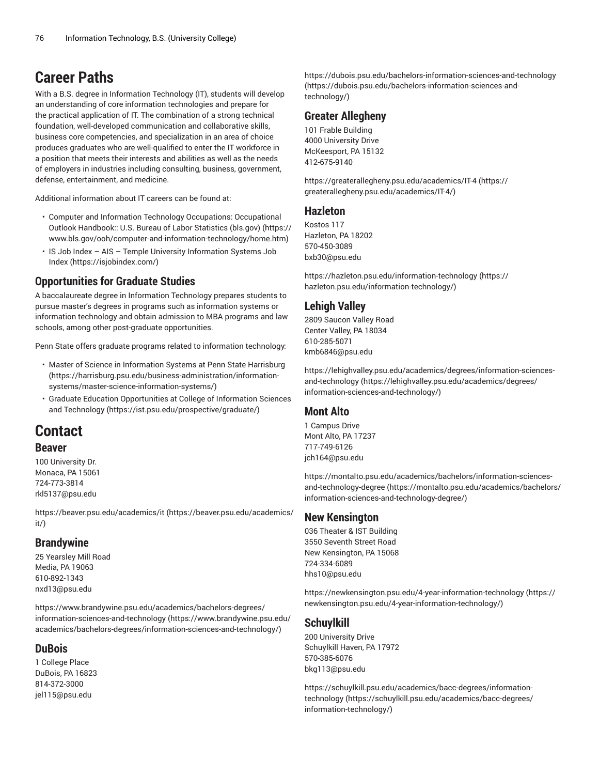# **Career Paths**

With a B.S. degree in Information Technology (IT), students will develop an understanding of core information technologies and prepare for the practical application of IT. The combination of a strong technical foundation, well-developed communication and collaborative skills, business core competencies, and specialization in an area of choice produces graduates who are well-qualified to enter the IT workforce in a position that meets their interests and abilities as well as the needs of employers in industries including consulting, business, government, defense, entertainment, and medicine.

Additional information about IT careers can be found at:

- Computer and Information Technology Occupations: [Occupational](https://www.bls.gov/ooh/computer-and-information-technology/home.htm) Outlook [Handbook::](https://www.bls.gov/ooh/computer-and-information-technology/home.htm) U.S. Bureau of Labor Statistics (bls.gov) ([https://](https://www.bls.gov/ooh/computer-and-information-technology/home.htm) [www.bls.gov/ooh/computer-and-information-technology/home.htm](https://www.bls.gov/ooh/computer-and-information-technology/home.htm))
- IS Job Index AIS Temple University [Information](https://isjobindex.com/) Systems Job [Index \(https://isjobindex.com/\)](https://isjobindex.com/)

# **Opportunities for Graduate Studies**

A baccalaureate degree in Information Technology prepares students to pursue master's degrees in programs such as information systems or information technology and obtain admission to MBA programs and law schools, among other post-graduate opportunities.

Penn State offers graduate programs related to information technology:

- Master of Science in [Information](https://harrisburg.psu.edu/business-administration/information-systems/master-science-information-systems/) Systems at Penn State Harrisburg ([https://harrisburg.psu.edu/business-administration/information](https://harrisburg.psu.edu/business-administration/information-systems/master-science-information-systems/)[systems/master-science-information-systems/](https://harrisburg.psu.edu/business-administration/information-systems/master-science-information-systems/))
- Graduate Education [Opportunities](https://ist.psu.edu/prospective/graduate/) at College of Information Sciences and [Technology](https://ist.psu.edu/prospective/graduate/) ([https://ist.psu.edu/prospective/graduate/\)](https://ist.psu.edu/prospective/graduate/)

# **Contact**

## **Beaver**

100 University Dr. Monaca, PA 15061 724-773-3814 [rkl5137@psu.edu](mailto:rkl5137@psu.edu)

[https://beaver.psu.edu/academics/it](https://beaver.psu.edu/academics/it/) ([https://beaver.psu.edu/academics/](https://beaver.psu.edu/academics/it/) [it/](https://beaver.psu.edu/academics/it/))

## **Brandywine**

25 Yearsley Mill Road Media, PA 19063 610-892-1343 [nxd13@psu.edu](mailto:nxd13@psu.edu)

[https://www.brandywine.psu.edu/academics/bachelors-degrees/](https://www.brandywine.psu.edu/academics/bachelors-degrees/information-sciences-and-technology/) [information-sciences-and-technology \(https://www.brandywine.psu.edu/](https://www.brandywine.psu.edu/academics/bachelors-degrees/information-sciences-and-technology/) [academics/bachelors-degrees/information-sciences-and-technology/](https://www.brandywine.psu.edu/academics/bachelors-degrees/information-sciences-and-technology/))

## **DuBois**

1 College Place DuBois, PA 16823 814-372-3000 [jel115@psu.edu](mailto:jel115@psu.edu)

[https://dubois.psu.edu/bachelors-information-sciences-and-technology](https://dubois.psu.edu/bachelors-information-sciences-and-technology/) [\(https://dubois.psu.edu/bachelors-information-sciences-and](https://dubois.psu.edu/bachelors-information-sciences-and-technology/)[technology/\)](https://dubois.psu.edu/bachelors-information-sciences-and-technology/)

## **Greater Allegheny**

101 Frable Building 4000 University Drive McKeesport, PA 15132 412-675-9140

[https://greaterallegheny.psu.edu/academics/IT-4](https://greaterallegheny.psu.edu/academics/IT-4/) [\(https://](https://greaterallegheny.psu.edu/academics/IT-4/) [greaterallegheny.psu.edu/academics/IT-4/](https://greaterallegheny.psu.edu/academics/IT-4/))

## **Hazleton**

Kostos 117 Hazleton, PA 18202 570-450-3089 [bxb30@psu.edu](mailto:bxb30@psu.edu)

[https://hazleton.psu.edu/information-technology](https://hazleton.psu.edu/information-technology/) ([https://](https://hazleton.psu.edu/information-technology/) [hazleton.psu.edu/information-technology/\)](https://hazleton.psu.edu/information-technology/)

# **Lehigh Valley**

2809 Saucon Valley Road Center Valley, PA 18034 610-285-5071 [kmb6846@psu.edu](mailto:kmb6846@psu.edu)

[https://lehighvalley.psu.edu/academics/degrees/information-sciences](https://lehighvalley.psu.edu/academics/degrees/information-sciences-and-technology/)[and-technology](https://lehighvalley.psu.edu/academics/degrees/information-sciences-and-technology/) ([https://lehighvalley.psu.edu/academics/degrees/](https://lehighvalley.psu.edu/academics/degrees/information-sciences-and-technology/) [information-sciences-and-technology/](https://lehighvalley.psu.edu/academics/degrees/information-sciences-and-technology/))

## **Mont Alto**

1 Campus Drive Mont Alto, PA 17237 717-749-6126 [jch164@psu.edu](mailto:jch164@psu.edu)

[https://montalto.psu.edu/academics/bachelors/information-sciences](https://montalto.psu.edu/academics/bachelors/information-sciences-and-technology-degree/)[and-technology-degree \(https://montalto.psu.edu/academics/bachelors/](https://montalto.psu.edu/academics/bachelors/information-sciences-and-technology-degree/) [information-sciences-and-technology-degree/\)](https://montalto.psu.edu/academics/bachelors/information-sciences-and-technology-degree/)

## **New Kensington**

036 Theater & IST Building 3550 Seventh Street Road New Kensington, PA 15068 724-334-6089 [hhs10@psu.edu](mailto:hhs10@psu.edu)

[https://newkensington.psu.edu/4-year-information-technology](https://newkensington.psu.edu/4-year-information-technology/) ([https://](https://newkensington.psu.edu/4-year-information-technology/) [newkensington.psu.edu/4-year-information-technology/\)](https://newkensington.psu.edu/4-year-information-technology/)

## **Schuylkill**

200 University Drive Schuylkill Haven, PA 17972 570-385-6076 [bkg113@psu.edu](mailto:bkg113@psu.edu)

[https://schuylkill.psu.edu/academics/bacc-degrees/information](https://schuylkill.psu.edu/academics/bacc-degrees/information-technology/)[technology](https://schuylkill.psu.edu/academics/bacc-degrees/information-technology/) ([https://schuylkill.psu.edu/academics/bacc-degrees/](https://schuylkill.psu.edu/academics/bacc-degrees/information-technology/) [information-technology/\)](https://schuylkill.psu.edu/academics/bacc-degrees/information-technology/)